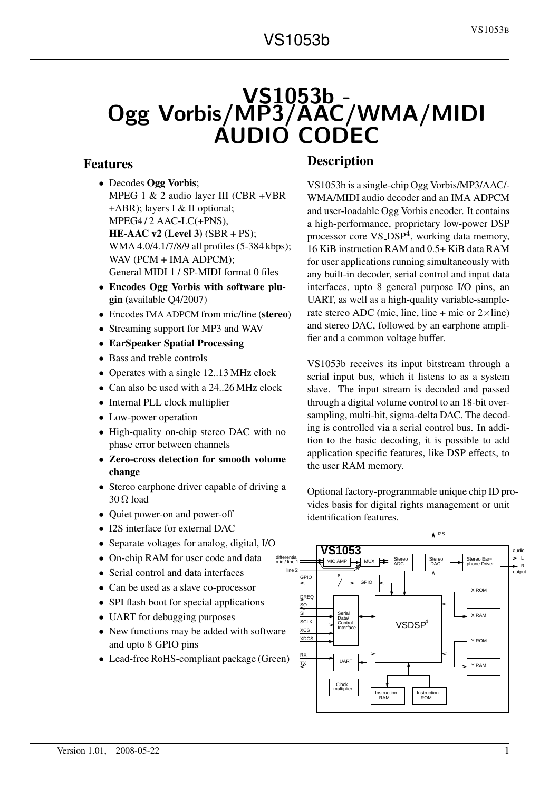# VS1053b - Ogg Vorbis/MP3/AAC/WMA/MIDI AUDIO CODEC

# Features

- Decodes Ogg Vorbis;
- MPEG 1 & 2 audio layer III (CBR +VBR +ABR); layers I & II optional; MPEG4/2 AAC-LC(+PNS), HE-AAC v2 (Level 3) (SBR + PS); WMA 4.0/4.1/7/8/9 all profiles (5-384 kbps); WAV (PCM + IMA ADPCM); General MIDI 1 / SP-MIDI format 0 files
- Encodes Ogg Vorbis with software plugin (available Q4/2007)
- Encodes IMA ADPCM from mic/line (stereo)
- Streaming support for MP3 and WAV
- EarSpeaker Spatial Processing
- Bass and treble controls
- Operates with a single 12..13 MHz clock
- Can also be used with a 24..26 MHz clock
- Internal PLL clock multiplier
- Low-power operation
- High-quality on-chip stereo DAC with no phase error between channels
- Zero-cross detection for smooth volume change
- Stereo earphone driver capable of driving a 30 Ω load
- Ouiet power-on and power-off
- I2S interface for external DAC
- Separate voltages for analog, digital, I/O
- On-chip RAM for user code and data
- Serial control and data interfaces
- Can be used as a slave co-processor
- SPI flash boot for special applications
- UART for debugging purposes
- New functions may be added with software and upto 8 GPIO pins
- Lead-free RoHS-compliant package (Green)

# **Description**

VS1053b is a single-chip Ogg Vorbis/MP3/AAC/- WMA/MIDI audio decoder and an IMA ADPCM and user-loadable Ogg Vorbis encoder. It contains a high-performance, proprietary low-power DSP processor core VS\_DSP<sup>4</sup>, working data memory, 16 KiB instruction RAM and 0.5+ KiB data RAM for user applications running simultaneously with any built-in decoder, serial control and input data interfaces, upto 8 general purpose I/O pins, an UART, as well as a high-quality variable-samplerate stereo ADC (mic, line, line + mic or  $2 \times$ line) and stereo DAC, followed by an earphone amplifier and a common voltage buffer.

VS1053b receives its input bitstream through a serial input bus, which it listens to as a system slave. The input stream is decoded and passed through a digital volume control to an 18-bit oversampling, multi-bit, sigma-delta DAC. The decoding is controlled via a serial control bus. In addition to the basic decoding, it is possible to add application specific features, like DSP effects, to the user RAM memory.

Optional factory-programmable unique chip ID provides basis for digital rights management or unit identification features.

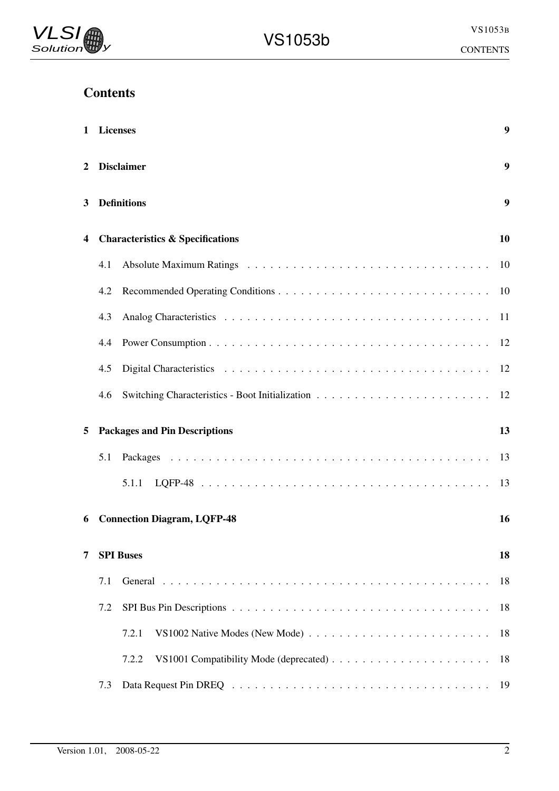# **Contents**

| 1 | <b>Licenses</b> |                                                                                                          | $\boldsymbol{9}$ |
|---|-----------------|----------------------------------------------------------------------------------------------------------|------------------|
| 2 |                 | <b>Disclaimer</b>                                                                                        | 9                |
| 3 |                 | <b>Definitions</b>                                                                                       | 9                |
| 4 |                 | <b>Characteristics &amp; Specifications</b>                                                              | 10               |
|   | 4.1             |                                                                                                          | 10               |
|   | 4.2             |                                                                                                          | 10               |
|   | 4.3             |                                                                                                          | 11               |
|   | 4.4             |                                                                                                          | 12               |
|   | 4.5             |                                                                                                          | 12               |
|   | 4.6             |                                                                                                          | 12               |
| 5 |                 | <b>Packages and Pin Descriptions</b>                                                                     | 13               |
|   | 5.1             |                                                                                                          | 13               |
|   |                 | 5.1.1                                                                                                    | 13               |
| 6 |                 | <b>Connection Diagram, LQFP-48</b>                                                                       | 16               |
| 7 |                 | <b>SPI Buses</b>                                                                                         | 18               |
|   | 7.1             |                                                                                                          | 18               |
|   | 7.2             |                                                                                                          | 18               |
|   |                 | 7.2.1<br>VS1002 Native Modes (New Mode) $\ldots \ldots \ldots \ldots \ldots \ldots \ldots \ldots \ldots$ | 18               |
|   |                 | 7.2.2                                                                                                    | 18               |
|   | 7.3             |                                                                                                          | 19               |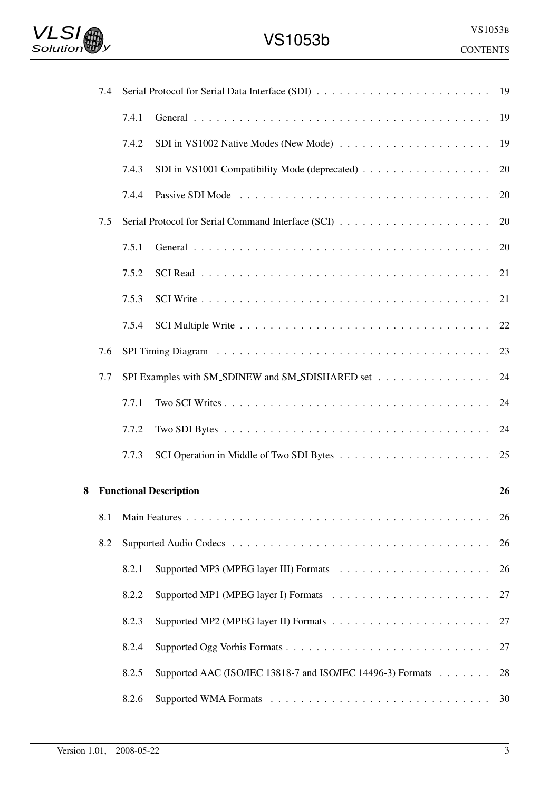

|   | 7.4 |       |                                                                                   |    |
|---|-----|-------|-----------------------------------------------------------------------------------|----|
|   |     | 7.4.1 |                                                                                   | 19 |
|   |     | 7.4.2 | SDI in VS1002 Native Modes (New Mode) $\dots \dots \dots \dots \dots \dots \dots$ | 19 |
|   |     | 7.4.3 | SDI in VS1001 Compatibility Mode (deprecated)                                     | 20 |
|   |     | 7.4.4 |                                                                                   | 20 |
|   | 7.5 |       |                                                                                   | 20 |
|   |     | 7.5.1 |                                                                                   | 20 |
|   |     | 7.5.2 |                                                                                   | 21 |
|   |     | 7.5.3 |                                                                                   | 21 |
|   |     | 7.5.4 |                                                                                   | 22 |
|   | 7.6 |       |                                                                                   | 23 |
|   | 7.7 |       | SPI Examples with SM_SDINEW and SM_SDISHARED set                                  | 24 |
|   |     | 7.7.1 |                                                                                   | 24 |
|   |     | 7.7.2 |                                                                                   | 24 |
|   |     | 7.7.3 |                                                                                   |    |
| 8 |     |       | <b>Functional Description</b>                                                     | 26 |
|   | 8.1 |       |                                                                                   | 26 |
|   | 8.2 |       |                                                                                   | 26 |
|   |     | 8.2.1 |                                                                                   | 26 |
|   |     | 8.2.2 |                                                                                   | 27 |
|   |     | 8.2.3 |                                                                                   | 27 |
|   |     | 8.2.4 |                                                                                   | 27 |
|   |     | 8.2.5 | Supported AAC (ISO/IEC 13818-7 and ISO/IEC 14496-3) Formats                       | 28 |
|   |     | 8.2.6 |                                                                                   | 30 |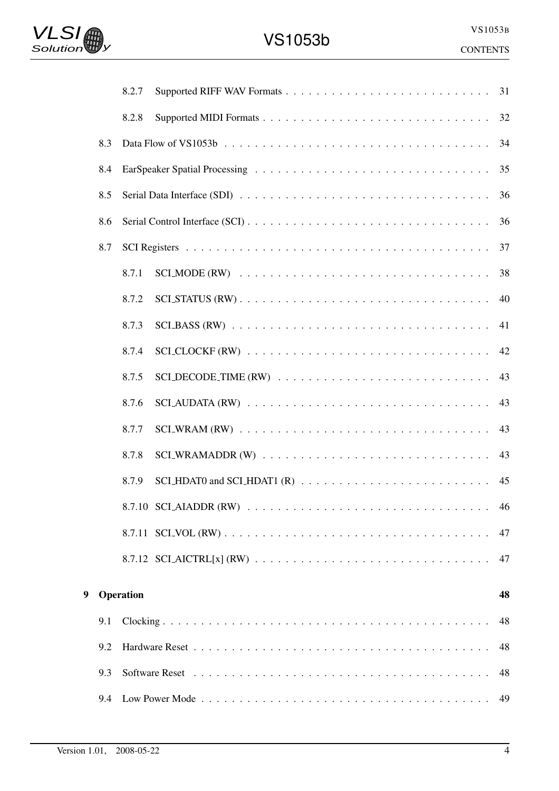|   |     | 8.2.7                                                                                                             | 31 |
|---|-----|-------------------------------------------------------------------------------------------------------------------|----|
|   |     | 8.2.8                                                                                                             | 32 |
|   | 8.3 |                                                                                                                   | 34 |
|   | 8.4 |                                                                                                                   | 35 |
|   | 8.5 | Serial Data Interface (SDI) $\ldots \ldots \ldots \ldots \ldots \ldots \ldots \ldots \ldots \ldots \ldots \ldots$ | 36 |
|   | 8.6 |                                                                                                                   | 36 |
|   | 8.7 |                                                                                                                   | 37 |
|   |     | 8.7.1                                                                                                             | 38 |
|   |     | 8.7.2                                                                                                             | 40 |
|   |     | 8.7.3                                                                                                             | 41 |
|   |     | 8.7.4                                                                                                             | 42 |
|   |     | 8.7.5                                                                                                             | 43 |
|   |     | 8.7.6                                                                                                             | 43 |
|   |     | 8.7.7                                                                                                             | 43 |
|   |     | 8.7.8                                                                                                             | 43 |
|   |     | 8.7.9                                                                                                             | 45 |
|   |     |                                                                                                                   | 46 |
|   |     |                                                                                                                   | 47 |
|   |     |                                                                                                                   | 47 |
|   |     |                                                                                                                   |    |
| 9 |     | Operation                                                                                                         | 48 |
|   | 9.1 |                                                                                                                   | 48 |
|   | 9.2 |                                                                                                                   | 48 |
|   | 9.3 |                                                                                                                   | 48 |
|   | 9.4 |                                                                                                                   | 49 |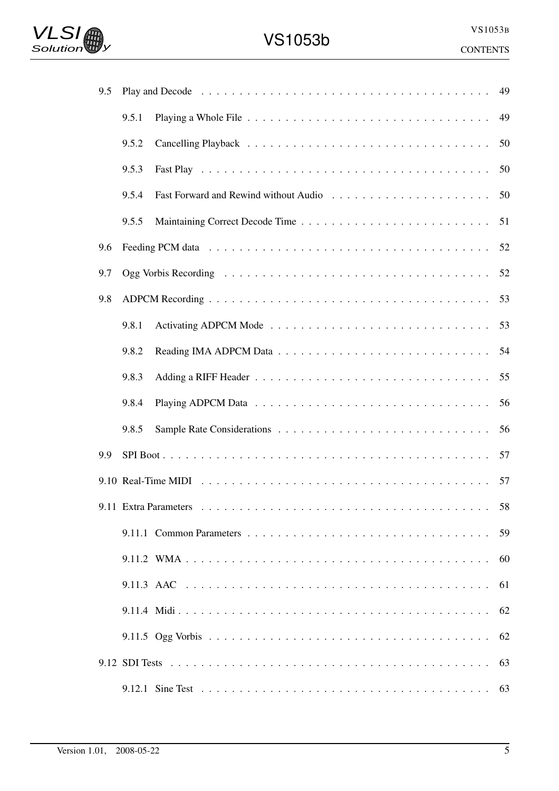

| 9.5 |       |                                                                                                                                                         | 49 |
|-----|-------|---------------------------------------------------------------------------------------------------------------------------------------------------------|----|
|     | 9.5.1 |                                                                                                                                                         | 49 |
|     | 9.5.2 |                                                                                                                                                         | 50 |
|     | 9.5.3 |                                                                                                                                                         | 50 |
|     | 9.5.4 |                                                                                                                                                         | 50 |
|     | 9.5.5 |                                                                                                                                                         | 51 |
| 9.6 |       |                                                                                                                                                         | 52 |
| 9.7 |       |                                                                                                                                                         | 52 |
| 9.8 |       |                                                                                                                                                         | 53 |
|     | 9.8.1 |                                                                                                                                                         |    |
|     | 9.8.2 |                                                                                                                                                         | 54 |
|     | 9.8.3 |                                                                                                                                                         | 55 |
|     | 9.8.4 |                                                                                                                                                         | 56 |
|     | 9.8.5 |                                                                                                                                                         | 56 |
| 9.9 |       |                                                                                                                                                         | 57 |
|     |       |                                                                                                                                                         |    |
|     |       | 9.11 Extra Parameters $\ldots$ , $\ldots$ , $\ldots$ , $\ldots$ , $\ldots$ , $\ldots$ , $\ldots$ , $\ldots$ , $\ldots$ , $\ldots$ , $\ldots$ , $\ldots$ | 58 |
|     |       |                                                                                                                                                         | 59 |
|     |       |                                                                                                                                                         | 60 |
|     |       |                                                                                                                                                         | 61 |
|     |       |                                                                                                                                                         | 62 |
|     |       |                                                                                                                                                         | 62 |
|     |       |                                                                                                                                                         | 63 |
|     |       |                                                                                                                                                         | 63 |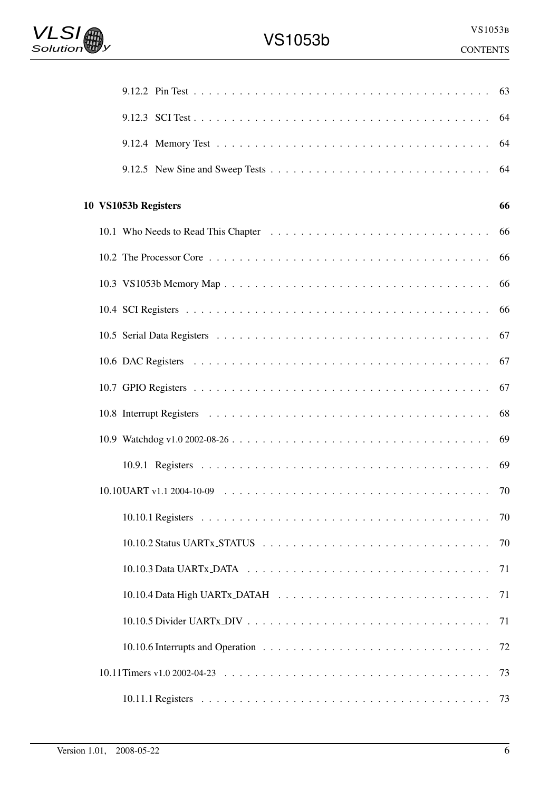|                      | 63                                                                                                                        |  |
|----------------------|---------------------------------------------------------------------------------------------------------------------------|--|
|                      | 64                                                                                                                        |  |
|                      | 64                                                                                                                        |  |
|                      | 64                                                                                                                        |  |
| 10 VS1053b Registers | 66                                                                                                                        |  |
|                      | 66                                                                                                                        |  |
|                      | 66                                                                                                                        |  |
|                      | 66                                                                                                                        |  |
|                      | 66                                                                                                                        |  |
|                      | 67                                                                                                                        |  |
|                      | 67                                                                                                                        |  |
|                      | 67                                                                                                                        |  |
|                      | 68                                                                                                                        |  |
|                      | 69                                                                                                                        |  |
|                      | -69                                                                                                                       |  |
|                      |                                                                                                                           |  |
|                      | 70                                                                                                                        |  |
|                      | $10.10.2$ Status UARTx_STATUS $\ldots \ldots \ldots \ldots \ldots \ldots \ldots \ldots \ldots \ldots \ldots \ldots$<br>70 |  |
|                      | 71                                                                                                                        |  |
|                      | 71                                                                                                                        |  |
|                      | 71                                                                                                                        |  |
|                      | 72                                                                                                                        |  |
|                      | 73                                                                                                                        |  |
|                      | 73                                                                                                                        |  |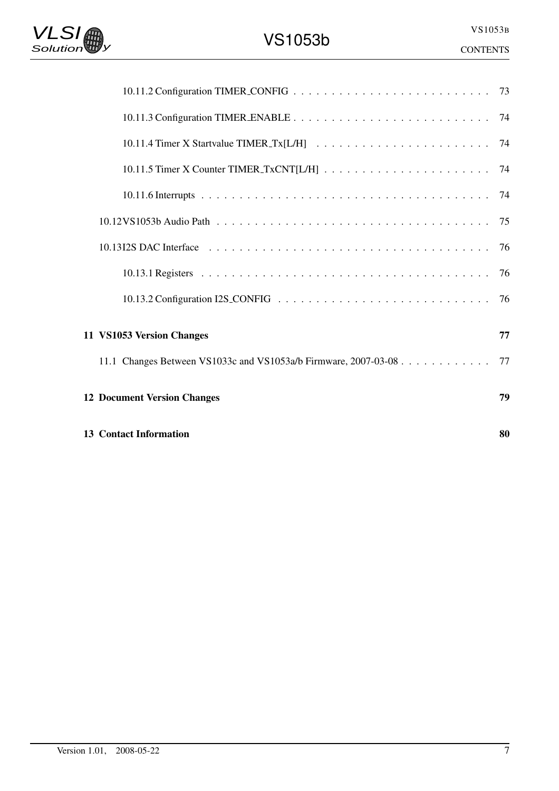| 11 VS1053 Version Changes                                          | 77 |
|--------------------------------------------------------------------|----|
| 11.1 Changes Between VS1033c and VS1053a/b Firmware, 2007-03-08 77 |    |
| <b>12 Document Version Changes</b>                                 | 79 |
| <b>13 Contact Information</b>                                      | 80 |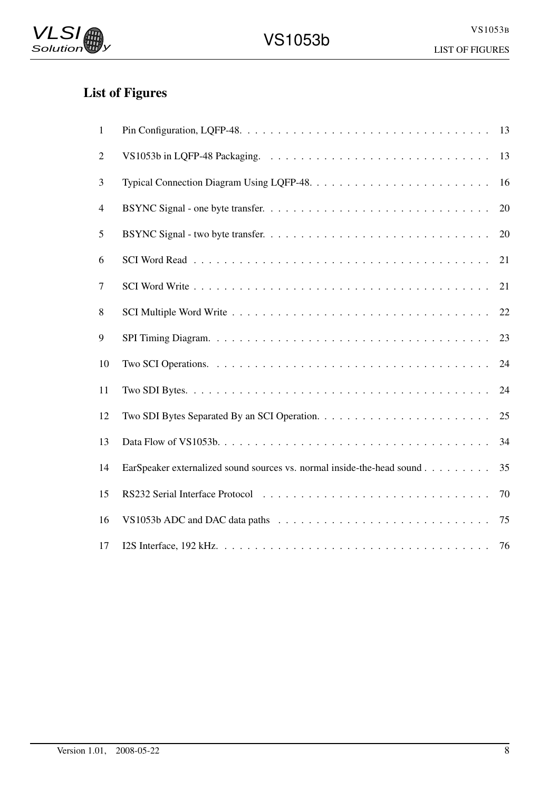# List of Figures

| $\mathbf{1}$   |                                                                                                         | 13 |
|----------------|---------------------------------------------------------------------------------------------------------|----|
| $\overline{2}$ |                                                                                                         | 13 |
| 3              | Typical Connection Diagram Using LQFP-48. $\dots \dots \dots \dots \dots \dots \dots \dots \dots \dots$ | 16 |
| 4              |                                                                                                         | 20 |
| 5              |                                                                                                         | 20 |
| 6              |                                                                                                         | 21 |
| $\tau$         |                                                                                                         | 21 |
| 8              |                                                                                                         | 22 |
| 9              |                                                                                                         | 23 |
| 10             |                                                                                                         | 24 |
| 11             |                                                                                                         | 24 |
| 12             |                                                                                                         | 25 |
| 13             |                                                                                                         | 34 |
| 14             | EarSpeaker externalized sound sources vs. normal inside-the-head sound                                  | 35 |
| 15             |                                                                                                         | 70 |
| 16             |                                                                                                         | 75 |
| 17             |                                                                                                         | 76 |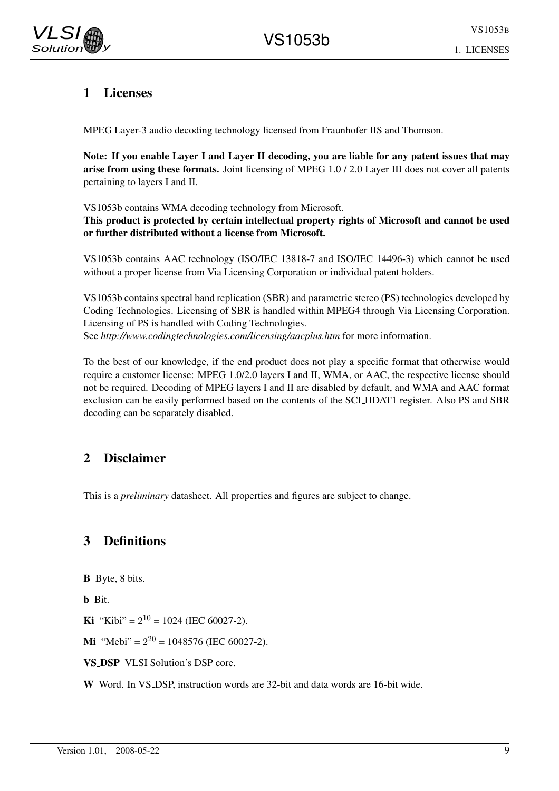

# 1 Licenses

MPEG Layer-3 audio decoding technology licensed from Fraunhofer IIS and Thomson.

Note: If you enable Layer I and Layer II decoding, you are liable for any patent issues that may arise from using these formats. Joint licensing of MPEG 1.0 / 2.0 Layer III does not cover all patents pertaining to layers I and II.

VS1053b contains WMA decoding technology from Microsoft.

This product is protected by certain intellectual property rights of Microsoft and cannot be used or further distributed without a license from Microsoft.

VS1053b contains AAC technology (ISO/IEC 13818-7 and ISO/IEC 14496-3) which cannot be used without a proper license from Via Licensing Corporation or individual patent holders.

VS1053b contains spectral band replication (SBR) and parametric stereo (PS) technologies developed by Coding Technologies. Licensing of SBR is handled within MPEG4 through Via Licensing Corporation. Licensing of PS is handled with Coding Technologies. See *http://www.codingtechnologies.com/licensing/aacplus.htm* for more information.

To the best of our knowledge, if the end product does not play a specific format that otherwise would require a customer license: MPEG 1.0/2.0 layers I and II, WMA, or AAC, the respective license should not be required. Decoding of MPEG layers I and II are disabled by default, and WMA and AAC format exclusion can be easily performed based on the contents of the SCI HDAT1 register. Also PS and SBR decoding can be separately disabled.

# 2 Disclaimer

This is a *preliminary* datasheet. All properties and figures are subject to change.

# 3 Definitions

B Byte, 8 bits.

b Bit.

**Ki** "Kibi" =  $2^{10}$  = 1024 (IEC 60027-2).

**Mi** "Mebi" =  $2^{20}$  = 1048576 (IEC 60027-2).

VS DSP VLSI Solution's DSP core.

W Word. In VS\_DSP, instruction words are 32-bit and data words are 16-bit wide.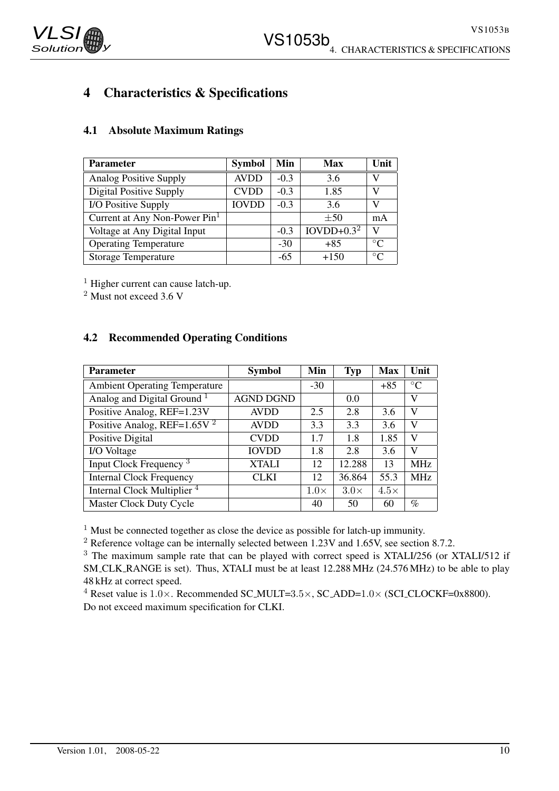

# 4 Characteristics & Specifications

| <b>Parameter</b>                          | <b>Symbol</b> | Min    | Max          | Unit           |
|-------------------------------------------|---------------|--------|--------------|----------------|
| <b>Analog Positive Supply</b>             | <b>AVDD</b>   | $-0.3$ | 3.6          | V              |
| <b>Digital Positive Supply</b>            | <b>CVDD</b>   | $-0.3$ | 1.85         | V              |
| I/O Positive Supply                       | <b>IOVDD</b>  | $-0.3$ | 3.6          | V              |
| Current at Any Non-Power Pin <sup>1</sup> |               |        | $\pm 50$     | mA             |
| Voltage at Any Digital Input              |               | $-0.3$ | $IOVDD+0.32$ | $\mathbf{V}$   |
| <b>Operating Temperature</b>              |               | $-30$  | $+85$        | $\circ$        |
| <b>Storage Temperature</b>                |               | -65    | $+150$       | $\circ$ $\cap$ |

## 4.1 Absolute Maximum Ratings

 $<sup>1</sup>$  Higher current can cause latch-up.</sup>

 $2$  Must not exceed 3.6 V

### 4.2 Recommended Operating Conditions

| <b>Parameter</b>                       | <b>Symbol</b>    | Min         | <b>Typ</b>  | <b>Max</b>  | Unit            |
|----------------------------------------|------------------|-------------|-------------|-------------|-----------------|
| <b>Ambient Operating Temperature</b>   |                  | $-30$       |             | $+85$       | $\rm ^{\circ}C$ |
| Analog and Digital Ground <sup>1</sup> | <b>AGND DGND</b> |             | 0.0         |             | V               |
| Positive Analog, REF=1.23V             | <b>AVDD</b>      | 2.5         | 2.8         | 3.6         | V               |
| Positive Analog, REF= $1.65V2$         | <b>AVDD</b>      | 3.3         | 3.3         | 3.6         | V               |
| Positive Digital                       | <b>CVDD</b>      | 1.7         | 1.8         | 1.85        | v               |
| I/O Voltage                            | <b>IOVDD</b>     | 1.8         | 2.8         | 3.6         | V               |
| Input Clock Frequency <sup>3</sup>     | <b>XTALI</b>     | 12          | 12.288      | 13          | <b>MHz</b>      |
| <b>Internal Clock Frequency</b>        | CLKI             | 12          | 36.864      | 55.3        | <b>MHz</b>      |
| Internal Clock Multiplier <sup>4</sup> |                  | $1.0\times$ | $3.0\times$ | $4.5\times$ |                 |
| Master Clock Duty Cycle                |                  | 40          | 50          | 60          | $\%$            |

 $1$  Must be connected together as close the device as possible for latch-up immunity.

 $2$  Reference voltage can be internally selected between 1.23V and 1.65V, see section 8.7.2.

<sup>3</sup> The maximum sample rate that can be played with correct speed is XTALI/256 (or XTALI/512 if SM CLK RANGE is set). Thus, XTALI must be at least 12.288 MHz (24.576 MHz) to be able to play 48 kHz at correct speed.

<sup>4</sup> Reset value is  $1.0 \times$ . Recommended SC\_MULT=3.5 $\times$ , SC\_ADD= $1.0 \times$  (SCI\_CLOCKF=0x8800). Do not exceed maximum specification for CLKI.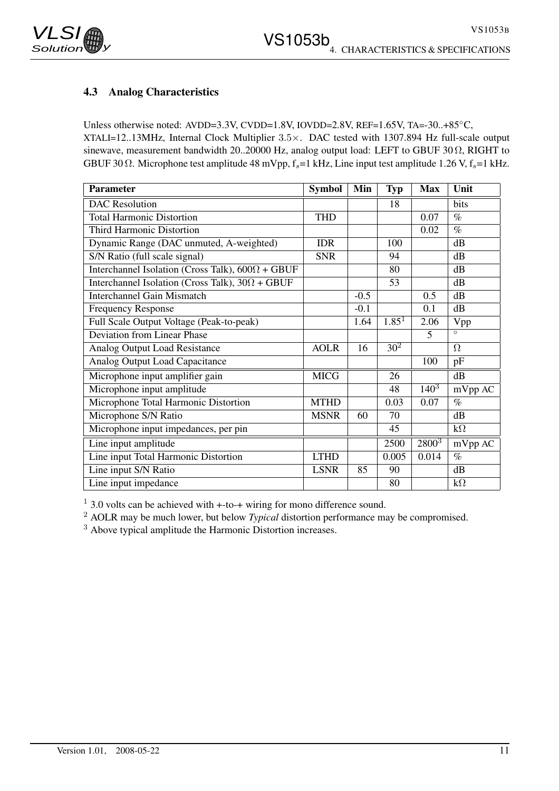

### 4.3 Analog Characteristics

Unless otherwise noted: AVDD=3.3V, CVDD=1.8V, IOVDD=2.8V, REF=1.65V, TA=-30..+85◦C, XTALI=12..13MHz, Internal Clock Multiplier 3.5×. DAC tested with 1307.894 Hz full-scale output sinewave, measurement bandwidth 20..20000 Hz, analog output load: LEFT to GBUF 30 Ω, RIGHT to GBUF 30  $\Omega$ . Microphone test amplitude 48 mVpp,  $f_s$ =1 kHz, Line input test amplitude 1.26 V,  $f_s$ =1 kHz.

| <b>Parameter</b>                                        | <b>Symbol</b> | Min    | <b>Typ</b>        | <b>Max</b> | Unit      |
|---------------------------------------------------------|---------------|--------|-------------------|------------|-----------|
| <b>DAC</b> Resolution                                   |               |        | 18                |            | bits      |
| <b>Total Harmonic Distortion</b>                        | <b>THD</b>    |        |                   | 0.07       | $\%$      |
| Third Harmonic Distortion                               |               |        |                   | 0.02       | $\%$      |
| Dynamic Range (DAC unmuted, A-weighted)                 | <b>IDR</b>    |        | 100               |            | dB        |
| S/N Ratio (full scale signal)                           | <b>SNR</b>    |        | 94                |            | dB        |
| Interchannel Isolation (Cross Talk), $600\Omega + GBUF$ |               |        | 80                |            | dB        |
| Interchannel Isolation (Cross Talk), $30\Omega + GBUF$  |               |        | 53                |            | dB        |
| <b>Interchannel Gain Mismatch</b>                       |               | $-0.5$ |                   | 0.5        | dB        |
| <b>Frequency Response</b>                               |               | $-0.1$ |                   | 0.1        | dB        |
| Full Scale Output Voltage (Peak-to-peak)                |               | 1.64   | 1.85 <sup>1</sup> | 2.06       | Vpp       |
| Deviation from Linear Phase                             |               |        |                   | 5          | $\circ$   |
| Analog Output Load Resistance                           | <b>AOLR</b>   | 16     | 30 <sup>2</sup>   |            | $\Omega$  |
| Analog Output Load Capacitance                          |               |        |                   | 100        | pF        |
| Microphone input amplifier gain                         | <b>MICG</b>   |        | 26                |            | dB        |
| Microphone input amplitude                              |               |        | 48                | $140^{3}$  | mVpp AC   |
| Microphone Total Harmonic Distortion                    | <b>MTHD</b>   |        | 0.03              | 0.07       | $\%$      |
| Microphone S/N Ratio                                    | <b>MSNR</b>   | 60     | 70                |            | dB        |
| Microphone input impedances, per pin                    |               |        | 45                |            | $k\Omega$ |
| Line input amplitude                                    |               |        | 2500              | $2800^{3}$ | mVpp AC   |
| Line input Total Harmonic Distortion                    | <b>LTHD</b>   |        | 0.005             | 0.014      | $\%$      |
| Line input S/N Ratio                                    | <b>LSNR</b>   | 85     | 90                |            | dB        |
| Line input impedance                                    |               |        | 80                |            | $k\Omega$ |

<sup>1</sup> 3.0 volts can be achieved with +-to-+ wiring for mono difference sound.

<sup>2</sup> AOLR may be much lower, but below *Typical* distortion performance may be compromised.

<sup>3</sup> Above typical amplitude the Harmonic Distortion increases.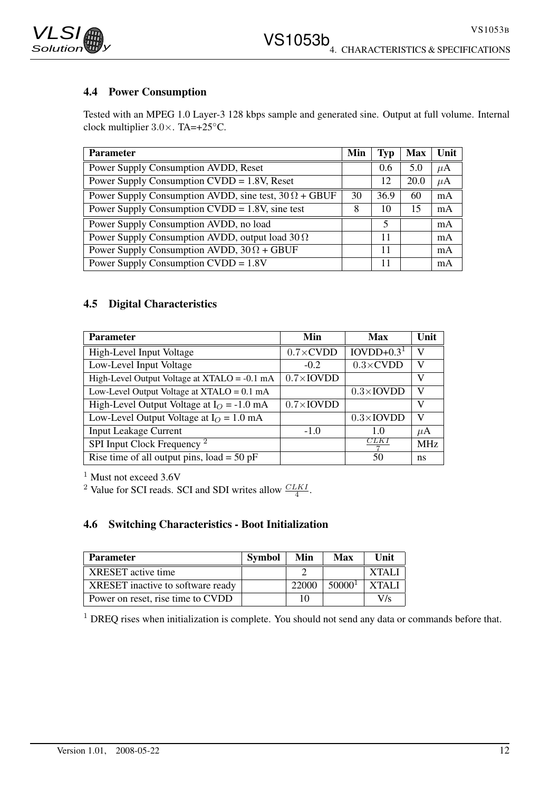

# 4.4 Power Consumption

Tested with an MPEG 1.0 Layer-3 128 kbps sample and generated sine. Output at full volume. Internal clock multiplier 3.0×. TA=+25◦C.

| <b>Parameter</b>                                            | Min | Typ  | <b>Max</b> | Unit    |
|-------------------------------------------------------------|-----|------|------------|---------|
| Power Supply Consumption AVDD, Reset                        |     | 0.6  | 5.0        | $\mu$ A |
| Power Supply Consumption $CVDD = 1.8V$ , Reset              |     | 12   | 20.0       | $\mu$ A |
| Power Supply Consumption AVDD, sine test, $30\Omega + GBUF$ | 30  | 36.9 | 60         | mA      |
| Power Supply Consumption $CVDD = 1.8V$ , sine test          | 8   | 10   | 15         | mA      |
| Power Supply Consumption AVDD, no load                      |     | 5    |            | mA      |
| Power Supply Consumption AVDD, output load $30\Omega$       |     | 11   |            | mA      |
| Power Supply Consumption AVDD, $30\Omega + GBUF$            |     | 11   |            | mA      |
| Power Supply Consumption CVDD = 1.8V                        |     | 11   |            | mA      |

# 4.5 Digital Characteristics

| <b>Parameter</b>                             | Min                      | <b>Max</b>               | Unit       |
|----------------------------------------------|--------------------------|--------------------------|------------|
| High-Level Input Voltage                     | $0.7 \times$ CVDD        | $IOVDD+0.31$             | v          |
| Low-Level Input Voltage                      | $-0.2$                   | $0.3 \times$ CVDD        | v          |
| High-Level Output Voltage at XTALO = -0.1 mA | $0.7\times$ <b>IOVDD</b> |                          | V          |
| Low-Level Output Voltage at $XTALO = 0.1$ mA |                          | $0.3\times$ <b>IOVDD</b> | V          |
| High-Level Output Voltage at $IO = -1.0$ mA  | $0.7\times$ IOVDD        |                          | V          |
| Low-Level Output Voltage at $I_O = 1.0$ mA   |                          | $0.3\times$ IOVDD        | V          |
| <b>Input Leakage Current</b>                 | $-1.0$                   | 1.0                      | $\mu$ A    |
| SPI Input Clock Frequency <sup>2</sup>       |                          | CLK l                    | <b>MHz</b> |
| Rise time of all output pins, $load = 50$ pF |                          | 50                       | ns         |

<sup>1</sup> Must not exceed 3.6V

<sup>2</sup> Value for SCI reads. SCI and SDI writes allow  $\frac{CLKI}{4}$ .

# 4.6 Switching Characteristics - Boot Initialization

| <b>Parameter</b>                  | Symbol | Min   | Max                | Unit         |
|-----------------------------------|--------|-------|--------------------|--------------|
| XRESET active time                |        |       |                    | <b>XTALI</b> |
| XRESET inactive to software ready |        | 22000 | 50000 <sup>1</sup> | <b>XTALI</b> |
| Power on reset, rise time to CVDD |        |       |                    | V/s          |

<sup>1</sup> DREQ rises when initialization is complete. You should not send any data or commands before that.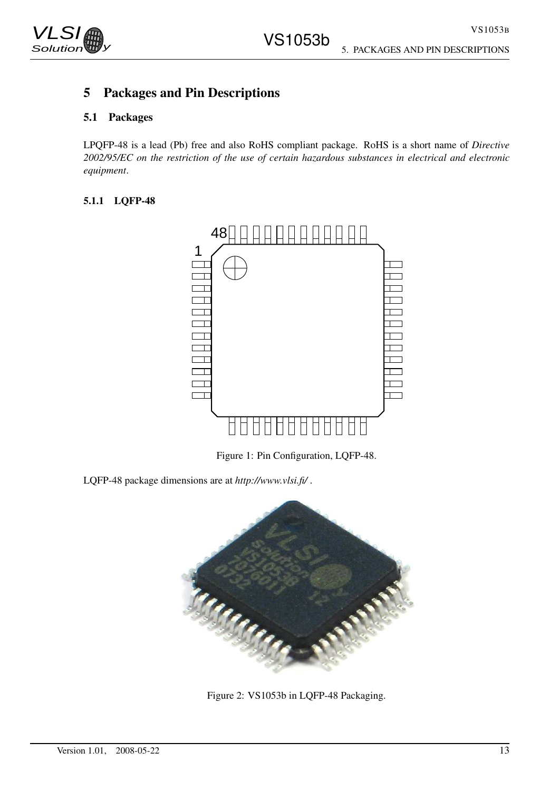

# 5 Packages and Pin Descriptions

# 5.1 Packages

LPQFP-48 is a lead (Pb) free and also RoHS compliant package. RoHS is a short name of *Directive 2002/95/EC on the restriction of the use of certain hazardous substances in electrical and electronic equipment*.

### 5.1.1 LQFP-48



Figure 1: Pin Configuration, LQFP-48.

LQFP-48 package dimensions are at *http://www.vlsi.fi/* .



Figure 2: VS1053b in LQFP-48 Packaging.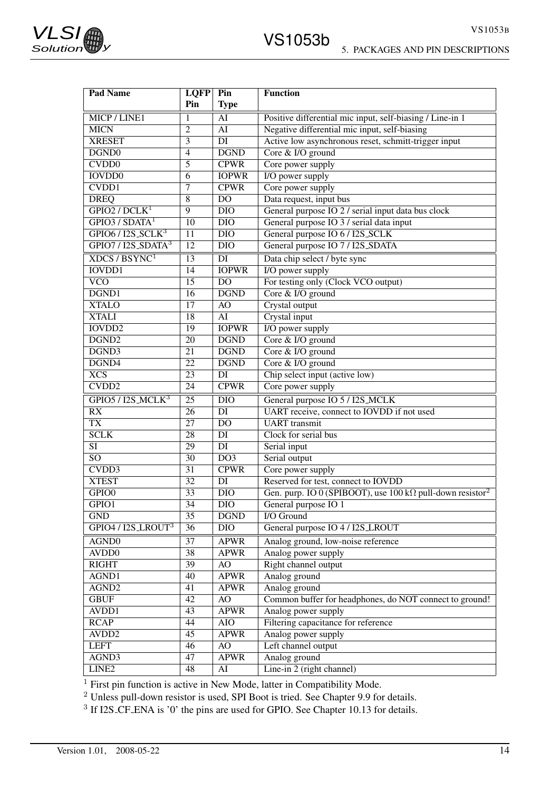| <b>Pad Name</b>                                       | <b>LQFP</b>     | Pin                      | <b>Function</b>                                                               |
|-------------------------------------------------------|-----------------|--------------------------|-------------------------------------------------------------------------------|
|                                                       | Pin             | <b>Type</b>              |                                                                               |
| MICP/LINE1                                            | $\mathbf 1$     | $\overline{AI}$          | Positive differential mic input, self-biasing / Line-in 1                     |
| <b>MICN</b>                                           | 2               | AI                       | Negative differential mic input, self-biasing                                 |
| <b>XRESET</b>                                         | 3               | $\overline{DI}$          | Active low asynchronous reset, schmitt-trigger input                          |
| DGND0                                                 | $\overline{4}$  | $\overline{\text{DGND}}$ | Core & I/O ground                                                             |
| CVD <sub>D</sub> <sub>0</sub>                         | 5               | <b>CPWR</b>              | Core power supply                                                             |
| <b>IOVDD0</b>                                         | 6               | <b>IOPWR</b>             | I/O power supply                                                              |
| CVDD1                                                 | 7               | <b>CPWR</b>              | Core power supply                                                             |
| <b>DREQ</b>                                           | 8               | D <sub>O</sub>           | Data request, input bus                                                       |
| GPIO2 / DCLK <sup>1</sup>                             | 9               | <b>DIO</b>               | General purpose IO 2 / serial input data bus clock                            |
| GPIO3 / SDATA <sup>1</sup>                            | 10              | <b>DIO</b>               | General purpose IO 3 / serial data input                                      |
| $GPIO6 / I2S$ _SCLK <sup>3</sup>                      | 11              | <b>DIO</b>               | General purpose IO 6 / I2S_SCLK                                               |
| GPIO7 / I2S_SDATA <sup>3</sup>                        | $\overline{12}$ | <b>DIO</b>               | General purpose IO 7 / I2S_SDATA                                              |
| XDCS/BSYNC <sup>1</sup>                               | $\overline{13}$ | DI                       | Data chip select / byte sync                                                  |
| <b>IOVDD1</b>                                         | 14              | <b>IOPWR</b>             | I/O power supply                                                              |
| $\overline{VCO}$                                      | 15              | D <sub>O</sub>           | For testing only (Clock VCO output)                                           |
| DGND1                                                 | 16              | <b>DGND</b>              | Core & I/O ground                                                             |
| <b>XTALO</b>                                          | 17              | AO                       | Crystal output                                                                |
| <b>XTALI</b>                                          | 18              | $\overline{AI}$          | Crystal input                                                                 |
| <b>IOVDD2</b>                                         | 19              | <b>IOPWR</b>             | I/O power supply                                                              |
| DGND <sub>2</sub>                                     | 20              | <b>DGND</b>              | Core & I/O ground                                                             |
| DGND3                                                 | 21              | <b>DGND</b>              | Core & I/O ground                                                             |
| DGND4                                                 | $\overline{22}$ | <b>DGND</b>              | Core & I/O ground                                                             |
| $\overline{XCS}$                                      | 23              | DI                       | Chip select input (active low)                                                |
| CVDD <sub>2</sub>                                     | 24              | <b>CPWR</b>              | Core power supply                                                             |
| GPIO5 / I2S_MCLK <sup>3</sup>                         | $\overline{25}$ | $\overline{DIO}$         | General purpose IO 5 / I2S_MCLK                                               |
| RX                                                    | 26              | DI                       | UART receive, connect to IOVDD if not used                                    |
| <b>TX</b>                                             | 27              | D <sub>O</sub>           | <b>UART</b> transmit                                                          |
| <b>SCLK</b>                                           | $\overline{28}$ | DI                       | Clock for serial bus                                                          |
| $\overline{SI}$                                       | 29              | DI                       | Serial input                                                                  |
| $\overline{SO}$                                       | $\overline{30}$ | DO <sub>3</sub>          | Serial output                                                                 |
| CVDD3                                                 | 31              | <b>CPWR</b>              | Core power supply                                                             |
| <b>XTEST</b>                                          | $\overline{32}$ | DI                       | Reserved for test, connect to IOVDD                                           |
| GPIO <sub>0</sub>                                     | $\overline{33}$ | <b>DIO</b>               | Gen. purp. IO 0 (SPIBOOT), use 100 k $\Omega$ pull-down resistor <sup>2</sup> |
| GPIO1                                                 | $\overline{34}$ | <b>DIO</b>               | General purpose IO 1                                                          |
| <b>GND</b>                                            | 35              | <b>DGND</b>              | I/O Ground                                                                    |
| GPIO <sub>4</sub> /I <sub>2S</sub> LROUT <sup>3</sup> | 36              | $\overline{DIO}$         | General purpose IO 4 / I2S_LROUT                                              |
| AGND0                                                 | $\overline{37}$ | <b>APWR</b>              | Analog ground, low-noise reference                                            |
| AVD <sub>D</sub>                                      | $\overline{38}$ | <b>APWR</b>              | Analog power supply                                                           |
| <b>RIGHT</b>                                          | 39              | AO                       | Right channel output                                                          |
| AGND1                                                 | 40              | <b>APWR</b>              | Analog ground                                                                 |
| AGND <sub>2</sub>                                     | 41              | <b>APWR</b>              | Analog ground                                                                 |
| <b>GBUF</b>                                           | 42              | AO                       | Common buffer for headphones, do NOT connect to ground!                       |
| AVDD1                                                 | 43              | <b>APWR</b>              | Analog power supply                                                           |
| <b>RCAP</b>                                           | 44              | <b>AIO</b>               | Filtering capacitance for reference                                           |
| AVDD <sub>2</sub>                                     | 45              | <b>APWR</b>              | Analog power supply                                                           |
| <b>LEFT</b>                                           | 46              | AO                       | Left channel output                                                           |
| AGND3                                                 | 47              | <b>APWR</b>              | Analog ground                                                                 |
| LINE <sub>2</sub>                                     | 48              | AI                       | Line-in 2 (right channel)                                                     |

 $<sup>1</sup>$  First pin function is active in New Mode, latter in Compatibility Mode.</sup>

 $2$  Unless pull-down resistor is used, SPI Boot is tried. See Chapter 9.9 for details.

 $3$  If I2S CF ENA is '0' the pins are used for GPIO. See Chapter 10.13 for details.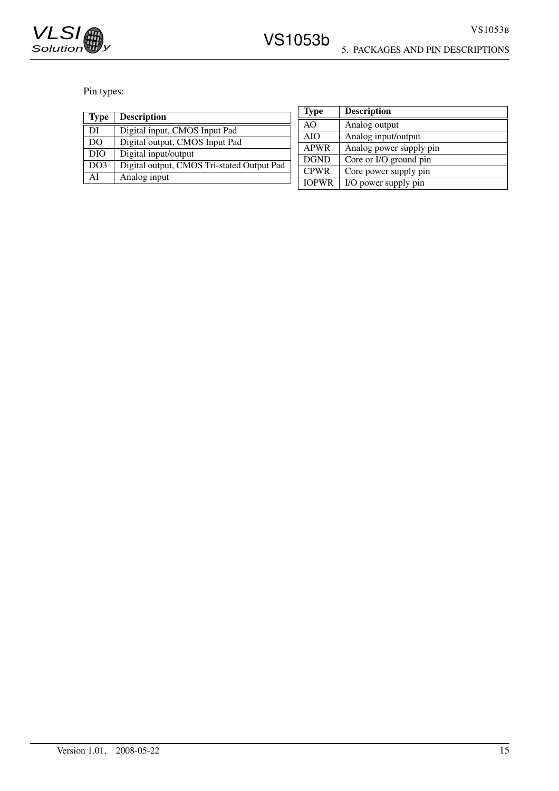

Pin types:

| <b>Type</b> | <b>Description</b>                         |
|-------------|--------------------------------------------|
| DI          | Digital input, CMOS Input Pad              |
| DO          | Digital output, CMOS Input Pad             |
| <b>DIO</b>  | Digital input/output                       |
| DO3         | Digital output, CMOS Tri-stated Output Pad |
| ΑI          | Analog input                               |

| Type         | <b>Description</b>      |
|--------------|-------------------------|
| AO           | Analog output           |
| <b>AIO</b>   | Analog input/output     |
| <b>APWR</b>  | Analog power supply pin |
| <b>DGND</b>  | Core or I/O ground pin  |
| <b>CPWR</b>  | Core power supply pin   |
| <b>IOPWR</b> | I/O power supply pin    |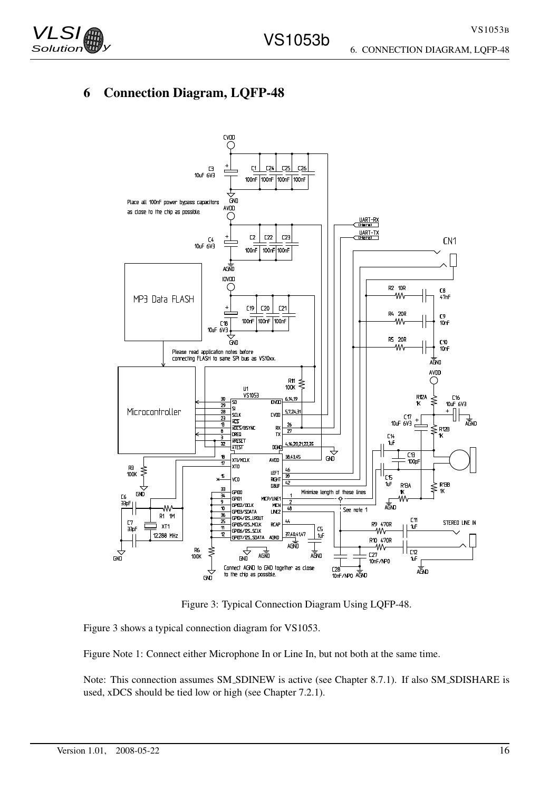

# 6 Connection Diagram, LQFP-48



Figure 3: Typical Connection Diagram Using LQFP-48.

Figure 3 shows a typical connection diagram for VS1053.

Figure Note 1: Connect either Microphone In or Line In, but not both at the same time.

Note: This connection assumes SM SDINEW is active (see Chapter 8.7.1). If also SM SDISHARE is used, xDCS should be tied low or high (see Chapter 7.2.1).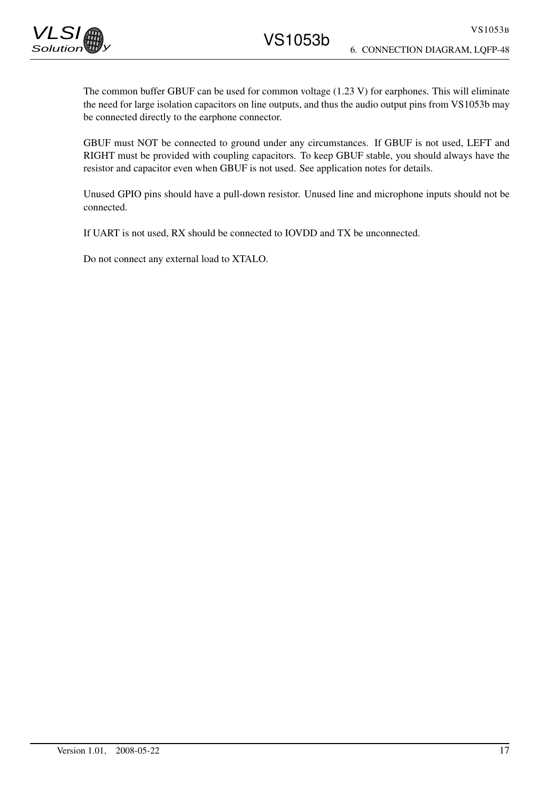The common buffer GBUF can be used for common voltage (1.23 V) for earphones. This will eliminate the need for large isolation capacitors on line outputs, and thus the audio output pins from VS1053b may be connected directly to the earphone connector.

GBUF must NOT be connected to ground under any circumstances. If GBUF is not used, LEFT and RIGHT must be provided with coupling capacitors. To keep GBUF stable, you should always have the resistor and capacitor even when GBUF is not used. See application notes for details.

Unused GPIO pins should have a pull-down resistor. Unused line and microphone inputs should not be connected.

If UART is not used, RX should be connected to IOVDD and TX be unconnected.

Do not connect any external load to XTALO.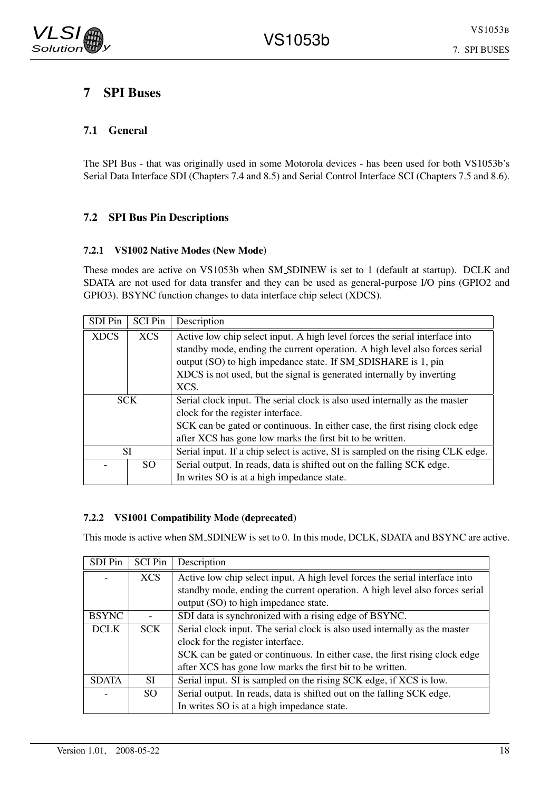# 7 SPI Buses

# 7.1 General

The SPI Bus - that was originally used in some Motorola devices - has been used for both VS1053b's Serial Data Interface SDI (Chapters 7.4 and 8.5) and Serial Control Interface SCI (Chapters 7.5 and 8.6).

# 7.2 SPI Bus Pin Descriptions

#### 7.2.1 VS1002 Native Modes (New Mode)

These modes are active on VS1053b when SM SDINEW is set to 1 (default at startup). DCLK and SDATA are not used for data transfer and they can be used as general-purpose I/O pins (GPIO2 and GPIO3). BSYNC function changes to data interface chip select (XDCS).

| SDI Pin     | <b>SCI Pin</b> | Description                                                                     |  |  |  |  |  |  |
|-------------|----------------|---------------------------------------------------------------------------------|--|--|--|--|--|--|
| <b>XDCS</b> | <b>XCS</b>     | Active low chip select input. A high level forces the serial interface into     |  |  |  |  |  |  |
|             |                | standby mode, ending the current operation. A high level also forces serial     |  |  |  |  |  |  |
|             |                | output (SO) to high impedance state. If SM_SDISHARE is 1, pin                   |  |  |  |  |  |  |
|             |                | XDCS is not used, but the signal is generated internally by inverting           |  |  |  |  |  |  |
| XCS.        |                |                                                                                 |  |  |  |  |  |  |
| <b>SCK</b>  |                | Serial clock input. The serial clock is also used internally as the master      |  |  |  |  |  |  |
|             |                | clock for the register interface.                                               |  |  |  |  |  |  |
|             |                | SCK can be gated or continuous. In either case, the first rising clock edge     |  |  |  |  |  |  |
|             |                | after XCS has gone low marks the first bit to be written.                       |  |  |  |  |  |  |
|             | SI             | Serial input. If a chip select is active, SI is sampled on the rising CLK edge. |  |  |  |  |  |  |
|             | SO.            | Serial output. In reads, data is shifted out on the falling SCK edge.           |  |  |  |  |  |  |
|             |                | In writes SO is at a high impedance state.                                      |  |  |  |  |  |  |

### 7.2.2 VS1001 Compatibility Mode (deprecated)

This mode is active when SM SDINEW is set to 0. In this mode, DCLK, SDATA and BSYNC are active.

| SDI Pin      | <b>SCI Pin</b> | Description                                                                 |
|--------------|----------------|-----------------------------------------------------------------------------|
|              | <b>XCS</b>     | Active low chip select input. A high level forces the serial interface into |
|              |                | standby mode, ending the current operation. A high level also forces serial |
|              |                | output (SO) to high impedance state.                                        |
| <b>BSYNC</b> |                | SDI data is synchronized with a rising edge of BSYNC.                       |
| <b>DCLK</b>  | SCK            | Serial clock input. The serial clock is also used internally as the master  |
|              |                | clock for the register interface.                                           |
|              |                | SCK can be gated or continuous. In either case, the first rising clock edge |
|              |                | after XCS has gone low marks the first bit to be written.                   |
| <b>SDATA</b> | SI.            | Serial input. SI is sampled on the rising SCK edge, if XCS is low.          |
|              | SO.            | Serial output. In reads, data is shifted out on the falling SCK edge.       |
|              |                | In writes SO is at a high impedance state.                                  |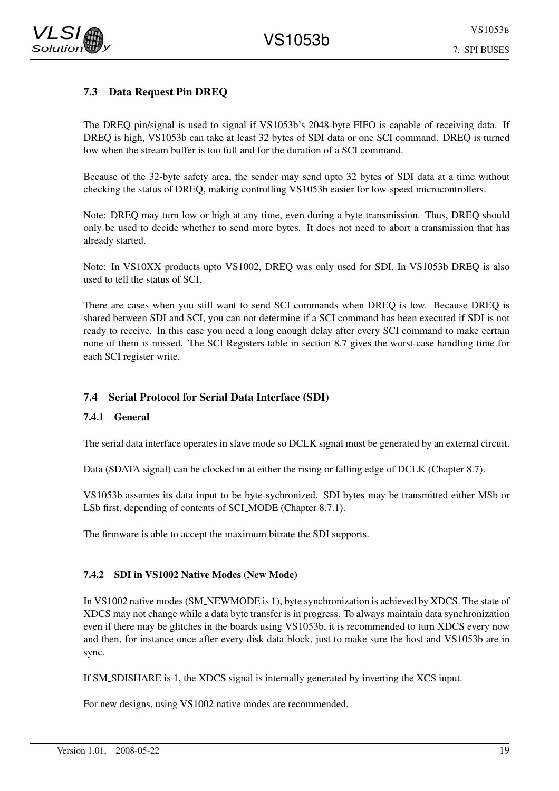# 7. SPI BUSES

# 7.3 Data Request Pin DREQ

The DREQ pin/signal is used to signal if VS1053b's 2048-byte FIFO is capable of receiving data. If DREQ is high, VS1053b can take at least 32 bytes of SDI data or one SCI command. DREQ is turned low when the stream buffer is too full and for the duration of a SCI command.

Because of the 32-byte safety area, the sender may send upto 32 bytes of SDI data at a time without checking the status of DREQ, making controlling VS1053b easier for low-speed microcontrollers.

Note: DREQ may turn low or high at any time, even during a byte transmission. Thus, DREQ should only be used to decide whether to send more bytes. It does not need to abort a transmission that has already started.

Note: In VS10XX products upto VS1002, DREQ was only used for SDI. In VS1053b DREQ is also used to tell the status of SCI.

There are cases when you still want to send SCI commands when DREQ is low. Because DREQ is shared between SDI and SCI, you can not determine if a SCI command has been executed if SDI is not ready to receive. In this case you need a long enough delay after every SCI command to make certain none of them is missed. The SCI Registers table in section 8.7 gives the worst-case handling time for each SCI register write.

### 7.4 Serial Protocol for Serial Data Interface (SDI)

#### 7.4.1 General

The serial data interface operates in slave mode so DCLK signal must be generated by an external circuit.

Data (SDATA signal) can be clocked in at either the rising or falling edge of DCLK (Chapter 8.7).

VS1053b assumes its data input to be byte-sychronized. SDI bytes may be transmitted either MSb or LSb first, depending of contents of SCI MODE (Chapter 8.7.1).

The firmware is able to accept the maximum bitrate the SDI supports.

#### 7.4.2 SDI in VS1002 Native Modes (New Mode)

In VS1002 native modes (SM NEWMODE is 1), byte synchronization is achieved by XDCS. The state of XDCS may not change while a data byte transfer is in progress. To always maintain data synchronization even if there may be glitches in the boards using VS1053b, it is recommended to turn XDCS every now and then, for instance once after every disk data block, just to make sure the host and VS1053b are in sync.

If SM SDISHARE is 1, the XDCS signal is internally generated by inverting the XCS input.

For new designs, using VS1002 native modes are recommended.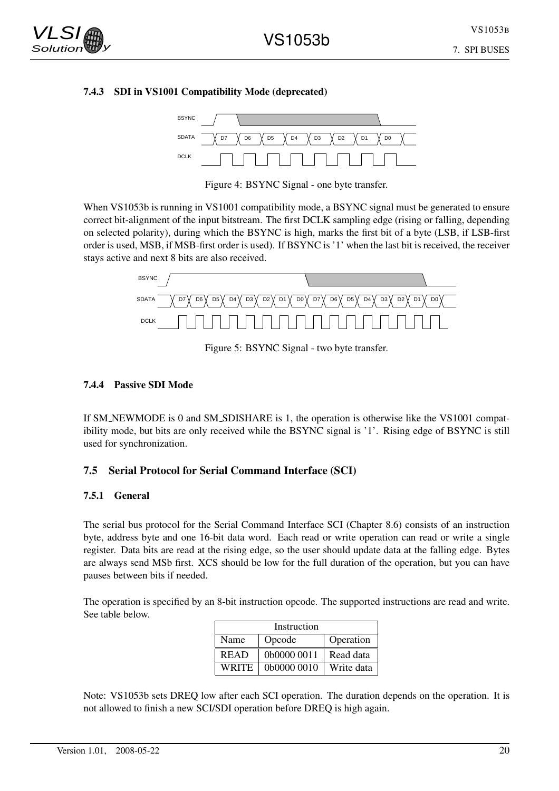#### 7.4.3 SDI in VS1001 Compatibility Mode (deprecated)



Figure 4: BSYNC Signal - one byte transfer.

When VS1053b is running in VS1001 compatibility mode, a BSYNC signal must be generated to ensure correct bit-alignment of the input bitstream. The first DCLK sampling edge (rising or falling, depending on selected polarity), during which the BSYNC is high, marks the first bit of a byte (LSB, if LSB-first order is used, MSB, if MSB-first order is used). If BSYNC is '1' when the last bit is received, the receiver stays active and next 8 bits are also received.



Figure 5: BSYNC Signal - two byte transfer.

#### 7.4.4 Passive SDI Mode

If SM NEWMODE is 0 and SM SDISHARE is 1, the operation is otherwise like the VS1001 compatibility mode, but bits are only received while the BSYNC signal is '1'. Rising edge of BSYNC is still used for synchronization.

#### 7.5 Serial Protocol for Serial Command Interface (SCI)

#### 7.5.1 General

The serial bus protocol for the Serial Command Interface SCI (Chapter 8.6) consists of an instruction byte, address byte and one 16-bit data word. Each read or write operation can read or write a single register. Data bits are read at the rising edge, so the user should update data at the falling edge. Bytes are always send MSb first. XCS should be low for the full duration of the operation, but you can have pauses between bits if needed.

The operation is specified by an 8-bit instruction opcode. The supported instructions are read and write. See table below.

| Instruction |             |            |  |  |  |  |  |  |  |  |  |
|-------------|-------------|------------|--|--|--|--|--|--|--|--|--|
| Name        | Operation   |            |  |  |  |  |  |  |  |  |  |
| <b>READ</b> | 0b0000 0011 | Read data  |  |  |  |  |  |  |  |  |  |
| WRITE       | 0b0000 0010 | Write data |  |  |  |  |  |  |  |  |  |

Note: VS1053b sets DREQ low after each SCI operation. The duration depends on the operation. It is not allowed to finish a new SCI/SDI operation before DREQ is high again.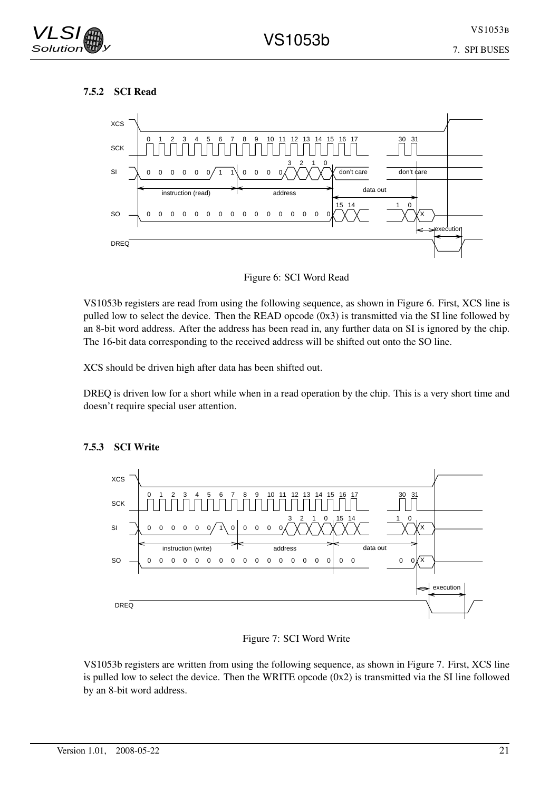#### 7.5.2 SCI Read



Figure 6: SCI Word Read

VS1053b registers are read from using the following sequence, as shown in Figure 6. First, XCS line is pulled low to select the device. Then the READ opcode (0x3) is transmitted via the SI line followed by an 8-bit word address. After the address has been read in, any further data on SI is ignored by the chip. The 16-bit data corresponding to the received address will be shifted out onto the SO line.

XCS should be driven high after data has been shifted out.

DREQ is driven low for a short while when in a read operation by the chip. This is a very short time and doesn't require special user attention.



### 7.5.3 SCI Write

#### Figure 7: SCI Word Write

VS1053b registers are written from using the following sequence, as shown in Figure 7. First, XCS line is pulled low to select the device. Then the WRITE opcode (0x2) is transmitted via the SI line followed by an 8-bit word address.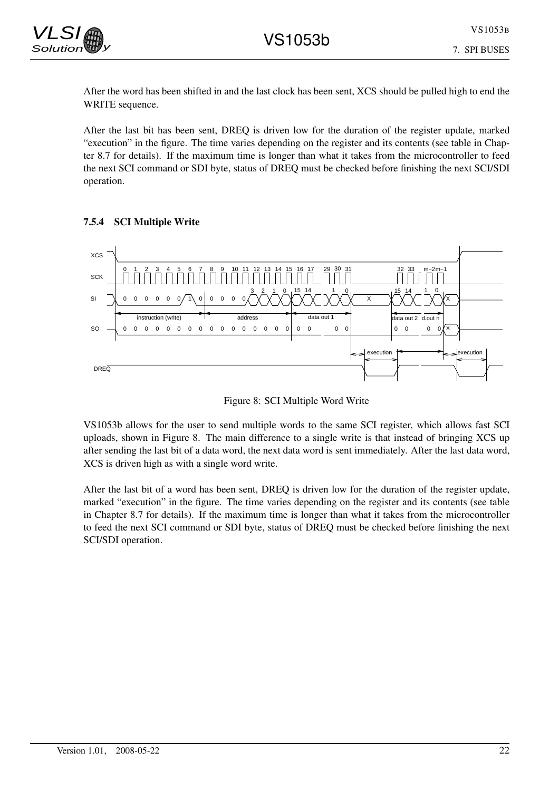

After the word has been shifted in and the last clock has been sent, XCS should be pulled high to end the WRITE sequence.

After the last bit has been sent, DREQ is driven low for the duration of the register update, marked "execution" in the figure. The time varies depending on the register and its contents (see table in Chapter 8.7 for details). If the maximum time is longer than what it takes from the microcontroller to feed the next SCI command or SDI byte, status of DREQ must be checked before finishing the next SCI/SDI operation.

#### 7.5.4 SCI Multiple Write



Figure 8: SCI Multiple Word Write

VS1053b allows for the user to send multiple words to the same SCI register, which allows fast SCI uploads, shown in Figure 8. The main difference to a single write is that instead of bringing XCS up after sending the last bit of a data word, the next data word is sent immediately. After the last data word, XCS is driven high as with a single word write.

After the last bit of a word has been sent, DREQ is driven low for the duration of the register update, marked "execution" in the figure. The time varies depending on the register and its contents (see table in Chapter 8.7 for details). If the maximum time is longer than what it takes from the microcontroller to feed the next SCI command or SDI byte, status of DREQ must be checked before finishing the next SCI/SDI operation.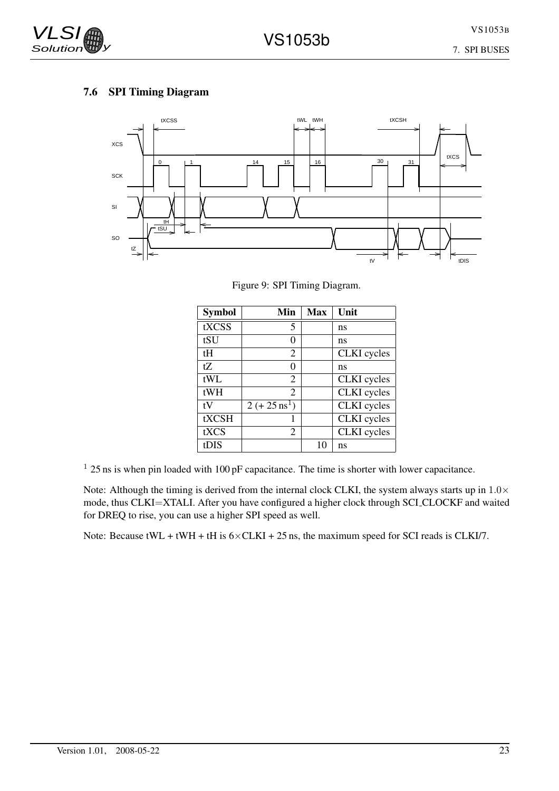# 7.6 SPI Timing Diagram



Figure 9: SPI Timing Diagram.

| <b>Symbol</b> | Min                     | <b>Max</b> | Unit               |
|---------------|-------------------------|------------|--------------------|
| tXCSS         | 5                       |            | ns                 |
| tSU           | 0                       |            | ns                 |
| tН            | 2                       |            | <b>CLKI</b> cycles |
| tZ            | 0                       |            | ns                 |
| tWL           | 2                       |            | <b>CLKI</b> cycles |
| tWH           | 2                       |            | <b>CLKI</b> cycles |
| tV            | $2 (+ 25 \text{ ns}^1)$ |            | <b>CLKI</b> cycles |
| tXCSH         |                         |            | <b>CLKI</b> cycles |
| tXCS          | 2                       |            | <b>CLKI</b> cycles |
| tDIS          |                         | 10         | ns                 |

 $125$  ns is when pin loaded with  $100$  pF capacitance. The time is shorter with lower capacitance.

Note: Although the timing is derived from the internal clock CLKI, the system always starts up in  $1.0\times$ mode, thus CLKI=XTALI. After you have configured a higher clock through SCI CLOCKF and waited for DREQ to rise, you can use a higher SPI speed as well.

Note: Because  $tWL + tWH + tH$  is  $6 \times CLKI + 25$  ns, the maximum speed for SCI reads is CLKI/7.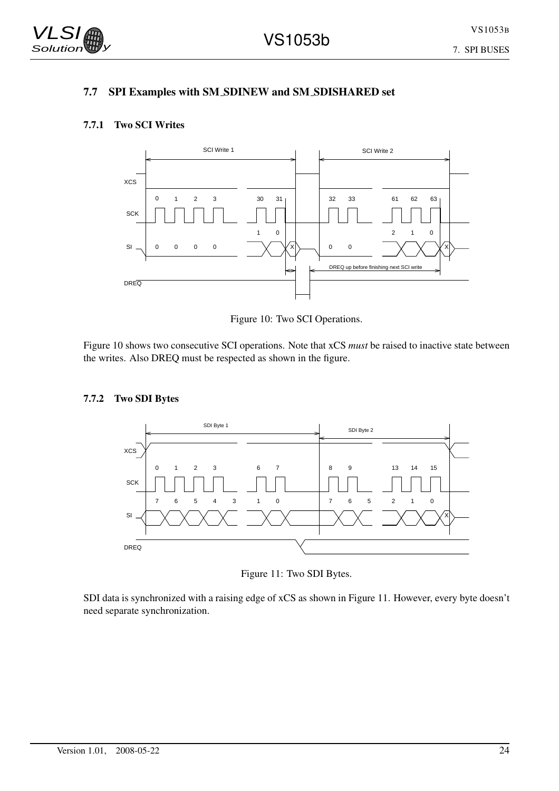VS1053B

# 7.7 SPI Examples with SM SDINEW and SM SDISHARED set

### 7.7.1 Two SCI Writes



Figure 10: Two SCI Operations.

Figure 10 shows two consecutive SCI operations. Note that xCS *must* be raised to inactive state between the writes. Also DREQ must be respected as shown in the figure.

#### 7.7.2 Two SDI Bytes



Figure 11: Two SDI Bytes.

SDI data is synchronized with a raising edge of xCS as shown in Figure 11. However, every byte doesn't need separate synchronization.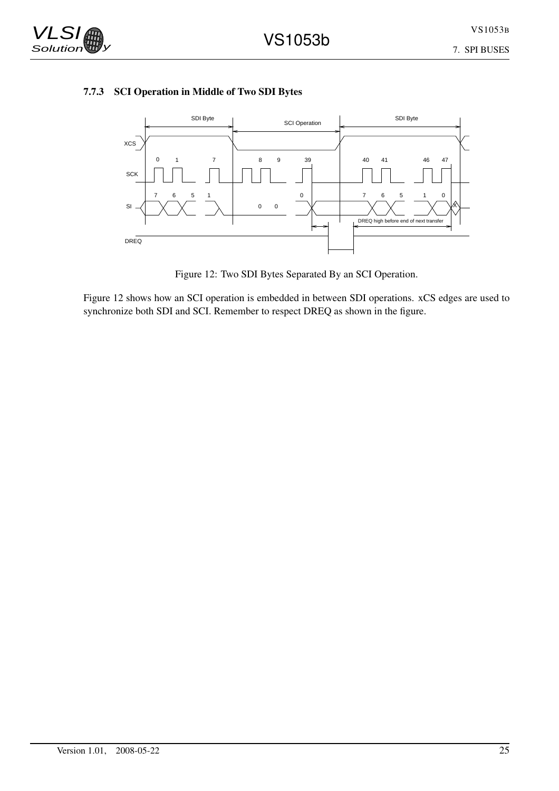

### 7.7.3 SCI Operation in Middle of Two SDI Bytes



Figure 12: Two SDI Bytes Separated By an SCI Operation.

Figure 12 shows how an SCI operation is embedded in between SDI operations. xCS edges are used to synchronize both SDI and SCI. Remember to respect DREQ as shown in the figure.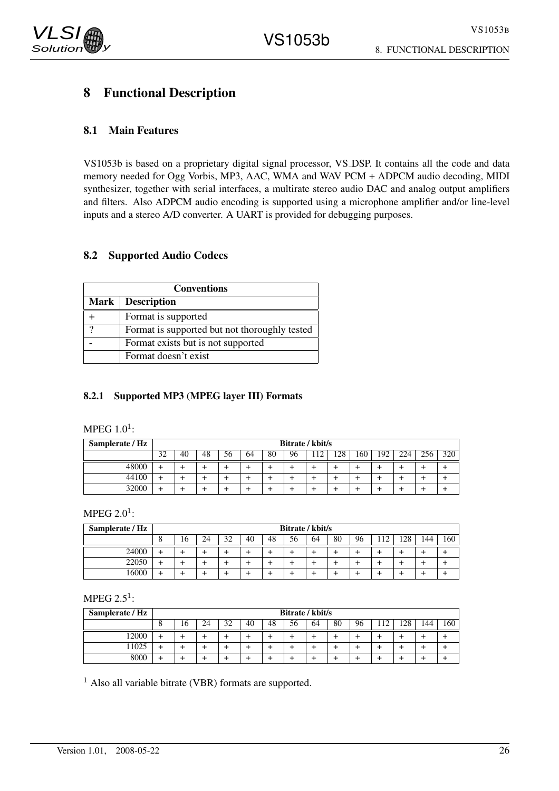# 8 Functional Description

# 8.1 Main Features

VS1053b is based on a proprietary digital signal processor, VS DSP. It contains all the code and data memory needed for Ogg Vorbis, MP3, AAC, WMA and WAV PCM + ADPCM audio decoding, MIDI synthesizer, together with serial interfaces, a multirate stereo audio DAC and analog output amplifiers and filters. Also ADPCM audio encoding is supported using a microphone amplifier and/or line-level inputs and a stereo A/D converter. A UART is provided for debugging purposes.

### 8.2 Supported Audio Codecs

|   | <b>Conventions</b>                            |  |  |  |  |  |  |  |  |  |  |
|---|-----------------------------------------------|--|--|--|--|--|--|--|--|--|--|
|   | Mark   Description                            |  |  |  |  |  |  |  |  |  |  |
|   | Format is supported                           |  |  |  |  |  |  |  |  |  |  |
| റ | Format is supported but not thoroughly tested |  |  |  |  |  |  |  |  |  |  |
|   | Format exists but is not supported            |  |  |  |  |  |  |  |  |  |  |
|   | Format doesn't exist                          |  |  |  |  |  |  |  |  |  |  |

#### 8.2.1 Supported MP3 (MPEG layer III) Formats

MPEG  $1.0^1$ :

| Samplerate / Hz | Bitrate / kbit/s |    |    |    |    |    |    |    |     |     |     |     |     |     |
|-----------------|------------------|----|----|----|----|----|----|----|-----|-----|-----|-----|-----|-----|
|                 | 32               | 40 | 48 | 56 | 64 | 80 | 96 | 12 | 128 | 160 | 192 | 224 | 256 | 320 |
| 48000           |                  |    |    |    |    |    |    |    |     |     |     |     |     |     |
| 44100           |                  |    |    |    |    |    |    |    |     |     |     |     |     |     |
| 32000           |                  |    |    |    |    |    |    |    |     |     |     |     |     |     |

MPEG 2.0 $^1$ :

| Samplerate / Hz | Bitrate / kbit/s |    |    |    |    |    |    |    |    |    |    |     |     |     |
|-----------------|------------------|----|----|----|----|----|----|----|----|----|----|-----|-----|-----|
|                 | $\circ$          | 16 | 24 | 32 | 40 | 48 | 56 | 64 | 80 | 96 | 12 | 128 | 144 | 160 |
| 24000           |                  |    |    |    |    |    |    |    |    |    |    |     |     |     |
| 22050           |                  |    |    |    |    |    |    |    |    |    |    |     |     |     |
| 16000           |                  |    |    |    |    |    |    |    |    |    |    |     |     |     |

MPEG 2.5<sup>1</sup>:

| Samplerate / Hz | Bitrate / kbit/s |    |    |    |    |    |    |    |    |    |                |     |     |     |
|-----------------|------------------|----|----|----|----|----|----|----|----|----|----------------|-----|-----|-----|
|                 | Ω                | 16 | 24 | 32 | 40 | 48 | 56 | 64 | 80 | 96 | 1 <sub>2</sub> | 128 | 144 | 160 |
| !2000           |                  |    |    | ÷  |    |    |    |    |    |    |                |     |     |     |
| 1025            |                  |    |    |    |    |    |    |    |    |    |                |     |     |     |
| 8000            |                  |    |    |    |    |    |    |    |    |    |                |     |     |     |

<sup>1</sup> Also all variable bitrate (VBR) formats are supported.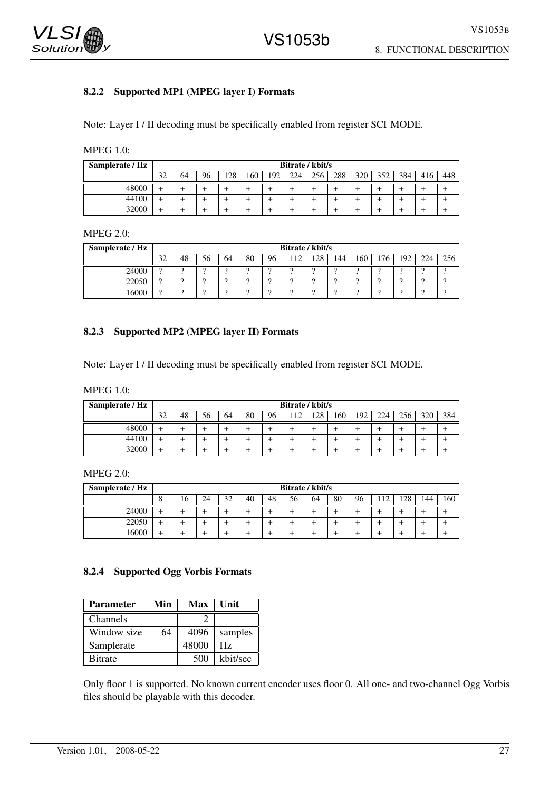

#### 8.2.2 Supported MP1 (MPEG layer I) Formats

Note: Layer I / II decoding must be specifically enabled from register SCI MODE.

MPEG 1.0:

| Samplerate / Hz |    |                                                                                       |  |  |  |  |  | Bitrate / kbit/s |  |  |  |  |  |  |
|-----------------|----|---------------------------------------------------------------------------------------|--|--|--|--|--|------------------|--|--|--|--|--|--|
|                 | 32 | 256<br>160<br>288<br>352<br>384<br>96<br>128<br>192<br>320<br>224<br>448<br>416<br>64 |  |  |  |  |  |                  |  |  |  |  |  |  |
| 48000           |    |                                                                                       |  |  |  |  |  |                  |  |  |  |  |  |  |
| 44100           |    |                                                                                       |  |  |  |  |  |                  |  |  |  |  |  |  |
| 32000           |    |                                                                                       |  |  |  |  |  |                  |  |  |  |  |  |  |

#### MPEG 2.0:

| Samplerate / Hz |           |                                                                                  |  |          |          |  | Bitrate / kbit/s |          |  |  |          |  |  |  |  |
|-----------------|-----------|----------------------------------------------------------------------------------|--|----------|----------|--|------------------|----------|--|--|----------|--|--|--|--|
|                 | 32<br>ے ر | 192<br>28<br>76<br>224<br>256<br>48<br>80<br>56<br>160<br>64<br>96<br>144<br>⊥∠∪ |  |          |          |  |                  |          |  |  |          |  |  |  |  |
| 24000           | ີ         |                                                                                  |  | ີ        | $\Omega$ |  |                  | $\Omega$ |  |  | $\Omega$ |  |  |  |  |
| 22050           | $\Omega$  |                                                                                  |  | $\Omega$ | $\Omega$ |  |                  | $\Omega$ |  |  |          |  |  |  |  |
| .6000           | $\Omega$  |                                                                                  |  | $\Omega$ | $\Omega$ |  |                  | $\Omega$ |  |  |          |  |  |  |  |

#### 8.2.3 Supported MP2 (MPEG layer II) Formats

Note: Layer I / II decoding must be specifically enabled from register SCI MODE.

| Samplerate / Hz |    |                                                                                   |  |  |  |  | Bitrate / kbit/s |  |  |  |  |  |  |  |  |
|-----------------|----|-----------------------------------------------------------------------------------|--|--|--|--|------------------|--|--|--|--|--|--|--|--|
|                 | 32 | 384<br>48<br>56<br>256<br>80<br>96<br>128<br>224<br>320<br>160<br>192<br>12<br>64 |  |  |  |  |                  |  |  |  |  |  |  |  |  |
| 48000           |    |                                                                                   |  |  |  |  |                  |  |  |  |  |  |  |  |  |
| 44100           |    |                                                                                   |  |  |  |  |                  |  |  |  |  |  |  |  |  |
| 32000           |    |                                                                                   |  |  |  |  |                  |  |  |  |  |  |  |  |  |

MPEG 2.0:

| Samplerate / Hz |          |    |    |    |    |    | Bitrate / kbit/s |    |    |    |    |     |     |     |
|-----------------|----------|----|----|----|----|----|------------------|----|----|----|----|-----|-----|-----|
|                 | $\bf{c}$ | 16 | 24 | 32 | 40 | 48 | 56               | 64 | 80 | 96 | 12 | 128 | 144 | 160 |
| 24000           |          |    |    |    |    |    |                  |    |    |    |    |     |     |     |
| 22050           |          |    |    |    |    |    |                  |    |    |    |    |     |     |     |
| 16000           |          |    |    |    |    |    |                  |    |    |    |    |     |     |     |

#### 8.2.4 Supported Ogg Vorbis Formats

| <b>Parameter</b> | Min | Max   | Unit     |
|------------------|-----|-------|----------|
| Channels         |     |       |          |
| Window size      | 64  | 4096  | samples  |
| Samplerate       |     | 48000 | Hz       |
| <b>B</b> itrate  |     | 500   | kbit/sec |

Only floor 1 is supported. No known current encoder uses floor 0. All one- and two-channel Ogg Vorbis files should be playable with this decoder.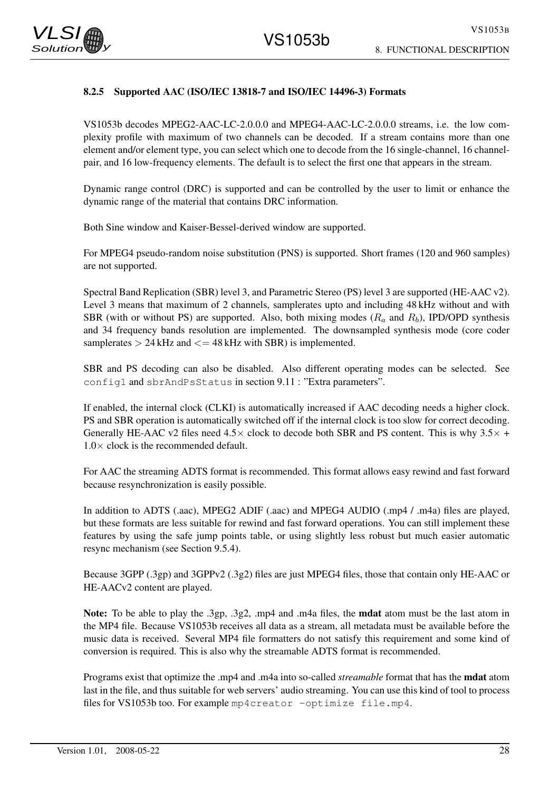

#### 8.2.5 Supported AAC (ISO/IEC 13818-7 and ISO/IEC 14496-3) Formats

VS1053b decodes MPEG2-AAC-LC-2.0.0.0 and MPEG4-AAC-LC-2.0.0.0 streams, i.e. the low complexity profile with maximum of two channels can be decoded. If a stream contains more than one element and/or element type, you can select which one to decode from the 16 single-channel, 16 channelpair, and 16 low-frequency elements. The default is to select the first one that appears in the stream.

Dynamic range control (DRC) is supported and can be controlled by the user to limit or enhance the dynamic range of the material that contains DRC information.

Both Sine window and Kaiser-Bessel-derived window are supported.

For MPEG4 pseudo-random noise substitution (PNS) is supported. Short frames (120 and 960 samples) are not supported.

Spectral Band Replication (SBR) level 3, and Parametric Stereo (PS) level 3 are supported (HE-AAC v2). Level 3 means that maximum of 2 channels, samplerates upto and including 48 kHz without and with SBR (with or without PS) are supported. Also, both mixing modes  $(R_a$  and  $R_b)$ , IPD/OPD synthesis and 34 frequency bands resolution are implemented. The downsampled synthesis mode (core coder samplerates  $> 24$  kHz and  $<= 48$  kHz with SBR) is implemented.

SBR and PS decoding can also be disabled. Also different operating modes can be selected. See config1 and sbrAndPsStatus in section 9.11 : "Extra parameters".

If enabled, the internal clock (CLKI) is automatically increased if AAC decoding needs a higher clock. PS and SBR operation is automatically switched off if the internal clock is too slow for correct decoding. Generally HE-AAC v2 files need  $4.5\times$  clock to decode both SBR and PS content. This is why  $3.5\times$  +  $1.0 \times$  clock is the recommended default.

For AAC the streaming ADTS format is recommended. This format allows easy rewind and fast forward because resynchronization is easily possible.

In addition to ADTS (.aac), MPEG2 ADIF (.aac) and MPEG4 AUDIO (.mp4 / .m4a) files are played, but these formats are less suitable for rewind and fast forward operations. You can still implement these features by using the safe jump points table, or using slightly less robust but much easier automatic resync mechanism (see Section 9.5.4).

Because 3GPP (.3gp) and 3GPPv2 (.3g2) files are just MPEG4 files, those that contain only HE-AAC or HE-AACv2 content are played.

Note: To be able to play the .3gp, .3g2, .mp4 and .m4a files, the **mdat** atom must be the last atom in the MP4 file. Because VS1053b receives all data as a stream, all metadata must be available before the music data is received. Several MP4 file formatters do not satisfy this requirement and some kind of conversion is required. This is also why the streamable ADTS format is recommended.

Programs exist that optimize the .mp4 and .m4a into so-called *streamable* format that has the mdat atom last in the file, and thus suitable for web servers' audio streaming. You can use this kind of tool to process files for VS1053b too. For example mp4creator -optimize file.mp4.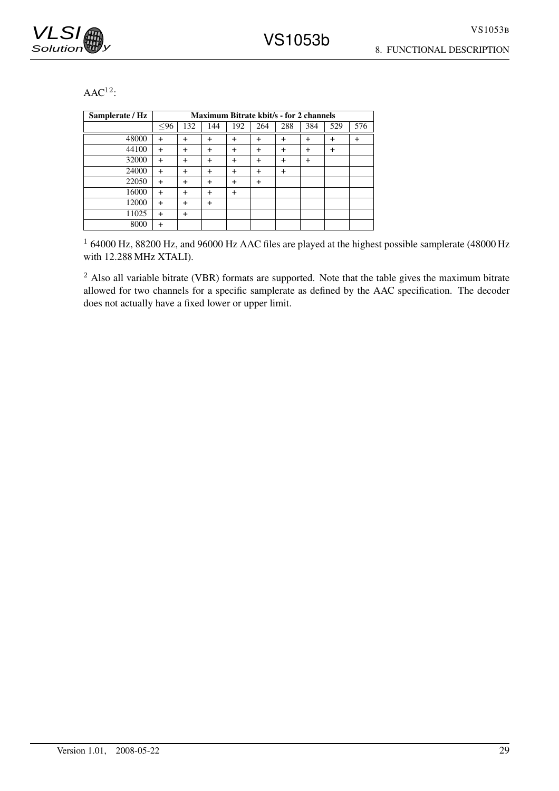

8. FUNCTIONAL DESCRIPTION

 $AAC<sup>12</sup>$ :

| Samplerate / Hz |           |           |           | <b>Maximum Bitrate kbit/s - for 2 channels</b> |           |                |           |     |           |
|-----------------|-----------|-----------|-----------|------------------------------------------------|-----------|----------------|-----------|-----|-----------|
|                 | $96$      | 132       | 144       | 192                                            | 264       | 288            | 384       | 529 | 576       |
| 48000           | $+$       | $^{+}$    | $\ddot{}$ | $+$                                            | $+$       | $\ddot{}$      | $\ddot{}$ | $+$ | $\ddot{}$ |
| 44100           | $\ddot{}$ | $\ddot{}$ | $\ddot{}$ | $\ddot{}$                                      | $+$       | $\ddot{}$      | $\ddot{}$ | $+$ |           |
| 32000           | $\ddot{}$ | $\ddot{}$ | $\ddot{}$ | $\ddot{}$                                      | $\ddot{}$ | $\ddot{}$      | $\ddot{}$ |     |           |
| 24000           | $\ddot{}$ | $^{+}$    | $\ddot{}$ | $\ddot{}$                                      | $+$       | $\overline{+}$ |           |     |           |
| 22050           | $\ddot{}$ | $^{+}$    | $\ddot{}$ | $\ddot{}$                                      | $\ddot{}$ |                |           |     |           |
| 16000           | $\ddot{}$ | $\ddot{}$ | $\ddot{}$ | $\ddot{}$                                      |           |                |           |     |           |
| 12000           | $\ddot{}$ | $\ddot{}$ | $\ddot{}$ |                                                |           |                |           |     |           |
| 11025           | $\ddot{}$ | $\ddot{}$ |           |                                                |           |                |           |     |           |
| 8000            | $\ddot{}$ |           |           |                                                |           |                |           |     |           |

<sup>1</sup> 64000 Hz, 88200 Hz, and 96000 Hz AAC files are played at the highest possible samplerate (48000 Hz with 12.288 MHz XTALI).

<sup>2</sup> Also all variable bitrate (VBR) formats are supported. Note that the table gives the maximum bitrate allowed for two channels for a specific samplerate as defined by the AAC specification. The decoder does not actually have a fixed lower or upper limit.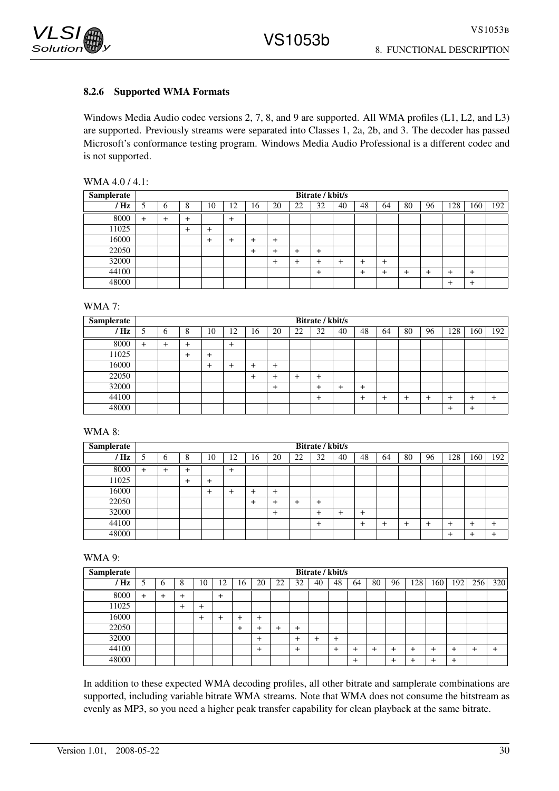

#### 8.2.6 Supported WMA Formats

Windows Media Audio codec versions 2, 7, 8, and 9 are supported. All WMA profiles (L1, L2, and L3) are supported. Previously streams were separated into Classes 1, 2a, 2b, and 3. The decoder has passed Microsoft's conformance testing program. Windows Media Audio Professional is a different codec and is not supported.

| WMA 4.0 / 4.1: |  |  |  |
|----------------|--|--|--|
|----------------|--|--|--|

| <b>Samplerate</b> |               |           |                |           |       |           |    |    | Bitrate / kbit/s |    |    |    |    |    |           |           |     |
|-------------------|---------------|-----------|----------------|-----------|-------|-----------|----|----|------------------|----|----|----|----|----|-----------|-----------|-----|
| / Hz              | $\mathcal{L}$ | O         | 8              | 10        | 12    | 16        | 20 | 22 | 32               | 40 | 48 | 64 | 80 | 96 | 128       | 160       | 192 |
| 8000              | $+$           | $\ddot{}$ | $\overline{+}$ |           | $\pm$ |           |    |    |                  |    |    |    |    |    |           |           |     |
| 11025             |               |           | $\mathrm{+}$   | $\ddot{}$ |       |           |    |    |                  |    |    |    |    |    |           |           |     |
| 16000             |               |           |                | +         |       | ┷         | ┿  |    |                  |    |    |    |    |    |           |           |     |
| 22050             |               |           |                |           |       | $\ddot{}$ | +  |    | +                |    |    |    |    |    |           |           |     |
| 32000             |               |           |                |           |       |           | +  |    |                  |    |    | ┶  |    |    |           |           |     |
| 44100             |               |           |                |           |       |           |    |    | +                |    |    |    |    |    | $\ddot{}$ | $\ddot{}$ |     |
| 48000             |               |           |                |           |       |           |    |    |                  |    |    |    |    |    | $^+$      | $^{+}$    |     |

WMA 7:

| <b>Samplerate</b> |        |       |                |          |     |    |           |    | Bitrate / kbit/s |    |    |    |    |    |        |       |     |
|-------------------|--------|-------|----------------|----------|-----|----|-----------|----|------------------|----|----|----|----|----|--------|-------|-----|
| ' Hz              |        | O     | 8              | 10       | 12  | 16 | 20        | 22 | 32               | 40 | 48 | 64 | 80 | 96 | 128    | 160   | 192 |
| 8000              | $^{+}$ | $\pm$ | $\overline{+}$ |          | $+$ |    |           |    |                  |    |    |    |    |    |        |       |     |
| 11025             |        |       | $\,{}^+$       | $^{+}$   |     |    |           |    |                  |    |    |    |    |    |        |       |     |
| 16000             |        |       |                | $\,{}^+$ | +   |    | $\div$    |    |                  |    |    |    |    |    |        |       |     |
| 22050             |        |       |                |          |     | +  |           | +  | ÷                |    |    |    |    |    |        |       |     |
| 32000             |        |       |                |          |     |    | $\ddot{}$ |    |                  |    | ٠  |    |    |    |        |       |     |
| 44100             |        |       |                |          |     |    |           |    | +                |    |    |    |    |    | $\,$   | +     |     |
| 48000             |        |       |                |          |     |    |           |    |                  |    |    |    |    |    | $\div$ | $\pm$ |     |

WMA 8:

| Samplerate     |        |           |        |              |           |    |        |    | Bitrate / kbit/s |    |    |    |    |    |     |           |     |
|----------------|--------|-----------|--------|--------------|-----------|----|--------|----|------------------|----|----|----|----|----|-----|-----------|-----|
| $^{\prime}$ Hz |        | 6         | 8      | 10           | 12        | 16 | 20     | 22 | 32               | 40 | 48 | 64 | 80 | 96 | 128 | 160       | 192 |
| 8000           | $\div$ | $\ddot{}$ | $\div$ |              | $\ddot{}$ |    |        |    |                  |    |    |    |    |    |     |           |     |
| 11025          |        |           | +      | $\ddot{}$    |           |    |        |    |                  |    |    |    |    |    |     |           |     |
| 16000          |        |           |        | $\mathrm{+}$ | $\div$    | +  | $\div$ |    |                  |    |    |    |    |    |     |           |     |
| 22050          |        |           |        |              |           |    |        | +  |                  |    |    |    |    |    |     |           |     |
| 32000          |        |           |        |              |           |    | $\div$ |    |                  |    | +  |    |    |    |     |           |     |
| 44100          |        |           |        |              |           |    |        |    | ÷                |    |    |    |    | ⊣  | ┿   | $\ddot{}$ |     |
| 48000          |        |           |        |              |           |    |        |    |                  |    |    |    |    |    | ┿   | $\ddot{}$ |     |

WMA 9:

| Samplerate |           |          |   |       |           |    |    |          |           |    | Bitrate / kbit/s |    |    |       |     |               |     |     |           |
|------------|-----------|----------|---|-------|-----------|----|----|----------|-----------|----|------------------|----|----|-------|-----|---------------|-----|-----|-----------|
| ' Hz       |           | b        | 8 | 10    | 12        | 16 | 20 | 22       | 32        | 40 | 48               | 64 | 80 | 96    | 128 | $160^{\circ}$ | 192 | 256 | 320       |
| 8000       | $\ddot{}$ | $\,{}^+$ | ÷ |       | $\ddot{}$ |    |    |          |           |    |                  |    |    |       |     |               |     |     |           |
| 11025      |           |          |   | $\pm$ |           |    |    |          |           |    |                  |    |    |       |     |               |     |     |           |
| 16000      |           |          |   |       | $\pm$     | +  | +  |          |           |    |                  |    |    |       |     |               |     |     |           |
| 22050      |           |          |   |       |           | +  |    | $\,{}^+$ | $^{+}$    |    |                  |    |    |       |     |               |     |     |           |
| 32000      |           |          |   |       |           |    | +  |          | $\ddot{}$ | +  | $\div$           |    |    |       |     |               |     |     |           |
| 44100      |           |          |   |       |           |    |    |          | $\ddot{}$ |    | ÷                |    |    |       | ┵   |               | +   |     | $\ddot{}$ |
| 48000      |           |          |   |       |           |    |    |          |           |    |                  | +  |    | $\pm$ | ┷   |               | +   |     |           |

In addition to these expected WMA decoding profiles, all other bitrate and samplerate combinations are supported, including variable bitrate WMA streams. Note that WMA does not consume the bitstream as evenly as MP3, so you need a higher peak transfer capability for clean playback at the same bitrate.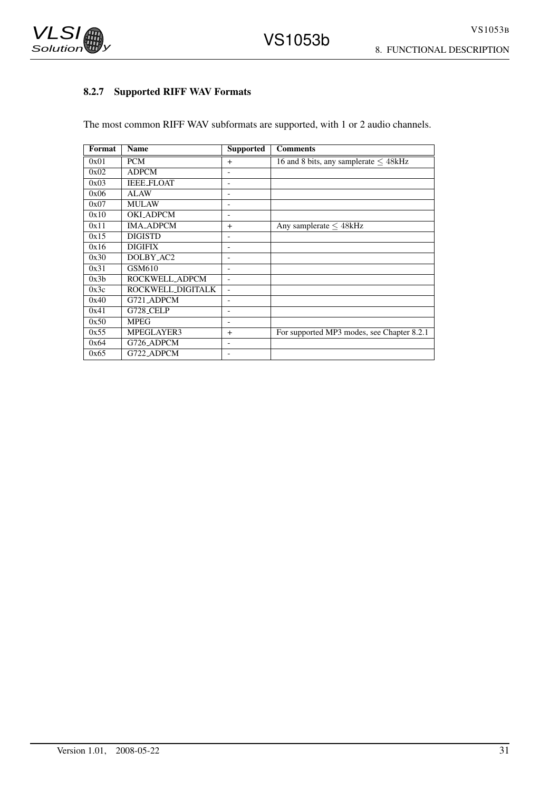

# 8.2.7 Supported RIFF WAV Formats

The most common RIFF WAV subformats are supported, with 1 or 2 audio channels.

| Format | <b>Name</b>       | <b>Supported</b>         | <b>Comments</b>                            |
|--------|-------------------|--------------------------|--------------------------------------------|
| 0x01   | <b>PCM</b>        | $\ddot{}$                | 16 and 8 bits, any samplerate $\leq$ 48kHz |
| 0x02   | <b>ADPCM</b>      |                          |                                            |
| 0x03   | <b>IEEE_FLOAT</b> |                          |                                            |
| 0x06   | ALAW              |                          |                                            |
| 0x07   | <b>MULAW</b>      | $\overline{\phantom{0}}$ |                                            |
| 0x10   | <b>OKI_ADPCM</b>  |                          |                                            |
| 0x11   | <b>IMA_ADPCM</b>  | $\ddot{}$                | Any samplerate $\leq 48$ kHz               |
| 0x15   | <b>DIGISTD</b>    | $\overline{\phantom{0}}$ |                                            |
| 0x16   | <b>DIGIFIX</b>    |                          |                                            |
| 0x30   | DOLBY_AC2         |                          |                                            |
| 0x31   | GSM610            |                          |                                            |
| 0x3b   | ROCKWELL_ADPCM    | $\overline{\phantom{0}}$ |                                            |
| 0x3c   | ROCKWELL_DIGITALK |                          |                                            |
| 0x40   | G721_ADPCM        |                          |                                            |
| 0x41   | <b>G728_CELP</b>  | $\overline{\phantom{0}}$ |                                            |
| 0x50   | <b>MPEG</b>       |                          |                                            |
| 0x55   | MPEGLAYER3        | $+$                      | For supported MP3 modes, see Chapter 8.2.1 |
| 0x64   | G726_ADPCM        | $\overline{\phantom{0}}$ |                                            |
| 0x65   | G722_ADPCM        |                          |                                            |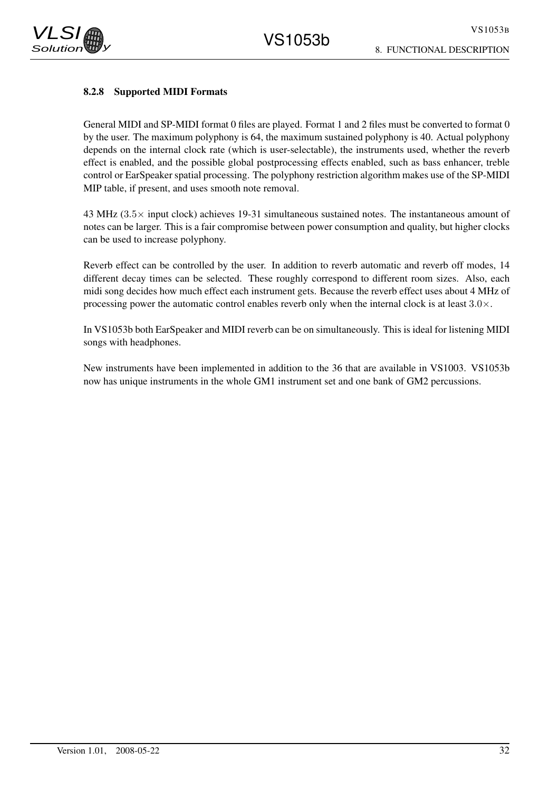#### 8.2.8 Supported MIDI Formats

General MIDI and SP-MIDI format 0 files are played. Format 1 and 2 files must be converted to format 0 by the user. The maximum polyphony is 64, the maximum sustained polyphony is 40. Actual polyphony depends on the internal clock rate (which is user-selectable), the instruments used, whether the reverb effect is enabled, and the possible global postprocessing effects enabled, such as bass enhancer, treble control or EarSpeaker spatial processing. The polyphony restriction algorithm makes use of the SP-MIDI MIP table, if present, and uses smooth note removal.

43 MHz (3.5× input clock) achieves 19-31 simultaneous sustained notes. The instantaneous amount of notes can be larger. This is a fair compromise between power consumption and quality, but higher clocks can be used to increase polyphony.

Reverb effect can be controlled by the user. In addition to reverb automatic and reverb off modes, 14 different decay times can be selected. These roughly correspond to different room sizes. Also, each midi song decides how much effect each instrument gets. Because the reverb effect uses about 4 MHz of processing power the automatic control enables reverb only when the internal clock is at least  $3.0\times$ .

In VS1053b both EarSpeaker and MIDI reverb can be on simultaneously. This is ideal for listening MIDI songs with headphones.

New instruments have been implemented in addition to the 36 that are available in VS1003. VS1053b now has unique instruments in the whole GM1 instrument set and one bank of GM2 percussions.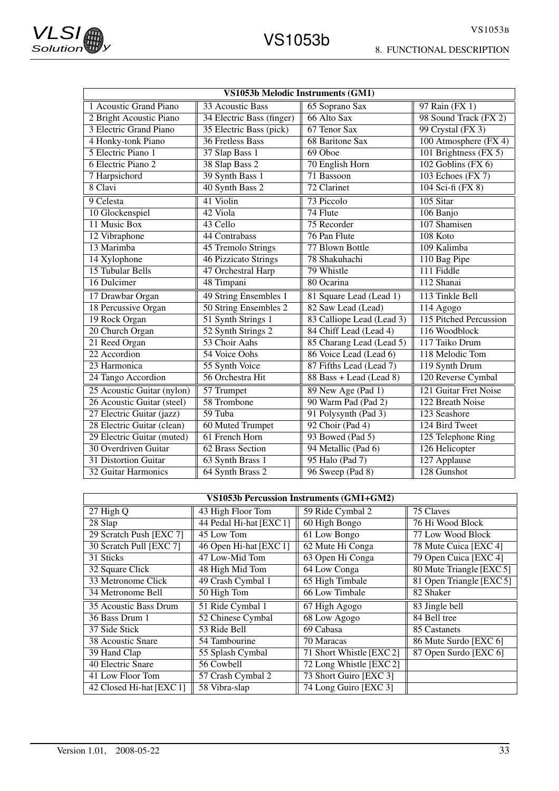8. FUNCTIONAL DESCRIPTION

| VS1053b Melodic Instruments (GM1)          |                             |                           |                         |  |  |  |
|--------------------------------------------|-----------------------------|---------------------------|-------------------------|--|--|--|
| 1 Acoustic Grand Piano<br>33 Acoustic Bass |                             | 65 Soprano Sax            | 97 Rain (FX 1)          |  |  |  |
| 2 Bright Acoustic Piano                    | 34 Electric Bass (finger)   | 66 Alto Sax               | 98 Sound Track (FX 2)   |  |  |  |
| 3 Electric Grand Piano                     | 35 Electric Bass (pick)     | 67 Tenor Sax              | 99 Crystal (FX 3)       |  |  |  |
| 4 Honky-tonk Piano                         | <b>36 Fretless Bass</b>     | <b>68 Baritone Sax</b>    | 100 Atmosphere $(FX 4)$ |  |  |  |
| 5 Electric Piano 1                         | 37 Slap Bass 1              | 69 Oboe                   | 101 Brightness (FX 5)   |  |  |  |
| 6 Electric Piano 2                         | 38 Slap Bass 2              | 70 English Horn           | $102$ Goblins (FX $6$ ) |  |  |  |
| 7 Harpsichord                              | 39 Synth Bass 1             | 71 Bassoon                | 103 Echoes (FX 7)       |  |  |  |
| 8 Clavi                                    | 40 Synth Bass 2             | 72 Clarinet               | 104 Sci-fi (FX 8)       |  |  |  |
| 9 Celesta                                  | 41 Violin                   | 73 Piccolo                | 105 Sitar               |  |  |  |
| 10 Glockenspiel                            | 42 Viola                    | 74 Flute                  | 106 Banjo               |  |  |  |
| 11 Music Box                               | 43 Cello                    | 75 Recorder               | 107 Shamisen            |  |  |  |
| 12 Vibraphone                              | 44 Contrabass               | 76 Pan Flute              | 108 Koto                |  |  |  |
| 13 Marimba                                 | 45 Tremolo Strings          | 77 Blown Bottle           | 109 Kalimba             |  |  |  |
| 14 Xylophone                               | <b>46 Pizzicato Strings</b> | 78 Shakuhachi             | 110 Bag Pipe            |  |  |  |
| 15 Tubular Bells                           | 47 Orchestral Harp          | 79 Whistle                | 111 Fiddle              |  |  |  |
| 16 Dulcimer                                | 48 Timpani                  | 80 Ocarina                | 112 Shanai              |  |  |  |
| 17 Drawbar Organ                           | 49 String Ensembles 1       | 81 Square Lead (Lead 1)   | 113 Tinkle Bell         |  |  |  |
| 18 Percussive Organ                        | 50 String Ensembles 2       | 82 Saw Lead (Lead)        | 114 Agogo               |  |  |  |
| 19 Rock Organ                              | 51 Synth Strings 1          | 83 Calliope Lead (Lead 3) | 115 Pitched Percussion  |  |  |  |
| 20 Church Organ                            | 52 Synth Strings 2          | 84 Chiff Lead (Lead 4)    | 116 Woodblock           |  |  |  |
| 21 Reed Organ                              | 53 Choir Aahs               | 85 Charang Lead (Lead 5)  | 117 Taiko Drum          |  |  |  |
| $22$ Accordion                             | 54 Voice Oohs               | 86 Voice Lead (Lead 6)    | 118 Melodic Tom         |  |  |  |
| 23 Harmonica                               | 55 Synth Voice              | 87 Fifths Lead (Lead 7)   | 119 Synth Drum          |  |  |  |
| 24 Tango Accordion                         | 56 Orchestra Hit            | 88 Bass + Lead (Lead 8)   | 120 Reverse Cymbal      |  |  |  |
| 25 Acoustic Guitar (nylon)                 | 57 Trumpet                  | 89 New Age (Pad 1)        | 121 Guitar Fret Noise   |  |  |  |
| 26 Acoustic Guitar (steel)                 | 58 Trombone                 | 90 Warm Pad (Pad 2)       | 122 Breath Noise        |  |  |  |
| 27 Electric Guitar (jazz)                  | 59 Tuba                     | 91 Polysynth (Pad 3)      | 123 Seashore            |  |  |  |
| 28 Electric Guitar (clean)                 | <b>60 Muted Trumpet</b>     | 92 Choir (Pad 4)          | 124 Bird Tweet          |  |  |  |
| 29 Electric Guitar (muted)                 | 61 French Horn              | 93 Bowed (Pad 5)          | 125 Telephone Ring      |  |  |  |
| 30 Overdriven Guitar                       | <b>62 Brass Section</b>     | 94 Metallic (Pad 6)       | 126 Helicopter          |  |  |  |
| 31 Distortion Guitar                       | 63 Synth Brass 1            | 95 Halo (Pad 7)           | 127 Applause            |  |  |  |
| 32 Guitar Harmonics                        | 64 Synth Brass 2            | 96 Sweep (Pad 8)          | 128 Gunshot             |  |  |  |

| <b>VS1053b Percussion Instruments (GM1+GM2)</b> |                         |                            |                          |  |  |  |
|-------------------------------------------------|-------------------------|----------------------------|--------------------------|--|--|--|
| 27 High Q                                       | 43 High Floor Tom       | 59 Ride Cymbal 2           | 75 Claves                |  |  |  |
| 28 Slap                                         | 44 Pedal Hi-hat [EXC 1] | 60 High Bongo              | 76 Hi Wood Block         |  |  |  |
| 29 Scratch Push [EXC 7]                         | 45 Low Tom              | 61 Low Bongo               | 77 Low Wood Block        |  |  |  |
| 30 Scratch Pull [EXC 7]                         | 46 Open Hi-hat [EXC 1]  | 62 Mute Hi Conga           | 78 Mute Cuica [EXC 4]    |  |  |  |
| 31 Sticks                                       | 47 Low-Mid Tom          | 63 Open Hi Conga           | 79 Open Cuica [EXC 4]    |  |  |  |
| 32 Square Click                                 | 48 High Mid Tom         | 64 Low Conga               | 80 Mute Triangle [EXC 5] |  |  |  |
| 33 Metronome Click                              | 49 Crash Cymbal 1       | 65 High Timbale            | 81 Open Triangle [EXC 5] |  |  |  |
| 34 Metronome Bell                               | 50 High Tom             | 66 Low Timbale             | 82 Shaker                |  |  |  |
| 35 Acoustic Bass Drum                           | 51 Ride Cymbal 1        | $\overline{67}$ High Agogo | 83 Jingle bell           |  |  |  |
| 36 Bass Drum 1                                  | 52 Chinese Cymbal       | 68 Low Agogo               | 84 Bell tree             |  |  |  |
| 37 Side Stick                                   | 53 Ride Bell            | 69 Cabasa                  | 85 Castanets             |  |  |  |
| 38 Acoustic Snare                               | 54 Tambourine           | 70 Maracas                 | 86 Mute Surdo [EXC 6]    |  |  |  |
| 39 Hand Clap                                    | 55 Splash Cymbal        | 71 Short Whistle [EXC 2]   | 87 Open Surdo [EXC 6]    |  |  |  |
| 40 Electric Snare                               | 56 Cowbell              | 72 Long Whistle [EXC 2]    |                          |  |  |  |
| 41 Low Floor Tom                                | 57 Crash Cymbal 2       | 73 Short Guiro [EXC 3]     |                          |  |  |  |
| 42 Closed Hi-hat [EXC 1]                        | 58 Vibra-slap           | 74 Long Guiro [EXC 3]      |                          |  |  |  |

**VLSI** 

 $Solution$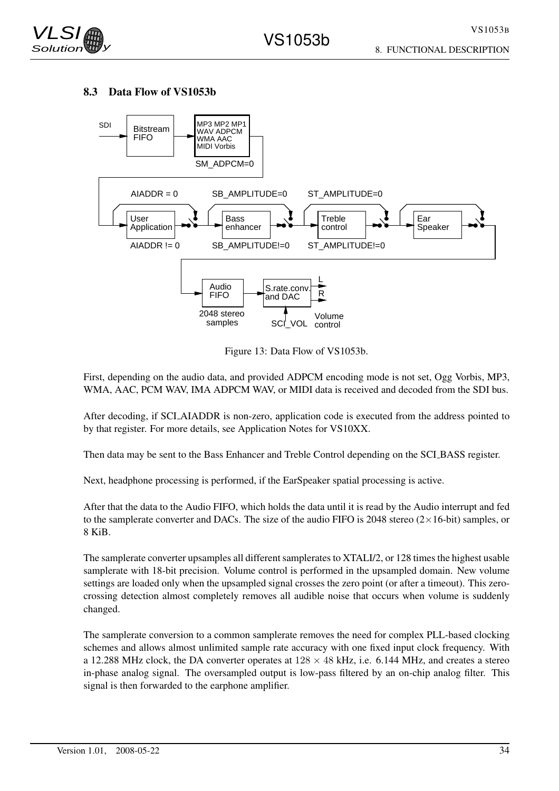

#### 8.3 Data Flow of VS1053b



Figure 13: Data Flow of VS1053b.

First, depending on the audio data, and provided ADPCM encoding mode is not set, Ogg Vorbis, MP3, WMA, AAC, PCM WAV, IMA ADPCM WAV, or MIDI data is received and decoded from the SDI bus.

After decoding, if SCI AIADDR is non-zero, application code is executed from the address pointed to by that register. For more details, see Application Notes for VS10XX.

Then data may be sent to the Bass Enhancer and Treble Control depending on the SCI BASS register.

Next, headphone processing is performed, if the EarSpeaker spatial processing is active.

After that the data to the Audio FIFO, which holds the data until it is read by the Audio interrupt and fed to the samplerate converter and DACs. The size of the audio FIFO is 2048 stereo  $(2\times16$ -bit) samples, or 8 KiB.

The samplerate converter upsamples all different samplerates to XTALI/2, or 128 times the highest usable samplerate with 18-bit precision. Volume control is performed in the upsampled domain. New volume settings are loaded only when the upsampled signal crosses the zero point (or after a timeout). This zerocrossing detection almost completely removes all audible noise that occurs when volume is suddenly changed.

The samplerate conversion to a common samplerate removes the need for complex PLL-based clocking schemes and allows almost unlimited sample rate accuracy with one fixed input clock frequency. With a 12.288 MHz clock, the DA converter operates at  $128 \times 48$  kHz, i.e. 6.144 MHz, and creates a stereo in-phase analog signal. The oversampled output is low-pass filtered by an on-chip analog filter. This signal is then forwarded to the earphone amplifier.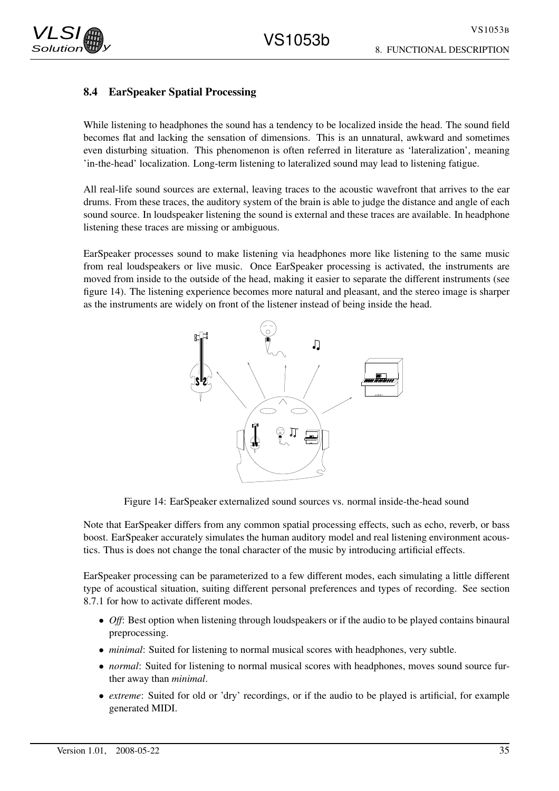# 8.4 EarSpeaker Spatial Processing

While listening to headphones the sound has a tendency to be localized inside the head. The sound field becomes flat and lacking the sensation of dimensions. This is an unnatural, awkward and sometimes even disturbing situation. This phenomenon is often referred in literature as 'lateralization', meaning 'in-the-head' localization. Long-term listening to lateralized sound may lead to listening fatigue.

All real-life sound sources are external, leaving traces to the acoustic wavefront that arrives to the ear drums. From these traces, the auditory system of the brain is able to judge the distance and angle of each sound source. In loudspeaker listening the sound is external and these traces are available. In headphone listening these traces are missing or ambiguous.

EarSpeaker processes sound to make listening via headphones more like listening to the same music from real loudspeakers or live music. Once EarSpeaker processing is activated, the instruments are moved from inside to the outside of the head, making it easier to separate the different instruments (see figure 14). The listening experience becomes more natural and pleasant, and the stereo image is sharper as the instruments are widely on front of the listener instead of being inside the head.



Figure 14: EarSpeaker externalized sound sources vs. normal inside-the-head sound

Note that EarSpeaker differs from any common spatial processing effects, such as echo, reverb, or bass boost. EarSpeaker accurately simulates the human auditory model and real listening environment acoustics. Thus is does not change the tonal character of the music by introducing artificial effects.

EarSpeaker processing can be parameterized to a few different modes, each simulating a little different type of acoustical situation, suiting different personal preferences and types of recording. See section 8.7.1 for how to activate different modes.

- *Off*: Best option when listening through loudspeakers or if the audio to be played contains binaural preprocessing.
- *minimal*: Suited for listening to normal musical scores with headphones, very subtle.
- *normal*: Suited for listening to normal musical scores with headphones, moves sound source further away than *minimal*.
- *extreme*: Suited for old or 'dry' recordings, or if the audio to be played is artificial, for example generated MIDI.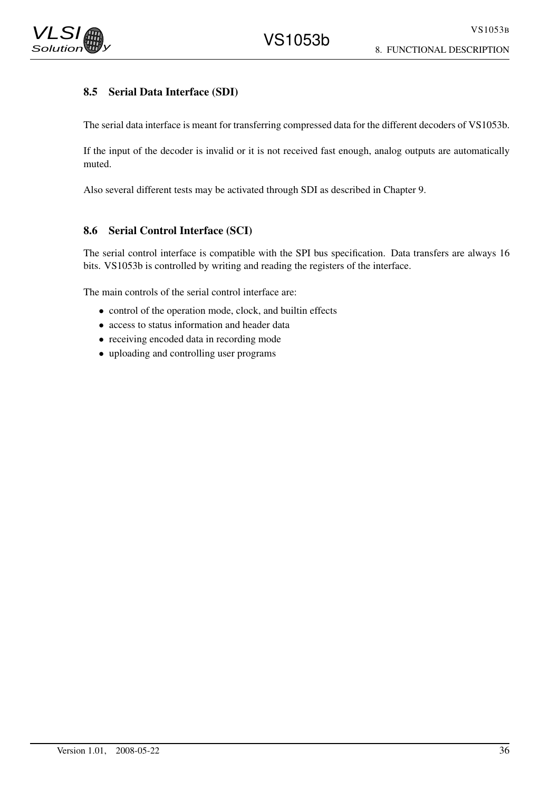

# 8.5 Serial Data Interface (SDI)

The serial data interface is meant for transferring compressed data for the different decoders of VS1053b.

If the input of the decoder is invalid or it is not received fast enough, analog outputs are automatically muted.

Also several different tests may be activated through SDI as described in Chapter 9.

### 8.6 Serial Control Interface (SCI)

The serial control interface is compatible with the SPI bus specification. Data transfers are always 16 bits. VS1053b is controlled by writing and reading the registers of the interface.

The main controls of the serial control interface are:

- control of the operation mode, clock, and builtin effects
- access to status information and header data
- receiving encoded data in recording mode
- uploading and controlling user programs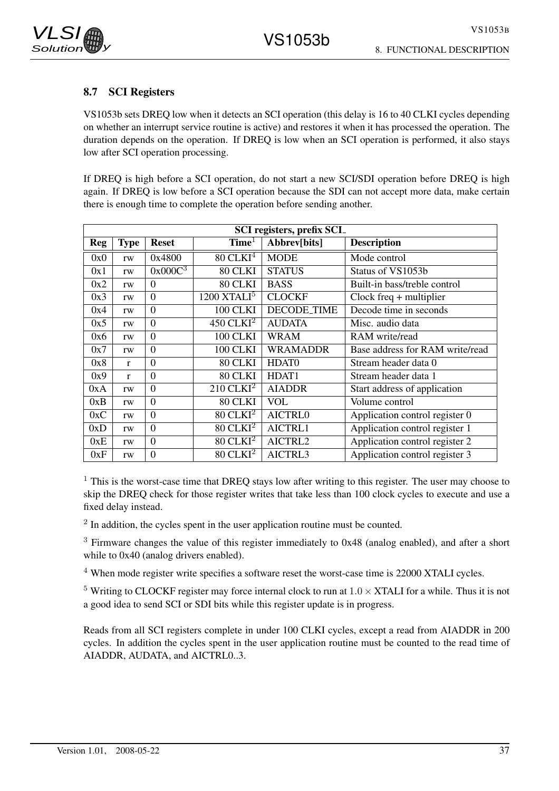

## 8.7 SCI Registers

VS1053b sets DREQ low when it detects an SCI operation (this delay is 16 to 40 CLKI cycles depending on whether an interrupt service routine is active) and restores it when it has processed the operation. The duration depends on the operation. If DREQ is low when an SCI operation is performed, it also stays low after SCI operation processing.

If DREQ is high before a SCI operation, do not start a new SCI/SDI operation before DREQ is high again. If DREQ is low before a SCI operation because the SDI can not accept more data, make certain there is enough time to complete the operation before sending another.

|            | <b>SCI</b> registers, prefix SCI_ |                  |                           |                   |                                 |  |  |  |
|------------|-----------------------------------|------------------|---------------------------|-------------------|---------------------------------|--|--|--|
| <b>Reg</b> | <b>Type</b>                       | <b>Reset</b>     | Time <sup>1</sup>         | Abbrev[bits]      | <b>Description</b>              |  |  |  |
| 0x0        | rw                                | 0x4800           | $80$ CLKI <sup>4</sup>    | <b>MODE</b>       | Mode control                    |  |  |  |
| 0x1        | rw                                | $0x000C^3$       | 80 CLKI                   | <b>STATUS</b>     | Status of VS1053b               |  |  |  |
| 0x2        | rw                                | $\Omega$         | 80 CLKI                   | <b>BASS</b>       | Built-in bass/treble control    |  |  |  |
| 0x3        | rw                                | $\Omega$         | $1200$ XTALI <sup>5</sup> | <b>CLOCKF</b>     | $Clock freq + multiplier$       |  |  |  |
| 0x4        | rw                                | $\boldsymbol{0}$ | 100 CLKI                  | DECODE_TIME       | Decode time in seconds          |  |  |  |
| 0x5        | rw                                | $\theta$         | $450$ CLKI <sup>2</sup>   | <b>AUDATA</b>     | Misc. audio data                |  |  |  |
| 0x6        | rw                                | $\theta$         | <b>100 CLKI</b>           | <b>WRAM</b>       | RAM write/read                  |  |  |  |
| 0x7        | rw                                | $\theta$         | <b>100 CLKI</b>           | <b>WRAMADDR</b>   | Base address for RAM write/read |  |  |  |
| 0x8        | $\mathbf{r}$                      | $\overline{0}$   | 80 CLKI                   | HDAT <sub>0</sub> | Stream header data 0            |  |  |  |
| 0x9        | $\mathbf{r}$                      | $\Omega$         | 80 CLKI                   | HDAT1             | Stream header data 1            |  |  |  |
| 0xA        | rw                                | $\theta$         | $210$ CLKI <sup>2</sup>   | <b>AIADDR</b>     | Start address of application    |  |  |  |
| 0xB        | rw                                | $\theta$         | 80 CLKI                   | <b>VOL</b>        | Volume control                  |  |  |  |
| 0xC        | rw                                | $\theta$         | $80$ CLKI <sup>2</sup>    | AICTRL0           | Application control register 0  |  |  |  |
| 0xD        | rw                                | $\theta$         | $80$ CLKI <sup>2</sup>    | AICTRL1           | Application control register 1  |  |  |  |
| 0xE        | rw                                | $\overline{0}$   | $80$ CLKI <sup>2</sup>    | AICTRL2           | Application control register 2  |  |  |  |
| 0xF        | rw                                | $\overline{0}$   | $80$ CLKI <sup>2</sup>    | AICTRL3           | Application control register 3  |  |  |  |

 $1$  This is the worst-case time that DREQ stays low after writing to this register. The user may choose to skip the DREQ check for those register writes that take less than 100 clock cycles to execute and use a fixed delay instead.

 $2$  In addition, the cycles spent in the user application routine must be counted.

 $3$  Firmware changes the value of this register immediately to 0x48 (analog enabled), and after a short while to  $0x40$  (analog drivers enabled).

<sup>4</sup> When mode register write specifies a software reset the worst-case time is 22000 XTALI cycles.

<sup>5</sup> Writing to CLOCKF register may force internal clock to run at  $1.0 \times XTALI$  for a while. Thus it is not a good idea to send SCI or SDI bits while this register update is in progress.

Reads from all SCI registers complete in under 100 CLKI cycles, except a read from AIADDR in 200 cycles. In addition the cycles spent in the user application routine must be counted to the read time of AIADDR, AUDATA, and AICTRL0..3.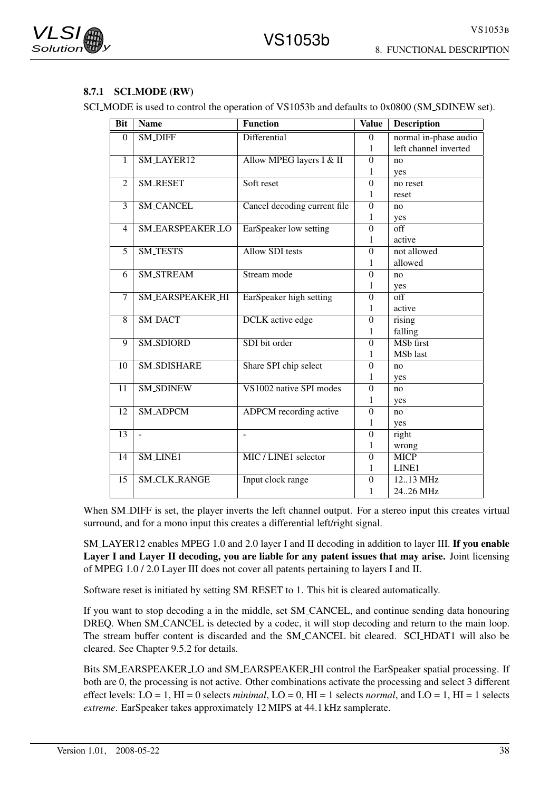

#### 8.7.1 SCI MODE (RW)

SCI\_MODE is used to control the operation of VS1053b and defaults to 0x0800 (SM\_SDINEW set).

| <b>Bit</b>     | <b>Name</b>             | Function                      | <b>Value</b>     | <b>Description</b>              |
|----------------|-------------------------|-------------------------------|------------------|---------------------------------|
| $\Omega$       | <b>SM_DIFF</b>          | Differential                  | $\Omega$         | normal in-phase audio           |
|                |                         |                               | 1                | left channel inverted           |
| 1              | SM_LAYER12              | Allow MPEG layers I & II      | $\theta$         | no                              |
|                |                         |                               | 1                | yes                             |
| 2              | <b>SM_RESET</b>         | Soft reset                    | $\boldsymbol{0}$ | no reset                        |
|                |                         |                               | 1                | reset                           |
| $\overline{3}$ | <b>SM_CANCEL</b>        | Cancel decoding current file  | $\theta$         | no                              |
|                |                         |                               | 1                | yes                             |
| 4              | <b>SM_EARSPEAKER_LO</b> | EarSpeaker low setting        | $\boldsymbol{0}$ | $\overline{\text{off}}$         |
|                |                         |                               | 1                | active                          |
| $\overline{5}$ | <b>SM_TESTS</b>         | <b>Allow SDI</b> tests        | $\boldsymbol{0}$ | not allowed                     |
|                |                         |                               | 1                | allowed                         |
| 6              | <b>SM_STREAM</b>        | Stream mode                   | $\boldsymbol{0}$ | no                              |
|                |                         |                               | 1                | yes                             |
| 7              | SM_EARSPEAKER_HI        | EarSpeaker high setting       | $\theta$         | off                             |
|                |                         |                               | 1                | active                          |
| 8              | <b>SM_DACT</b>          | <b>DCLK</b> active edge       | $\boldsymbol{0}$ | rising                          |
|                |                         |                               | 1                | falling                         |
| 9              | SM_SDIORD               | SDI bit order                 | $\overline{0}$   | <b>MSb</b> first                |
|                |                         |                               | 1                | MSb last                        |
| 10             | <b>SM_SDISHARE</b>      | Share SPI chip select         | $\theta$         | no                              |
|                |                         |                               | 1                | yes                             |
| 11             | <b>SM_SDINEW</b>        | VS1002 native SPI modes       | $\theta$         | no                              |
|                |                         |                               | 1                | yes                             |
| 12             | <b>SM_ADPCM</b>         | <b>ADPCM</b> recording active | $\theta$         | no                              |
|                |                         |                               | 1                | yes                             |
| 13             | $\overline{a}$          | ÷,                            | $\theta$         | right                           |
|                |                         |                               | 1                | wrong                           |
| 14             | <b>SM_LINE1</b>         | MIC / LINE1 selector          | $\theta$         | <b>MICP</b>                     |
|                |                         |                               | 1                | LINE1                           |
| 15             | <b>SM_CLK_RANGE</b>     | Input clock range             | $\theta$         | $12.13 \overline{\mathrm{MHz}}$ |
|                |                         |                               | 1                | 2426 MHz                        |

When SM DIFF is set, the player inverts the left channel output. For a stereo input this creates virtual surround, and for a mono input this creates a differential left/right signal.

SM LAYER12 enables MPEG 1.0 and 2.0 layer I and II decoding in addition to layer III. If you enable Layer I and Layer II decoding, you are liable for any patent issues that may arise. Joint licensing of MPEG 1.0 / 2.0 Layer III does not cover all patents pertaining to layers I and II.

Software reset is initiated by setting SM RESET to 1. This bit is cleared automatically.

If you want to stop decoding a in the middle, set SM CANCEL, and continue sending data honouring DREQ. When SM\_CANCEL is detected by a codec, it will stop decoding and return to the main loop. The stream buffer content is discarded and the SM CANCEL bit cleared. SCI HDAT1 will also be cleared. See Chapter 9.5.2 for details.

Bits SM EARSPEAKER LO and SM EARSPEAKER HI control the EarSpeaker spatial processing. If both are 0, the processing is not active. Other combinations activate the processing and select 3 different effect levels: LO = 1, HI = 0 selects *minimal*, LO = 0, HI = 1 selects *normal*, and LO = 1, HI = 1 selects *extreme*. EarSpeaker takes approximately 12 MIPS at 44.1 kHz samplerate.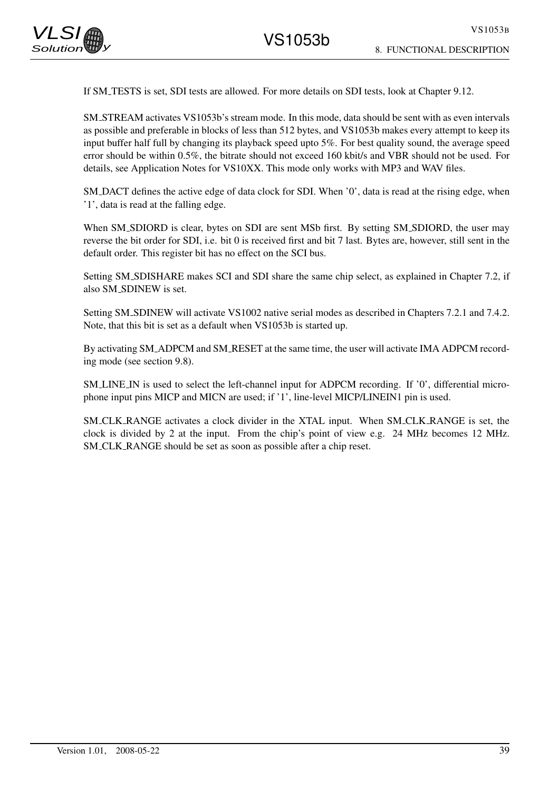If SM TESTS is set, SDI tests are allowed. For more details on SDI tests, look at Chapter 9.12.

SM STREAM activates VS1053b's stream mode. In this mode, data should be sent with as even intervals as possible and preferable in blocks of less than 512 bytes, and VS1053b makes every attempt to keep its input buffer half full by changing its playback speed upto 5%. For best quality sound, the average speed error should be within 0.5%, the bitrate should not exceed 160 kbit/s and VBR should not be used. For details, see Application Notes for VS10XX. This mode only works with MP3 and WAV files.

SM DACT defines the active edge of data clock for SDI. When '0', data is read at the rising edge, when '1', data is read at the falling edge.

When SM\_SDIORD is clear, bytes on SDI are sent MSb first. By setting SM\_SDIORD, the user may reverse the bit order for SDI, i.e. bit 0 is received first and bit 7 last. Bytes are, however, still sent in the default order. This register bit has no effect on the SCI bus.

Setting SM SDISHARE makes SCI and SDI share the same chip select, as explained in Chapter 7.2, if also SM SDINEW is set.

Setting SM SDINEW will activate VS1002 native serial modes as described in Chapters 7.2.1 and 7.4.2. Note, that this bit is set as a default when VS1053b is started up.

By activating SM ADPCM and SM RESET at the same time, the user will activate IMA ADPCM recording mode (see section 9.8).

SM LINE IN is used to select the left-channel input for ADPCM recording. If '0', differential microphone input pins MICP and MICN are used; if '1', line-level MICP/LINEIN1 pin is used.

SM CLK RANGE activates a clock divider in the XTAL input. When SM CLK RANGE is set, the clock is divided by 2 at the input. From the chip's point of view e.g. 24 MHz becomes 12 MHz. SM CLK RANGE should be set as soon as possible after a chip reset.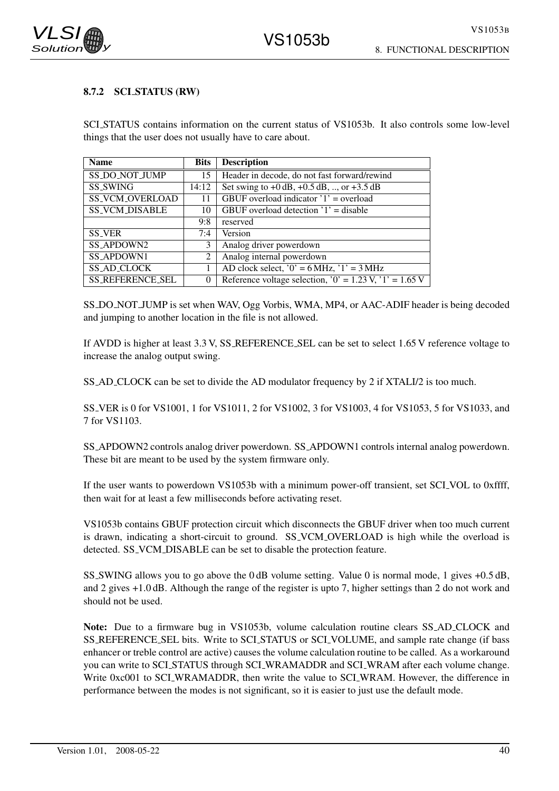

## 8.7.2 SCI STATUS (RW)

SCI STATUS contains information on the current status of VS1053b. It also controls some low-level things that the user does not usually have to care about.

| <b>Name</b>             | <b>Bits</b> | <b>Description</b>                                                           |  |
|-------------------------|-------------|------------------------------------------------------------------------------|--|
| <b>SS_DO_NOT_JUMP</b>   | 15          | Header in decode, do not fast forward/rewind                                 |  |
| <b>SS_SWING</b>         | 14:12       | Set swing to $+0$ dB, $+0.5$ dB, , or $+3.5$ dB                              |  |
| <b>SS_VCM_OVERLOAD</b>  | 11          | GBUF overload indicator $'1'$ = overload                                     |  |
| <b>SS_VCM_DISABLE</b>   | 10          | GBUF overload detection $'1'$ = disable                                      |  |
|                         | 9:8         | reserved                                                                     |  |
| <b>SS_VER</b>           | 7:4         | Version                                                                      |  |
| SS_APDOWN2              | 3           | Analog driver powerdown                                                      |  |
| <b>SS_APDOWN1</b>       | 2           | Analog internal powerdown                                                    |  |
| <b>SS_AD_CLOCK</b>      |             | AD clock select, ' $0' = 6$ MHz, ' $1' = 3$ MHz                              |  |
| <b>SS_REFERENCE_SEL</b> | 0           | Reference voltage selection, '0' = $1.23 \text{ V}$ , '1' = $1.65 \text{ V}$ |  |

SS DO NOT JUMP is set when WAV, Ogg Vorbis, WMA, MP4, or AAC-ADIF header is being decoded and jumping to another location in the file is not allowed.

If AVDD is higher at least 3.3 V, SS REFERENCE SEL can be set to select 1.65 V reference voltage to increase the analog output swing.

SS AD CLOCK can be set to divide the AD modulator frequency by 2 if XTALI/2 is too much.

SS VER is 0 for VS1001, 1 for VS1011, 2 for VS1002, 3 for VS1003, 4 for VS1053, 5 for VS1033, and 7 for VS1103.

SS APDOWN2 controls analog driver powerdown. SS APDOWN1 controls internal analog powerdown. These bit are meant to be used by the system firmware only.

If the user wants to powerdown VS1053b with a minimum power-off transient, set SCI VOL to 0xffff, then wait for at least a few milliseconds before activating reset.

VS1053b contains GBUF protection circuit which disconnects the GBUF driver when too much current is drawn, indicating a short-circuit to ground. SS VCM OVERLOAD is high while the overload is detected. SS VCM DISABLE can be set to disable the protection feature.

SS SWING allows you to go above the 0 dB volume setting. Value 0 is normal mode, 1 gives +0.5 dB, and 2 gives +1.0 dB. Although the range of the register is upto 7, higher settings than 2 do not work and should not be used.

Note: Due to a firmware bug in VS1053b, volume calculation routine clears SS AD CLOCK and SS\_REFERENCE\_SEL bits. Write to SCL\_STATUS or SCL\_VOLUME, and sample rate change (if bass enhancer or treble control are active) causes the volume calculation routine to be called. As a workaround you can write to SCI STATUS through SCI WRAMADDR and SCI WRAM after each volume change. Write 0xc001 to SCL WRAMADDR, then write the value to SCL WRAM. However, the difference in performance between the modes is not significant, so it is easier to just use the default mode.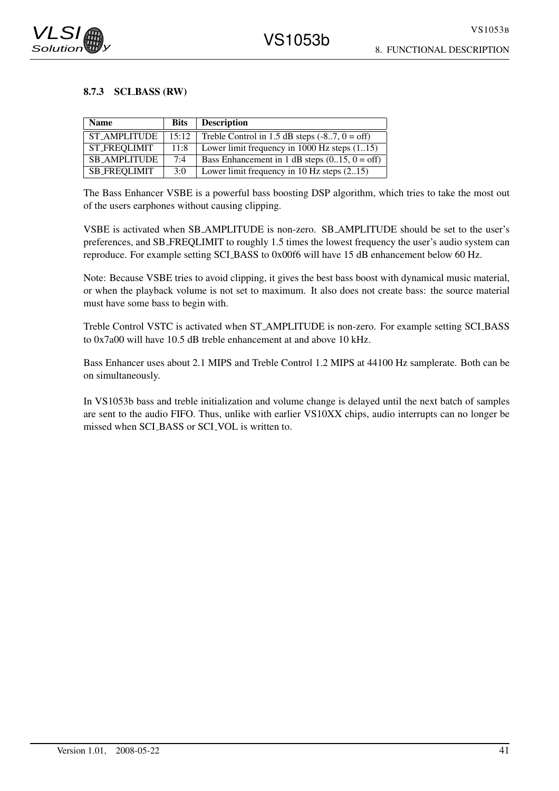

### 8.7.3 SCI BASS (RW)

| <b>Name</b>         | <b>Bits</b> | <b>Description</b>                              |
|---------------------|-------------|-------------------------------------------------|
| <b>ST AMPLITUDE</b> | 15:12       | Treble Control in 1.5 dB steps $(-87, 0 = off)$ |
| <b>ST_FREOLIMIT</b> | 11:8        | Lower limit frequency in 1000 Hz steps (115)    |
| <b>SB_AMPLITUDE</b> | 7:4         | Bass Enhancement in 1 dB steps $(015, 0 = off)$ |
| <b>SB_FREQLIMIT</b> | 3:0         | Lower limit frequency in 10 Hz steps (215)      |

The Bass Enhancer VSBE is a powerful bass boosting DSP algorithm, which tries to take the most out of the users earphones without causing clipping.

VSBE is activated when SB AMPLITUDE is non-zero. SB AMPLITUDE should be set to the user's preferences, and SB FREQLIMIT to roughly 1.5 times the lowest frequency the user's audio system can reproduce. For example setting SCI BASS to 0x00f6 will have 15 dB enhancement below 60 Hz.

Note: Because VSBE tries to avoid clipping, it gives the best bass boost with dynamical music material, or when the playback volume is not set to maximum. It also does not create bass: the source material must have some bass to begin with.

Treble Control VSTC is activated when ST AMPLITUDE is non-zero. For example setting SCI BASS to 0x7a00 will have 10.5 dB treble enhancement at and above 10 kHz.

Bass Enhancer uses about 2.1 MIPS and Treble Control 1.2 MIPS at 44100 Hz samplerate. Both can be on simultaneously.

In VS1053b bass and treble initialization and volume change is delayed until the next batch of samples are sent to the audio FIFO. Thus, unlike with earlier VS10XX chips, audio interrupts can no longer be missed when SCI BASS or SCI VOL is written to.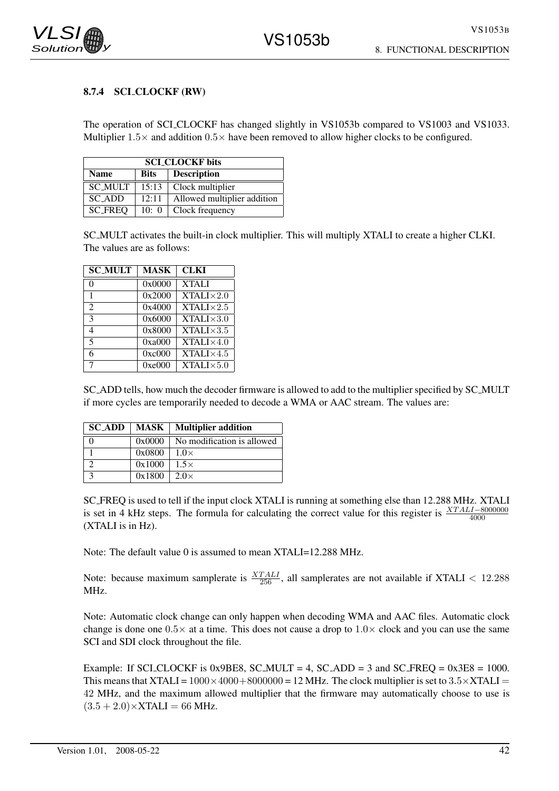## 8.7.4 SCLCLOCKF (RW)

The operation of SCLCLOCKF has changed slightly in VS1053b compared to VS1003 and VS1033. Multiplier  $1.5\times$  and addition  $0.5\times$  have been removed to allow higher clocks to be configured.

| <b>SCI CLOCKF bits</b>                    |       |                              |  |  |  |  |
|-------------------------------------------|-------|------------------------------|--|--|--|--|
| <b>Description</b><br>Name<br><b>Bits</b> |       |                              |  |  |  |  |
| <b>SC_MULT</b>                            | 15:13 | Clock multiplier             |  |  |  |  |
| 12:11<br>SC ADD                           |       | Allowed multiplier addition  |  |  |  |  |
| <b>SC_FREQ</b>                            |       | 10: $0 \mid$ Clock frequency |  |  |  |  |

SC MULT activates the built-in clock multiplier. This will multiply XTALI to create a higher CLKI. The values are as follows:

| <b>SC_MULT</b> | <b>MASK</b> | <b>CLKI</b>        |
|----------------|-------------|--------------------|
| 0              | 0x0000      | <b>XTALI</b>       |
| 1              | 0x2000      | $XTALI \times 2.0$ |
| $\mathfrak{D}$ | 0x4000      | $XTALI \times 2.5$ |
| 3              | 0x6000      | $XTALI \times 3.0$ |
| 4              | 0x8000      | $XTALI \times 3.5$ |
| 5              | 0xa000      | $XTALI \times 4.0$ |
| 6              | 0xc000      | $XTALI \times 4.5$ |
| 7              | 0xe000      | $XTALI \times 5.0$ |

SC ADD tells, how much the decoder firmware is allowed to add to the multiplier specified by SC MULT if more cycles are temporarily needed to decode a WMA or AAC stream. The values are:

| <b>SC_ADD</b> | MASK   | <b>Multiplier addition</b> |
|---------------|--------|----------------------------|
|               | 0x0000 | No modification is allowed |
|               | 0x0800 | $1.0\times$                |
|               | 0x1000 | $1.5\times$                |
|               | 0x1800 | $2.0\times$                |

SC FREQ is used to tell if the input clock XTALI is running at something else than 12.288 MHz. XTALI is set in 4 kHz steps. The formula for calculating the correct value for this register is  $\frac{XTALI-8000000}{4000}$ (XTALI is in Hz).

Note: The default value 0 is assumed to mean XTALI=12.288 MHz.

Note: because maximum samplerate is  $\frac{XTALI}{256}$ , all samplerates are not available if XTALI < 12.288 MHz.

Note: Automatic clock change can only happen when decoding WMA and AAC files. Automatic clock change is done one  $0.5\times$  at a time. This does not cause a drop to  $1.0\times$  clock and you can use the same SCI and SDI clock throughout the file.

Example: If SCI\_CLOCKF is 0x9BE8, SC\_MULT = 4, SC\_ADD = 3 and SC\_FREQ =  $0x3E8 = 1000$ . This means that XTALI =  $1000 \times 4000 + 8000000 = 12$  MHz. The clock multiplier is set to  $3.5 \times$ XTALI = 42 MHz, and the maximum allowed multiplier that the firmware may automatically choose to use is  $(3.5 + 2.0) \times$ XTALI = 66 MHz.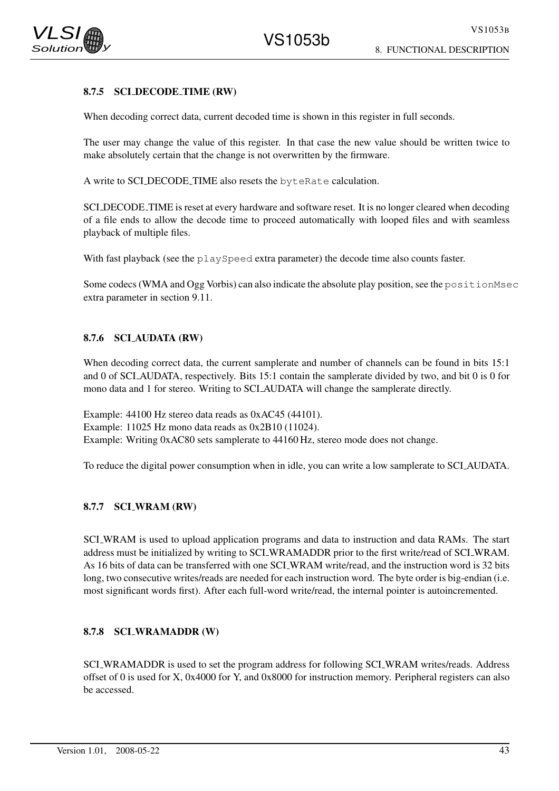

## 8.7.5 SCI DECODE TIME (RW)

When decoding correct data, current decoded time is shown in this register in full seconds.

The user may change the value of this register. In that case the new value should be written twice to make absolutely certain that the change is not overwritten by the firmware.

A write to SCI DECODE TIME also resets the byteRate calculation.

SCI DECODE TIME is reset at every hardware and software reset. It is no longer cleared when decoding of a file ends to allow the decode time to proceed automatically with looped files and with seamless playback of multiple files.

With fast playback (see the playSpeed extra parameter) the decode time also counts faster.

Some codecs (WMA and Ogg Vorbis) can also indicate the absolute play position, see the positionMsec extra parameter in section 9.11.

### 8.7.6 SCI AUDATA (RW)

When decoding correct data, the current samplerate and number of channels can be found in bits 15:1 and 0 of SCI AUDATA, respectively. Bits 15:1 contain the samplerate divided by two, and bit 0 is 0 for mono data and 1 for stereo. Writing to SCI AUDATA will change the samplerate directly.

Example: 44100 Hz stereo data reads as 0xAC45 (44101). Example: 11025 Hz mono data reads as 0x2B10 (11024). Example: Writing 0xAC80 sets samplerate to 44160 Hz, stereo mode does not change.

To reduce the digital power consumption when in idle, you can write a low samplerate to SCI AUDATA.

### 8.7.7 SCI\_WRAM (RW)

SCI WRAM is used to upload application programs and data to instruction and data RAMs. The start address must be initialized by writing to SCI WRAMADDR prior to the first write/read of SCI WRAM. As 16 bits of data can be transferred with one SCI WRAM write/read, and the instruction word is 32 bits long, two consecutive writes/reads are needed for each instruction word. The byte order is big-endian (i.e. most significant words first). After each full-word write/read, the internal pointer is autoincremented.

### 8.7.8 SCI WRAMADDR (W)

SCI WRAMADDR is used to set the program address for following SCI WRAM writes/reads. Address offset of 0 is used for X, 0x4000 for Y, and 0x8000 for instruction memory. Peripheral registers can also be accessed.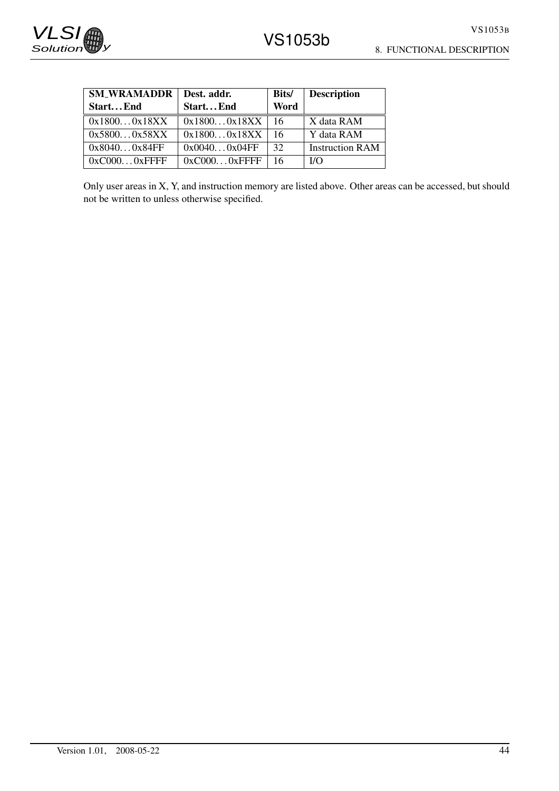| <b>SM_WRAMADDR</b> | Dest. addr.     | <b>Bits/</b> | <b>Description</b>     |
|--------------------|-----------------|--------------|------------------------|
| StartEnd           | StartEnd        | Word         |                        |
| 0x18000x18XX       | 0x18000x18XX    | -16          | X data RAM             |
| 0x58000x58XX       | 0x18000x18XX    | 16           | Y data RAM             |
| 0x80400x84FF       | 0x00400x04FF    | 32           | <b>Instruction RAM</b> |
| $0xC0000x$ FFFF    | $0xC0000x$ FFFF | 16           | I/O                    |

Only user areas in X, Y, and instruction memory are listed above. Other areas can be accessed, but should not be written to unless otherwise specified.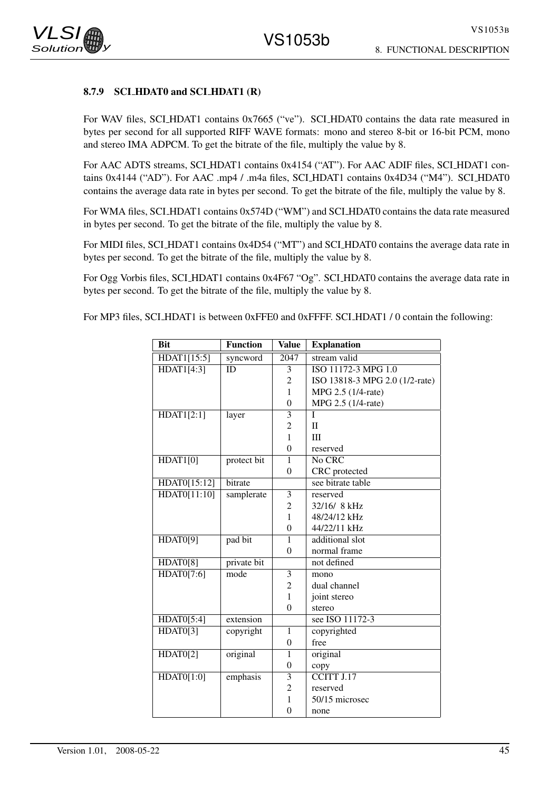#### 8.7.9 SCI\_HDAT0 and SCI\_HDAT1 (R)

For WAV files, SCI\_HDAT1 contains 0x7665 ("ve"). SCI\_HDAT0 contains the data rate measured in bytes per second for all supported RIFF WAVE formats: mono and stereo 8-bit or 16-bit PCM, mono and stereo IMA ADPCM. To get the bitrate of the file, multiply the value by 8.

For AAC ADTS streams, SCI HDAT1 contains 0x4154 ("AT"). For AAC ADIF files, SCI HDAT1 contains 0x4144 ("AD"). For AAC .mp4 / .m4a files, SCLHDAT1 contains 0x4D34 ("M4"). SCLHDAT0 contains the average data rate in bytes per second. To get the bitrate of the file, multiply the value by 8.

For WMA files, SCI\_HDAT1 contains  $0x574D$  ("WM") and SCI\_HDAT0 contains the data rate measured in bytes per second. To get the bitrate of the file, multiply the value by 8.

For MIDI files, SCI HDAT1 contains 0x4D54 ("MT") and SCI HDAT0 contains the average data rate in bytes per second. To get the bitrate of the file, multiply the value by 8.

For Ogg Vorbis files, SCI HDAT1 contains 0x4F67 "Og". SCI HDAT0 contains the average data rate in bytes per second. To get the bitrate of the file, multiply the value by 8.

For MP3 files, SCLHDAT1 is between 0xFFE0 and 0xFFFF. SCLHDAT1 / 0 contain the following:

| <b>Bit</b>      | <b>Function</b> | <b>Value</b>     | <b>Explanation</b>             |
|-----------------|-----------------|------------------|--------------------------------|
| HDAT1[15:5]     | syncword        | $\sqrt{2047}$    | stream valid                   |
| HDAT1[4:3]      | <b>ID</b>       | 3                | ISO 11172-3 MPG 1.0            |
|                 |                 | $\overline{c}$   | ISO 13818-3 MPG 2.0 (1/2-rate) |
|                 |                 | $\mathbf{1}$     | MPG 2.5 (1/4-rate)             |
|                 |                 | $\overline{0}$   | MPG 2.5 (1/4-rate)             |
| HDAT1[2:1]      | layer           | $\overline{3}$   | T                              |
|                 |                 | $\overline{2}$   | $\Pi$                          |
|                 |                 | $\mathbf{1}$     | III                            |
|                 |                 | $\theta$         | reserved                       |
| HDAT1[0]        | protect bit     | 1                | No CRC                         |
|                 |                 | $\theta$         | CRC protected                  |
| HDAT0[15:12]    | bitrate         |                  | see bitrate table              |
| HDAT0[11:10]    | samplerate      | $\overline{3}$   | reserved                       |
|                 |                 | $\overline{c}$   | 32/16/8 kHz                    |
|                 |                 | $\mathbf{1}$     | 48/24/12 kHz                   |
|                 |                 | $\boldsymbol{0}$ | 44/22/11 kHz                   |
| HDAT0[9]        | pad bit         | 1                | additional slot                |
|                 |                 | $\mathbf{0}$     | normal frame                   |
| <b>HDAT0[8]</b> | private bit     |                  | not defined                    |
| HDAT0[7:6]      | mode            | 3                | mono                           |
|                 |                 | $\overline{c}$   | dual channel                   |
|                 |                 | $\mathbf{1}$     | joint stereo                   |
|                 |                 | $\overline{0}$   | stereo                         |
| HDAT0[5:4]      | extension       |                  | see ISO 11172-3                |
| HDAT0[3]        | copyright       | $\mathbf{1}$     | copyrighted                    |
|                 |                 | $\boldsymbol{0}$ | free                           |
| HDAT0[2]        | original        | $\overline{1}$   | original                       |
|                 |                 | $\boldsymbol{0}$ | copy                           |
| HDAT0[1:0]      | emphasis        | $\overline{3}$   | CCITT J.17                     |
|                 |                 | $\overline{c}$   | reserved                       |
|                 |                 | $\mathbf{1}$     | 50/15 microsec                 |
|                 |                 | $\overline{0}$   | none                           |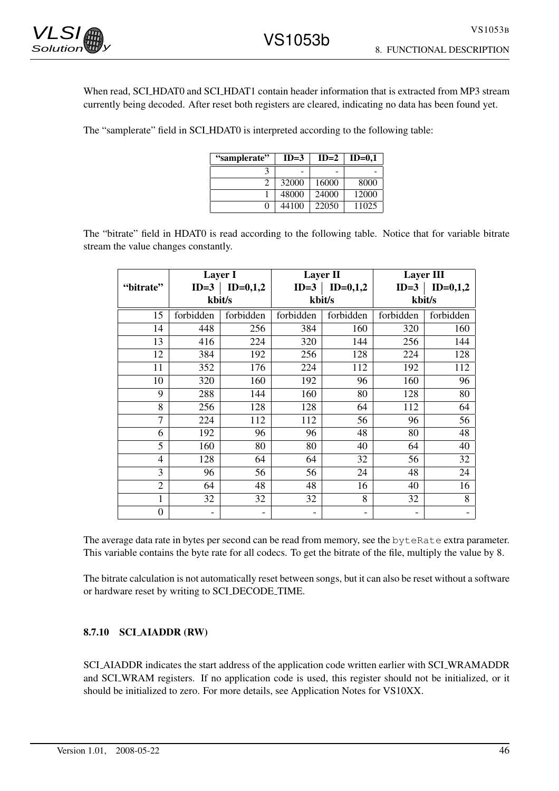

When read, SCI\_HDAT0 and SCI\_HDAT1 contain header information that is extracted from MP3 stream currently being decoded. After reset both registers are cleared, indicating no data has been found yet.

The "samplerate" field in SCI HDAT0 is interpreted according to the following table:

| "samplerate" | $ID=3$ | $ID=2$ | $ID=0.1$ |
|--------------|--------|--------|----------|
|              |        |        |          |
|              | 32000  | 16000  | 8000     |
|              | 48000  | 24000  | 12000    |
| 0            | 44100  | 22050  | 11025    |

The "bitrate" field in HDAT0 is read according to the following table. Notice that for variable bitrate stream the value changes constantly.

|                |                   | Layer I    |           | <b>Layer II</b>     | <b>Layer III</b>         |            |
|----------------|-------------------|------------|-----------|---------------------|--------------------------|------------|
| "bitrate"      | $ID=3$            | $ID=0,1,2$ |           | $ID=3$   $ID=0,1,2$ | $ID=3$                   | $ID=0,1,2$ |
|                |                   | kbit/s     |           | kbit/s              | kbit/s                   |            |
| 15             | forbidden         | forbidden  | forbidden | forbidden           | forbidden                | forbidden  |
| 14             | 448               | 256        | 384       | 160                 | 320                      | 160        |
| 13             | 416               | 224        | 320       | 144                 | 256                      | 144        |
| 12             | 384               | 192        | 256       | 128                 | 224                      | 128        |
| 11             | 352               | 176        | 224       | 112                 | 192                      | 112        |
| 10             | 320               | 160        | 192       | 96                  | 160                      | 96         |
| 9              | 288               | 144        | 160       | 80                  | 128                      | 80         |
| 8              | 256               | 128        | 128       | 64                  | 112                      | 64         |
| 7              | 224               | 112        | 112       | 56                  | 96                       | 56         |
| 6              | 192               | 96         | 96        | 48                  | 80                       | 48         |
| 5              | 160               | 80         | 80        | 40                  | 64                       | 40         |
| 4              | 128               | 64         | 64        | 32                  | 56                       | 32         |
| 3              | 96                | 56         | 56        | 24                  | 48                       | 24         |
| $\overline{2}$ | 64                | 48         | 48        | 16                  | 40                       | 16         |
| 1              | 32                | 32         | 32        | 8                   | 32                       | 8          |
| $\theta$       | $\qquad \qquad -$ |            | -         | -                   | $\overline{\phantom{0}}$ |            |

The average data rate in bytes per second can be read from memory, see the byteRate extra parameter. This variable contains the byte rate for all codecs. To get the bitrate of the file, multiply the value by 8.

The bitrate calculation is not automatically reset between songs, but it can also be reset without a software or hardware reset by writing to SCI DECODE TIME.

### 8.7.10 SCI AIADDR (RW)

SCI AIADDR indicates the start address of the application code written earlier with SCI WRAMADDR and SCI WRAM registers. If no application code is used, this register should not be initialized, or it should be initialized to zero. For more details, see Application Notes for VS10XX.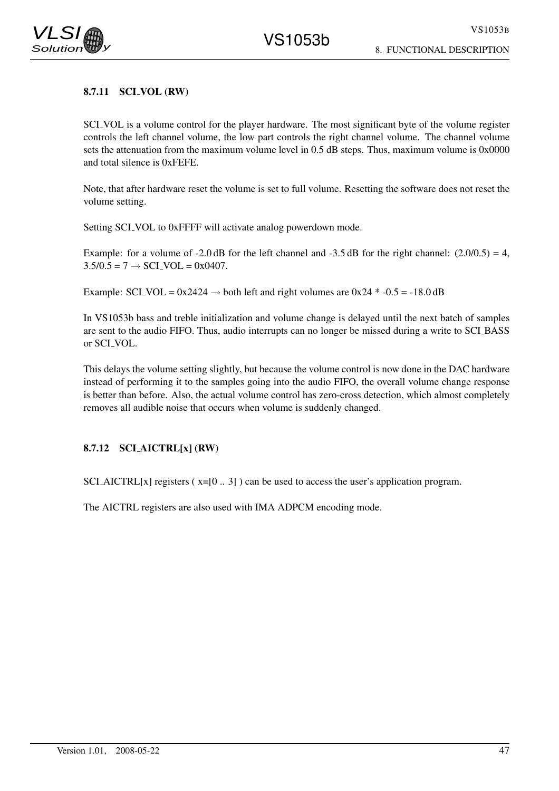# 8. FUNCTIONAL DESCRIPTION

## 8.7.11 SCI\_VOL (RW)

SCI VOL is a volume control for the player hardware. The most significant byte of the volume register controls the left channel volume, the low part controls the right channel volume. The channel volume sets the attenuation from the maximum volume level in 0.5 dB steps. Thus, maximum volume is 0x0000 and total silence is 0xFEFE.

Note, that after hardware reset the volume is set to full volume. Resetting the software does not reset the volume setting.

Setting SCI\_VOL to 0xFFFF will activate analog powerdown mode.

Example: for a volume of -2.0 dB for the left channel and -3.5 dB for the right channel:  $(2.0/0.5) = 4$ ,  $3.5/0.5 = 7 \rightarrow \text{SCI_VOL} = 0x0407.$ 

Example: SCI\_VOL =  $0x2424 \rightarrow$  both left and right volumes are  $0x24 * -0.5 = -18.0$  dB

In VS1053b bass and treble initialization and volume change is delayed until the next batch of samples are sent to the audio FIFO. Thus, audio interrupts can no longer be missed during a write to SCI BASS or SCI VOL.

This delays the volume setting slightly, but because the volume control is now done in the DAC hardware instead of performing it to the samples going into the audio FIFO, the overall volume change response is better than before. Also, the actual volume control has zero-cross detection, which almost completely removes all audible noise that occurs when volume is suddenly changed.

### 8.7.12 SCI AICTRL[x] (RW)

SCI\_AICTRL[x] registers  $(x=[0..3])$  can be used to access the user's application program.

The AICTRL registers are also used with IMA ADPCM encoding mode.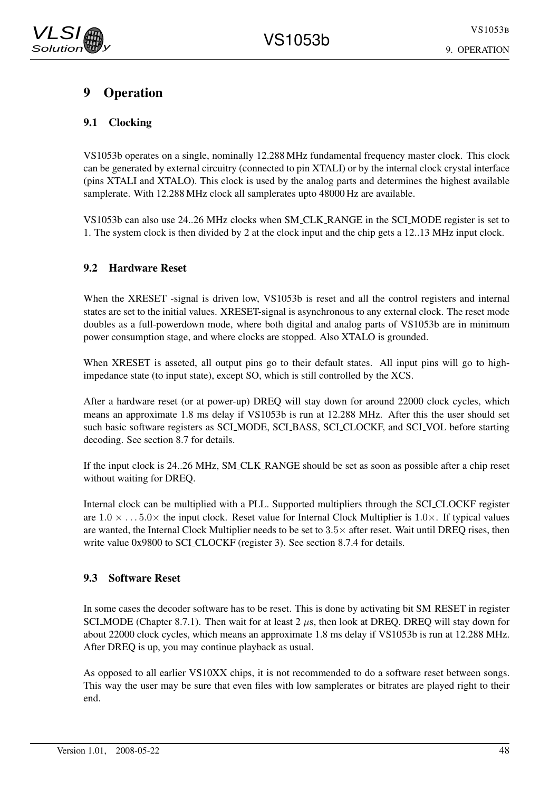# 9 Operation

# 9.1 Clocking

VS1053b operates on a single, nominally 12.288 MHz fundamental frequency master clock. This clock can be generated by external circuitry (connected to pin XTALI) or by the internal clock crystal interface (pins XTALI and XTALO). This clock is used by the analog parts and determines the highest available samplerate. With 12.288 MHz clock all samplerates upto 48000 Hz are available.

VS1053b can also use 24..26 MHz clocks when SM CLK RANGE in the SCI MODE register is set to 1. The system clock is then divided by 2 at the clock input and the chip gets a 12..13 MHz input clock.

# 9.2 Hardware Reset

When the XRESET -signal is driven low, VS1053b is reset and all the control registers and internal states are set to the initial values. XRESET-signal is asynchronous to any external clock. The reset mode doubles as a full-powerdown mode, where both digital and analog parts of VS1053b are in minimum power consumption stage, and where clocks are stopped. Also XTALO is grounded.

When XRESET is asseted, all output pins go to their default states. All input pins will go to highimpedance state (to input state), except SO, which is still controlled by the XCS.

After a hardware reset (or at power-up) DREQ will stay down for around 22000 clock cycles, which means an approximate 1.8 ms delay if VS1053b is run at 12.288 MHz. After this the user should set such basic software registers as SCI MODE, SCI BASS, SCI CLOCKF, and SCI VOL before starting decoding. See section 8.7 for details.

If the input clock is 24..26 MHz, SM CLK RANGE should be set as soon as possible after a chip reset without waiting for DREQ.

Internal clock can be multiplied with a PLL. Supported multipliers through the SCI CLOCKF register are  $1.0 \times \ldots 5.0 \times$  the input clock. Reset value for Internal Clock Multiplier is  $1.0 \times$ . If typical values are wanted, the Internal Clock Multiplier needs to be set to  $3.5\times$  after reset. Wait until DREO rises, then write value 0x9800 to SCLCLOCKF (register 3). See section 8.7.4 for details.

## 9.3 Software Reset

In some cases the decoder software has to be reset. This is done by activating bit SM RESET in register SCI MODE (Chapter 8.7.1). Then wait for at least  $2 \mu s$ , then look at DREQ. DREQ will stay down for about 22000 clock cycles, which means an approximate 1.8 ms delay if VS1053b is run at 12.288 MHz. After DREQ is up, you may continue playback as usual.

As opposed to all earlier VS10XX chips, it is not recommended to do a software reset between songs. This way the user may be sure that even files with low samplerates or bitrates are played right to their end.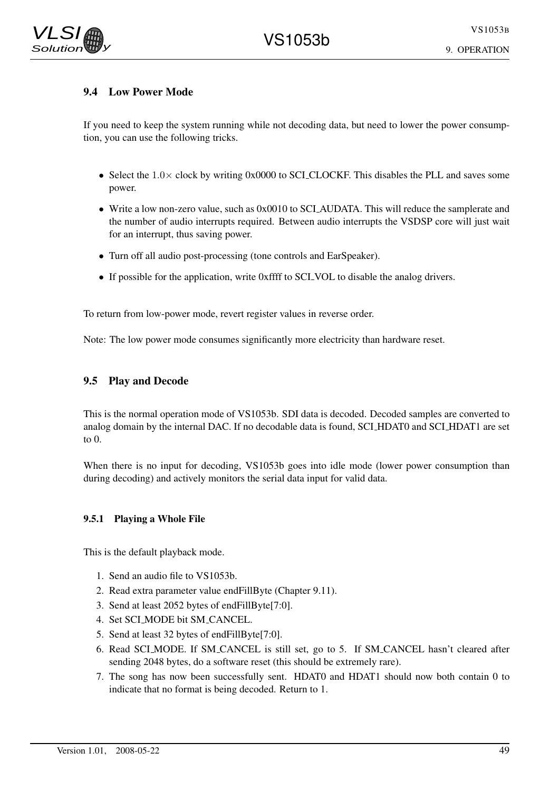9. OPERATION

## 9.4 Low Power Mode

If you need to keep the system running while not decoding data, but need to lower the power consumption, you can use the following tricks.

- Select the  $1.0 \times$  clock by writing 0x0000 to SCL CLOCKF. This disables the PLL and saves some power.
- Write a low non-zero value, such as 0x0010 to SCLAUDATA. This will reduce the samplerate and the number of audio interrupts required. Between audio interrupts the VSDSP core will just wait for an interrupt, thus saving power.
- Turn off all audio post-processing (tone controls and EarSpeaker).
- If possible for the application, write 0xffff to SCI VOL to disable the analog drivers.

To return from low-power mode, revert register values in reverse order.

Note: The low power mode consumes significantly more electricity than hardware reset.

## 9.5 Play and Decode

This is the normal operation mode of VS1053b. SDI data is decoded. Decoded samples are converted to analog domain by the internal DAC. If no decodable data is found, SCI HDAT0 and SCI HDAT1 are set to 0.

When there is no input for decoding, VS1053b goes into idle mode (lower power consumption than during decoding) and actively monitors the serial data input for valid data.

### 9.5.1 Playing a Whole File

This is the default playback mode.

- 1. Send an audio file to VS1053b.
- 2. Read extra parameter value endFillByte (Chapter 9.11).
- 3. Send at least 2052 bytes of endFillByte[7:0].
- 4. Set SCI MODE bit SM CANCEL.
- 5. Send at least 32 bytes of endFillByte[7:0].
- 6. Read SCI MODE. If SM CANCEL is still set, go to 5. If SM CANCEL hasn't cleared after sending 2048 bytes, do a software reset (this should be extremely rare).
- 7. The song has now been successfully sent. HDAT0 and HDAT1 should now both contain 0 to indicate that no format is being decoded. Return to 1.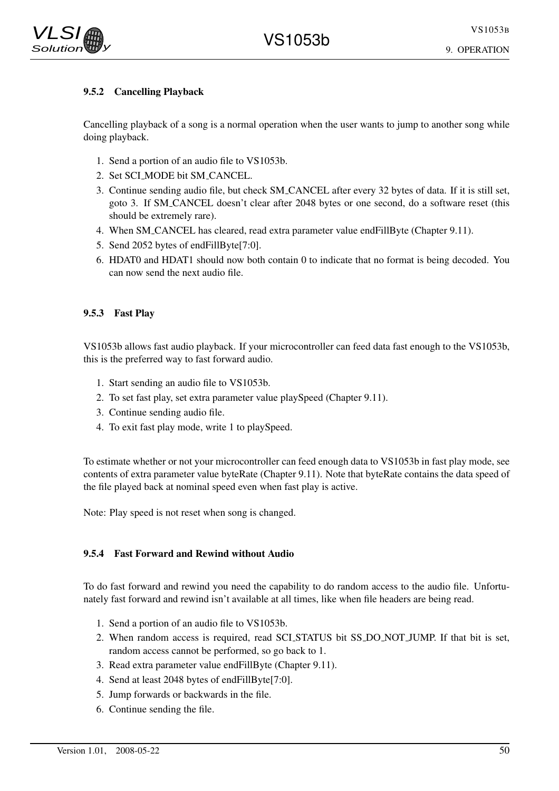# 9.5.2 Cancelling Playback

Cancelling playback of a song is a normal operation when the user wants to jump to another song while doing playback.

- 1. Send a portion of an audio file to VS1053b.
- 2. Set SCI MODE bit SM CANCEL.
- 3. Continue sending audio file, but check SM CANCEL after every 32 bytes of data. If it is still set, goto 3. If SM CANCEL doesn't clear after 2048 bytes or one second, do a software reset (this should be extremely rare).
- 4. When SM CANCEL has cleared, read extra parameter value endFillByte (Chapter 9.11).
- 5. Send 2052 bytes of endFillByte[7:0].
- 6. HDAT0 and HDAT1 should now both contain 0 to indicate that no format is being decoded. You can now send the next audio file.

## 9.5.3 Fast Play

VS1053b allows fast audio playback. If your microcontroller can feed data fast enough to the VS1053b, this is the preferred way to fast forward audio.

- 1. Start sending an audio file to VS1053b.
- 2. To set fast play, set extra parameter value playSpeed (Chapter 9.11).
- 3. Continue sending audio file.
- 4. To exit fast play mode, write 1 to playSpeed.

To estimate whether or not your microcontroller can feed enough data to VS1053b in fast play mode, see contents of extra parameter value byteRate (Chapter 9.11). Note that byteRate contains the data speed of the file played back at nominal speed even when fast play is active.

Note: Play speed is not reset when song is changed.

### 9.5.4 Fast Forward and Rewind without Audio

To do fast forward and rewind you need the capability to do random access to the audio file. Unfortunately fast forward and rewind isn't available at all times, like when file headers are being read.

- 1. Send a portion of an audio file to VS1053b.
- 2. When random access is required, read SCI STATUS bit SS DO NOT JUMP. If that bit is set, random access cannot be performed, so go back to 1.
- 3. Read extra parameter value endFillByte (Chapter 9.11).
- 4. Send at least 2048 bytes of endFillByte[7:0].
- 5. Jump forwards or backwards in the file.
- 6. Continue sending the file.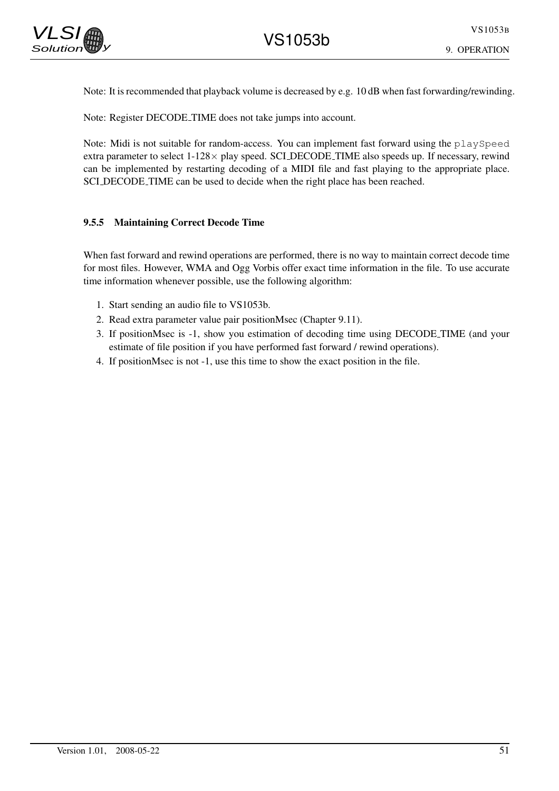

Note: It is recommended that playback volume is decreased by e.g. 10 dB when fast forwarding/rewinding.

Note: Register DECODE TIME does not take jumps into account.

Note: Midi is not suitable for random-access. You can implement fast forward using the playSpeed extra parameter to select  $1-128 \times$  play speed. SCLDECODE\_TIME also speeds up. If necessary, rewind can be implemented by restarting decoding of a MIDI file and fast playing to the appropriate place. SCI DECODE TIME can be used to decide when the right place has been reached.

#### 9.5.5 Maintaining Correct Decode Time

When fast forward and rewind operations are performed, there is no way to maintain correct decode time for most files. However, WMA and Ogg Vorbis offer exact time information in the file. To use accurate time information whenever possible, use the following algorithm:

- 1. Start sending an audio file to VS1053b.
- 2. Read extra parameter value pair positionMsec (Chapter 9.11).
- 3. If positionMsec is -1, show you estimation of decoding time using DECODE TIME (and your estimate of file position if you have performed fast forward / rewind operations).
- 4. If positionMsec is not -1, use this time to show the exact position in the file.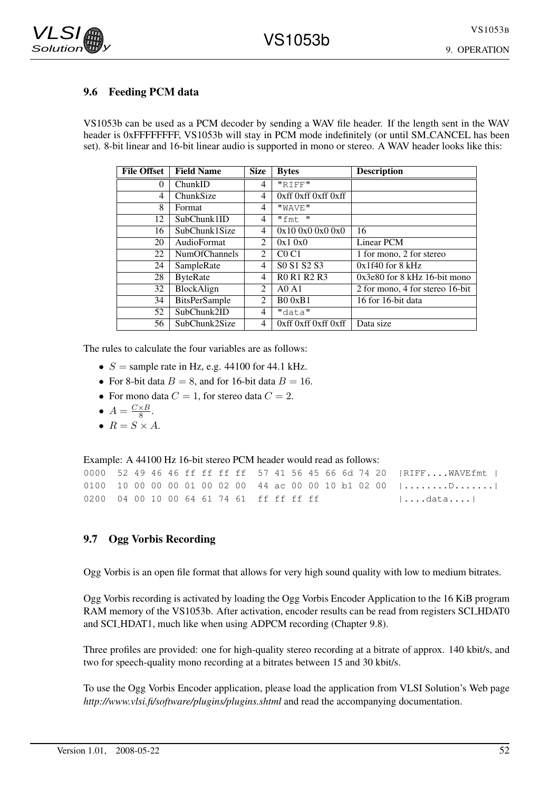## 9.6 Feeding PCM data

VS1053b can be used as a PCM decoder by sending a WAV file header. If the length sent in the WAV header is 0xFFFFFFFF, VS1053b will stay in PCM mode indefinitely (or until SM\_CANCEL has been set). 8-bit linear and 16-bit linear audio is supported in mono or stereo. A WAV header looks like this:

| <b>File Offset</b> | <b>Field Name</b>    | <b>Size</b>    | <b>Bytes</b>                                                | <b>Description</b>              |
|--------------------|----------------------|----------------|-------------------------------------------------------------|---------------------------------|
| 0                  | ChunkID              | 4              | "RIFF"                                                      |                                 |
| 4                  | ChunkSize            | 4              | $0xff$ $0xff$ $0xff$ $0xff$                                 |                                 |
| 8                  | Format               | 4              | "WAVE"                                                      |                                 |
| 12                 | SubChunk1ID          | 4              | "fmt"                                                       |                                 |
| 16                 | SubChunk1Size        | 4              | 0x100x00x00x0                                               | 16                              |
| 20                 | AudioFormat          | 2              | 0x10x0                                                      | Linear PCM                      |
| 22                 | NumOfChannels        | 2              | CO <sub>CI</sub>                                            | 1 for mono, 2 for stereo        |
| 24                 | SampleRate           | 4              | S <sub>0</sub> S <sub>1</sub> S <sub>2</sub> S <sub>3</sub> | $0x1f40$ for 8 kHz              |
| 28                 | <b>ByteRate</b>      | 4              | R0 R1 R2 R3                                                 | $0x3e80$ for 8 kHz 16-bit mono  |
| 32                 | BlockAlign           | $\overline{2}$ | AOA1                                                        | 2 for mono, 4 for stereo 16-bit |
| 34                 | <b>BitsPerSample</b> | 2              | B00xB1                                                      | 16 for 16-bit data              |
| 52                 | SubChunk2ID          | 4              | "data"                                                      |                                 |
| 56                 | SubChunk2Size        | 4              | $0xff$ $0xff$ $0xff$ $0xff$                                 | Data size                       |

The rules to calculate the four variables are as follows:

- $S =$  sample rate in Hz, e.g. 44100 for 44.1 kHz.
- For 8-bit data  $B = 8$ , and for 16-bit data  $B = 16$ .
- For mono data  $C = 1$ , for stereo data  $C = 2$ .
- $A = \frac{C \times B}{8}$  $\frac{\times B}{8}$ .
- $R = S \times A$ .

Example: A 44100 Hz 16-bit stereo PCM header would read as follows:

|                                          |  |  |  |  |  |  |  |  | 0000 52 49 46 46 ff ff ff ff 57 41 56 45 66 6d 74 20   RIFF WAVEfmt                      |
|------------------------------------------|--|--|--|--|--|--|--|--|------------------------------------------------------------------------------------------|
|                                          |  |  |  |  |  |  |  |  | 0100 10 00 00 00 01 00 02 00 44 ac 00 00 10 b1 02 00 $  \dots \dots \dots \dots \dots  $ |
| 0200 04 00 10 00 64 61 74 61 ff ff ff ff |  |  |  |  |  |  |  |  | $  \ldots$ data $\ldots  $                                                               |

### 9.7 Ogg Vorbis Recording

Ogg Vorbis is an open file format that allows for very high sound quality with low to medium bitrates.

Ogg Vorbis recording is activated by loading the Ogg Vorbis Encoder Application to the 16 KiB program RAM memory of the VS1053b. After activation, encoder results can be read from registers SCI HDAT0 and SCI HDAT1, much like when using ADPCM recording (Chapter 9.8).

Three profiles are provided: one for high-quality stereo recording at a bitrate of approx. 140 kbit/s, and two for speech-quality mono recording at a bitrates between 15 and 30 kbit/s.

To use the Ogg Vorbis Encoder application, please load the application from VLSI Solution's Web page *http://www.vlsi.fi/software/plugins/plugins.shtml* and read the accompanying documentation.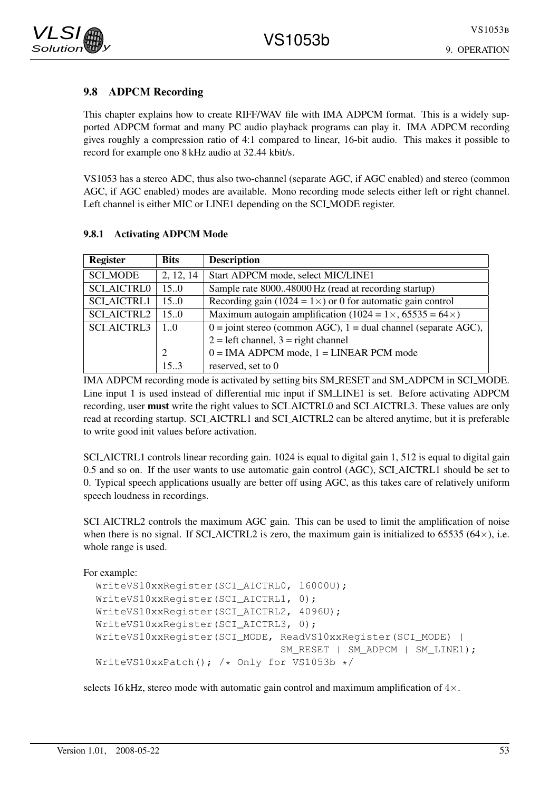# 9.8 ADPCM Recording

This chapter explains how to create RIFF/WAV file with IMA ADPCM format. This is a widely supported ADPCM format and many PC audio playback programs can play it. IMA ADPCM recording gives roughly a compression ratio of 4:1 compared to linear, 16-bit audio. This makes it possible to record for example ono 8 kHz audio at 32.44 kbit/s.

VS1053 has a stereo ADC, thus also two-channel (separate AGC, if AGC enabled) and stereo (common AGC, if AGC enabled) modes are available. Mono recording mode selects either left or right channel. Left channel is either MIC or LINE1 depending on the SCI MODE register.

| <b>Register</b>    | <b>Bits</b>     | <b>Description</b>                                                        |
|--------------------|-----------------|---------------------------------------------------------------------------|
| <b>SCLMODE</b>     | 2, 12, 14       | Start ADPCM mode, select MIC/LINE1                                        |
| <b>SCI_AICTRL0</b> | 15.0            | Sample rate 800048000 Hz (read at recording startup)                      |
| <b>SCI_AICTRL1</b> | 15.0            | Recording gain (1024 = $1 \times$ ) or 0 for automatic gain control       |
| <b>SCI_AICTRL2</b> | 15.0            | Maximum autogain amplification (1024 = $1 \times$ , 65535 = 64 $\times$ ) |
| <b>SCI_AICTRL3</b> | $1_{.0}$        | $0 =$ joint stereo (common AGC), $1 =$ dual channel (separate AGC),       |
|                    |                 | $2 = left channel$ , $3 = right channel$                                  |
|                    | 2               | $0 = IMA ADPCM$ mode, $1 = LINEAR$ PCM mode                               |
|                    | 15 <sup>3</sup> | reserved, set to 0                                                        |

### 9.8.1 Activating ADPCM Mode

IMA ADPCM recording mode is activated by setting bits SM RESET and SM ADPCM in SCI MODE. Line input 1 is used instead of differential mic input if SM LINE1 is set. Before activating ADPCM recording, user must write the right values to SCI AICTRL0 and SCI AICTRL3. These values are only read at recording startup. SCI AICTRL1 and SCI AICTRL2 can be altered anytime, but it is preferable to write good init values before activation.

SCI\_AICTRL1 controls linear recording gain. 1024 is equal to digital gain 1, 512 is equal to digital gain 0.5 and so on. If the user wants to use automatic gain control (AGC), SCI AICTRL1 should be set to 0. Typical speech applications usually are better off using AGC, as this takes care of relatively uniform speech loudness in recordings.

SCI AICTRL2 controls the maximum AGC gain. This can be used to limit the amplification of noise when there is no signal. If SCL-AICTRL2 is zero, the maximum gain is initialized to 65535 (64 $\times$ ), i.e. whole range is used.

```
For example:
```

```
WriteVS10xxRegister(SCI_AICTRL0, 16000U);
WriteVS10xxRegister(SCI_AICTRL1, 0);
WriteVS10xxRegister(SCI_AICTRL2, 4096U);
WriteVS10xxRegister(SCI_AICTRL3, 0);
WriteVS10xxReqister(SCI_MODE, ReadVS10xxReqister(SCI_MODE) |
                              SM_RESET | SM_ADPCM | SM_LINE1);
WriteVS10xxPatch(); /* Only for VS1053b */
```
selects 16 kHz, stereo mode with automatic gain control and maximum amplification of  $4\times$ .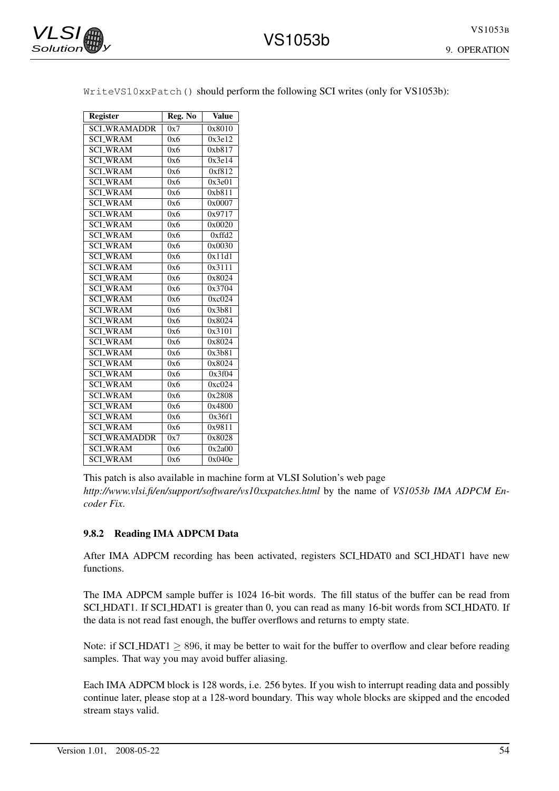9. OPERATION

| <b>Register</b>     | Reg. No | <b>Value</b> |
|---------------------|---------|--------------|
| <b>SCLWRAMADDR</b>  | 0x7     | 0x8010       |
| <b>SCI_WRAM</b>     | 0x6     | 0x3e12       |
| <b>SCI_WRAM</b>     | 0x6     | 0xb817       |
| <b>SCI_WRAM</b>     | 0x6     | 0x3e14       |
| <b>SCI_WRAM</b>     | 0x6     | 0xf812       |
| <b>SCI_WRAM</b>     | 0x6     | 0x3e01       |
| <b>SCLWRAM</b>      | 0x6     | 0xb811       |
| <b>SCI_WRAM</b>     | 0x6     | 0x0007       |
| <b>SCLWRAM</b>      | 0x6     | 0x9717       |
| <b>SCI_WRAM</b>     | 0x6     | 0x0020       |
| <b>SCLWRAM</b>      | 0x6     | 0xffd2       |
| <b>SCI_WRAM</b>     | 0x6     | 0x0030       |
| <b>SCLWRAM</b>      | 0x6     | 0x11d1       |
| <b>SCLWRAM</b>      | 0x6     | 0x3111       |
| <b>SCI_WRAM</b>     | 0x6     | 0x8024       |
| <b>SCI_WRAM</b>     | 0x6     | 0x3704       |
| <b>SCLWRAM</b>      | 0x6     | 0xc024       |
| <b>SCI_WRAM</b>     | 0x6     | 0x3b81       |
| <b>SCI_WRAM</b>     | 0x6     | 0x8024       |
| <b>SCLWRAM</b>      | 0x6     | 0x3101       |
| <b>SCLWRAM</b>      | 0x6     | 0x8024       |
| <b>SCI_WRAM</b>     | 0x6     | 0x3b81       |
| <b>SCLWRAM</b>      | 0x6     | 0x8024       |
| <b>SCI_WRAM</b>     | 0x6     | 0x3f04       |
| <b>SCLWRAM</b>      | 0x6     | 0xc024       |
| <b>SCLWRAM</b>      | 0x6     | 0x2808       |
| <b>SCI_WRAM</b>     | 0x6     | 0x4800       |
| <b>SCLWRAM</b>      | 0x6     | 0x36f1       |
| <b>SCI_WRAM</b>     | 0x6     | 0x9811       |
| <b>SCI_WRAMADDR</b> | 0x7     | 0x8028       |
| <b>SCLWRAM</b>      | 0x6     | 0x2a00       |
| <b>SCI_WRAM</b>     | 0x6     | 0x040e       |

WriteVS10xxPatch() should perform the following SCI writes (only for VS1053b):

VS1053b

form at VLSI Solution's web page *http://www.vlsi.fi/en/support/software/vs10xxpatches.html* by the name of *VS1053b IMA ADPCM Encoder Fix*.

### 9.8.2 Reading IMA ADPCM Data

After IMA ADPCM recording has been activated, registers SCI HDAT0 and SCI HDAT1 have new functions.

The IMA ADPCM sample buffer is 1024 16-bit words. The fill status of the buffer can be read from SCI\_HDAT1. If SCI\_HDAT1 is greater than 0, you can read as many 16-bit words from SCI\_HDAT0. If the data is not read fast enough, the buffer overflows and returns to empty state.

Note: if SCLHDAT1  $\geq$  896, it may be better to wait for the buffer to overflow and clear before reading samples. That way you may avoid buffer aliasing.

Each IMA ADPCM block is 128 words, i.e. 256 bytes. If you wish to interrupt reading data and possibly continue later, please stop at a 128-word boundary. This way whole blocks are skipped and the encoded stream stays valid.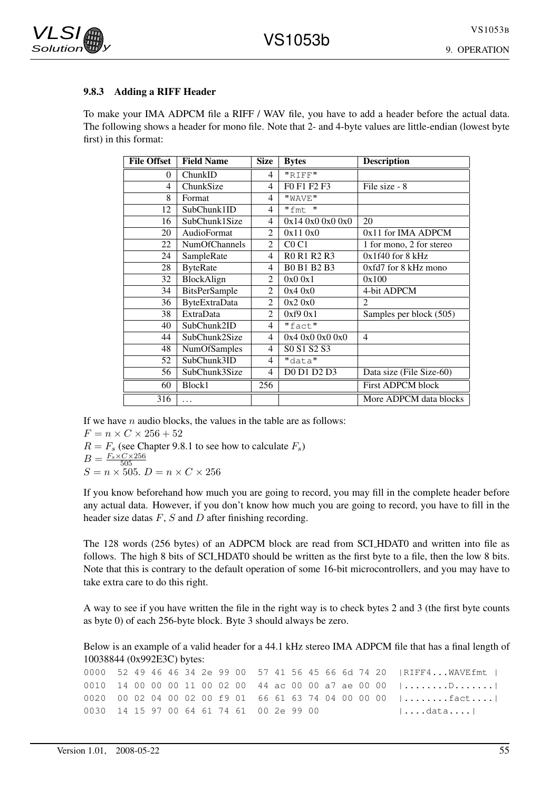

#### 9.8.3 Adding a RIFF Header

To make your IMA ADPCM file a RIFF / WAV file, you have to add a header before the actual data. The following shows a header for mono file. Note that 2- and 4-byte values are little-endian (lowest byte first) in this format:

| <b>File Offset</b> | <b>Field Name</b>    | <b>Size</b>    | <b>Bytes</b>     | <b>Description</b>            |
|--------------------|----------------------|----------------|------------------|-------------------------------|
| 0                  | ChunkID              | $\overline{4}$ | "RIFF"           |                               |
| 4                  | ChunkSize            | 4              | F0 F1 F2 F3      | File size - 8                 |
| 8                  | Format               | $\overline{4}$ | "WAVE"           |                               |
| 12                 | SubChunk1ID          | 4              | "fmt"            |                               |
| 16                 | SubChunk1Size        | $\overline{4}$ | 0x140x00x00x0    | 20                            |
| 20                 | AudioFormat          | $\overline{2}$ | 0x110x0          | 0x11 for IMA ADPCM            |
| 22                 | <b>NumOfChannels</b> | 2              | CO <sub>CI</sub> | 1 for mono, 2 for stereo      |
| 24                 | SampleRate           | $\overline{4}$ | R0 R1 R2 R3      | $\overline{0x1f40}$ for 8 kHz |
| 28                 | <b>ByteRate</b>      | 4              | B0 B1 B2 B3      | 0xfd7 for 8 kHz mono          |
| 32                 | BlockAlign           | $\overline{2}$ | 0x00x1           | 0x100                         |
| 34                 | <b>BitsPerSample</b> | 2              | 0x40x0           | 4-bit ADPCM                   |
| 36                 | <b>ByteExtraData</b> | 2              | 0x20x0           | $\overline{2}$                |
| 38                 | <b>ExtraData</b>     | 2              | 0xf90x1          | Samples per block (505)       |
| 40                 | SubChunk2ID          | $\overline{4}$ | "fact"           |                               |
| 44                 | SubChunk2Size        | $\overline{4}$ | 0x40x00x00x0     | $\overline{4}$                |
| 48                 | NumOfSamples         | $\overline{4}$ | S0 S1 S2 S3      |                               |
| 52                 | SubChunk3ID          | 4              | "data"           |                               |
| 56                 | SubChunk3Size        | 4              | D0 D1 D2 D3      | Data size (File Size-60)      |
| 60                 | Block1               | 256            |                  | First ADPCM block             |
| 316                | $\cdots$             |                |                  | More ADPCM data blocks        |

If we have  $n$  audio blocks, the values in the table are as follows:

 $F = n \times C \times 256 + 52$  $R = F_s$  (see Chapter 9.8.1 to see how to calculate  $F_s$ )  $B = \frac{F_s \times C \times 256}{505}$ 505  $S = n \times 505$ .  $D = n \times C \times 256$ 

If you know beforehand how much you are going to record, you may fill in the complete header before any actual data. However, if you don't know how much you are going to record, you have to fill in the header size datas  $F$ ,  $S$  and  $D$  after finishing recording.

The 128 words (256 bytes) of an ADPCM block are read from SCI HDAT0 and written into file as follows. The high 8 bits of SCI HDAT0 should be written as the first byte to a file, then the low 8 bits. Note that this is contrary to the default operation of some 16-bit microcontrollers, and you may have to take extra care to do this right.

A way to see if you have written the file in the right way is to check bytes 2 and 3 (the first byte counts as byte 0) of each 256-byte block. Byte 3 should always be zero.

Below is an example of a valid header for a 44.1 kHz stereo IMA ADPCM file that has a final length of 10038844 (0x992E3C) bytes:

0000 52 49 46 46 34 2e 99 00 57 41 56 45 66 6d 74 20 | RIFF4... WAVEfmt | 0010 14 00 00 00 11 00 02 00 44 ac 00 00 a7 ae 00 00 |........D.......| 0020 00 02 04 00 02 00 f9 01 66 61 63 74 04 00 00 00 |........fact....| 0030 14 15 97 00 64 61 74 61 00 2e 99 00 |....data....|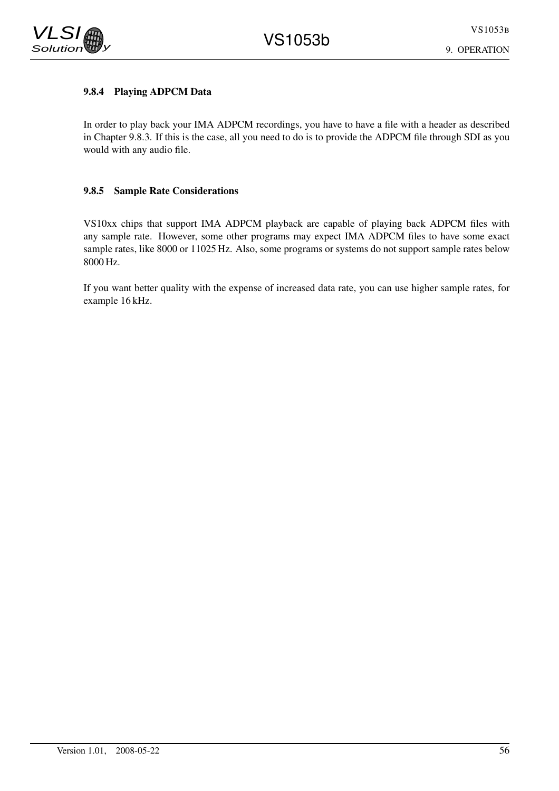

VLSI  $Solution$ 

# 9.8.4 Playing ADPCM Data

In order to play back your IMA ADPCM recordings, you have to have a file with a header as described in Chapter 9.8.3. If this is the case, all you need to do is to provide the ADPCM file through SDI as you would with any audio file.

# 9.8.5 Sample Rate Considerations

VS10xx chips that support IMA ADPCM playback are capable of playing back ADPCM files with any sample rate. However, some other programs may expect IMA ADPCM files to have some exact sample rates, like 8000 or 11025 Hz. Also, some programs or systems do not support sample rates below 8000 Hz.

If you want better quality with the expense of increased data rate, you can use higher sample rates, for example 16 kHz.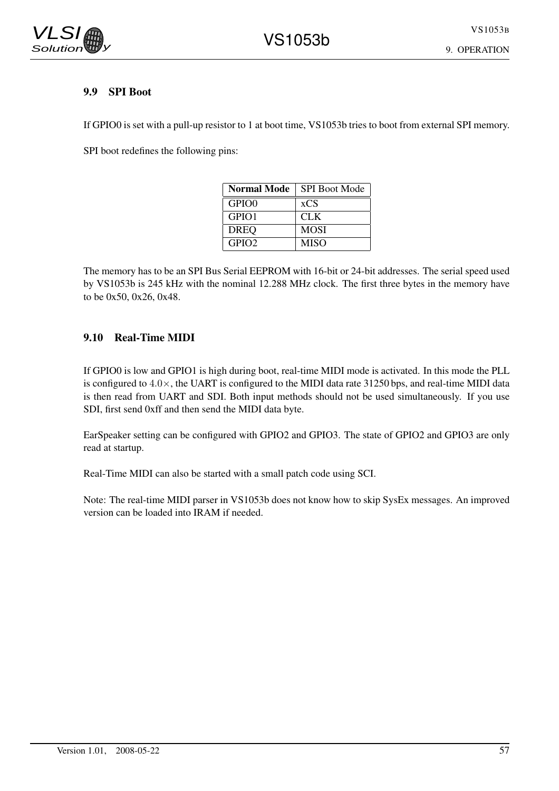## 9.9 SPI Boot

If GPIO0 is set with a pull-up resistor to 1 at boot time, VS1053b tries to boot from external SPI memory.

SPI boot redefines the following pins:

| <b>Normal Mode</b> | <b>SPI Boot Mode</b> |
|--------------------|----------------------|
| GPIO <sub>0</sub>  | xCS                  |
| GPIO1              | <b>CLK</b>           |
| <b>DREQ</b>        | <b>MOSI</b>          |
| GPIO2              | <b>MISO</b>          |

The memory has to be an SPI Bus Serial EEPROM with 16-bit or 24-bit addresses. The serial speed used by VS1053b is 245 kHz with the nominal 12.288 MHz clock. The first three bytes in the memory have to be 0x50, 0x26, 0x48.

# 9.10 Real-Time MIDI

If GPIO0 is low and GPIO1 is high during boot, real-time MIDI mode is activated. In this mode the PLL is configured to 4.0×, the UART is configured to the MIDI data rate 31250 bps, and real-time MIDI data is then read from UART and SDI. Both input methods should not be used simultaneously. If you use SDI, first send 0xff and then send the MIDI data byte.

EarSpeaker setting can be configured with GPIO2 and GPIO3. The state of GPIO2 and GPIO3 are only read at startup.

Real-Time MIDI can also be started with a small patch code using SCI.

Note: The real-time MIDI parser in VS1053b does not know how to skip SysEx messages. An improved version can be loaded into IRAM if needed.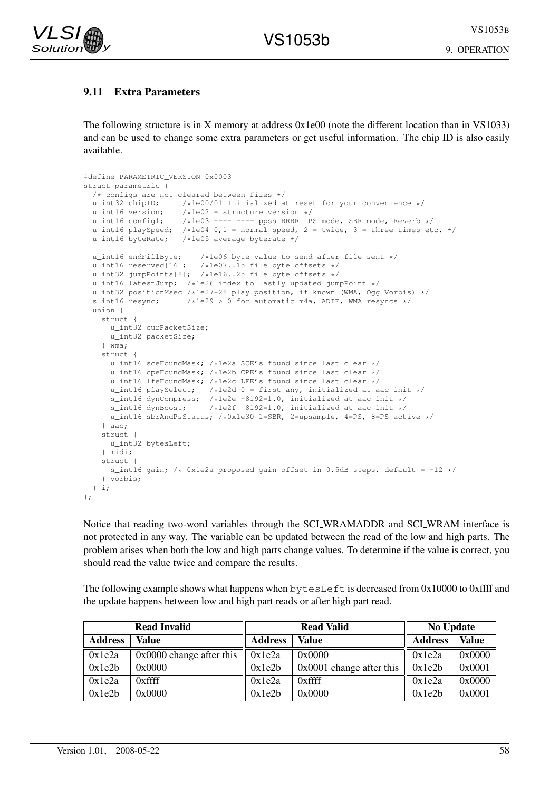VS1053B



# 9.11 Extra Parameters

The following structure is in X memory at address 0x1e00 (note the different location than in VS1033) and can be used to change some extra parameters or get useful information. The chip ID is also easily available.

```
#define PARAMETRIC_VERSION 0x0003
struct parametric {
  /* configs are not cleared between files */<br>u int32 chipID; /*1e00/01 Initialized a
  u_int32 chipID; \frac{1}{1000} /*1e00/01 Initialized at reset for your convenience */<br>u_int16 version; \frac{1}{1000} /*1e02 - structure version */
  u_int16 version; <br>u_int16 config1; /*1e02 - structure version */<br>u_int16 config1; /*1e03 ---- ---- ppss RRRR F
                           /*1e03 ---- ---- ppss RRRR PS mode, SBR mode, Reverb */
  u_int16 playSpeed; /*1e04 0,1 = normal speed, 2 = twice, 3 = three times etc. */
  u_int16 byteRate; /*1e05 average byterate */
  u_int16 endFillByte; /*1e06 byte value to send after file sent */
  u_int16 reserved[16]; /*1e07..15 file byte offsets */
  u_int32 jumpPoints[8]; /*1e16..25 file byte offsets */
  u_int16 latestJump; /*1e26 index to lastly updated jumpPoint */
  u_int32 positionMsec /*1e27-28 play position, if known (WMA, Ogg Vorbis) */<br>s int16 resvnc: /*1e29 > 0 for automatic m4a, ADIF. WMA resvncs */
                           \frac{1}{1629} > 0 for automatic m4a, ADIF, WMA resyncs */
  union {
    struct {
       u_int32 curPacketSize;
       u_int32 packetSize;
     } wma;
     struct {
       u_int16 sceFoundMask; /*1e2a SCE's found since last clear */
       u_int16 cpeFoundMask; /*1e2b CPE's found since last clear */
       u_int16 lfeFoundMask; /*1e2c LFE's found since last clear */<br>u_int16 playSelect; /*1e2d 0 = first any, initialized at a
                                   /*le2d 0 = first any, initialized at aac init */
       s_int16 dynCompress; /*1e2e -8192=1.0, initialized at aac init */<br>s_int16 dynBoost; /*1e2f 8192=1.0, initialized at aac init */
                                 \frac{1}{16} /*1e2f 8192=1.0, initialized at aac init */
       u_int16 sbrAndPsStatus; /*0x1e30 1=SBR, 2=upsample, 4=PS, 8=PS active */
     \overline{)} aac:
     struct {
      u_int32 bytesLeft;
     } midi;
     struct {
       s_int16 gain; /* 0x1e2a proposed gain offset in 0.5dB steps, default = -12 */
     } vorbis;
  } i;
};
```
Notice that reading two-word variables through the SCI WRAMADDR and SCI WRAM interface is not protected in any way. The variable can be updated between the read of the low and high parts. The problem arises when both the low and high parts change values. To determine if the value is correct, you should read the value twice and compare the results.

The following example shows what happens when  $b$ ytesLeft is decreased from 0x10000 to 0xffff and the update happens between low and high part reads or after high part read.

|                | <b>Read Invalid</b>      |                | <b>Read Valid</b>          | <b>No Update</b> |              |
|----------------|--------------------------|----------------|----------------------------|------------------|--------------|
| <b>Address</b> | Value                    | <b>Address</b> | Value                      | <b>Address</b>   | <b>Value</b> |
| 0x1e2a         | 0x0000 change after this | 0x1e2a         | 0x0000                     | 0x1e2a           | 0x0000       |
| 0x1e2b         | 0x0000                   | 0x1e2b         | $0x0001$ change after this | 0x1e2b           | 0x0001       |
| 0x1e2a         | 0xffff                   | 0x1e2a         | $0x$ ffff                  | 0x1e2a           | 0x0000       |
| 0x1e2b         | 0x0000                   | 0x1e2b         | 0x0000                     | 0x1e2b           | 0x0001       |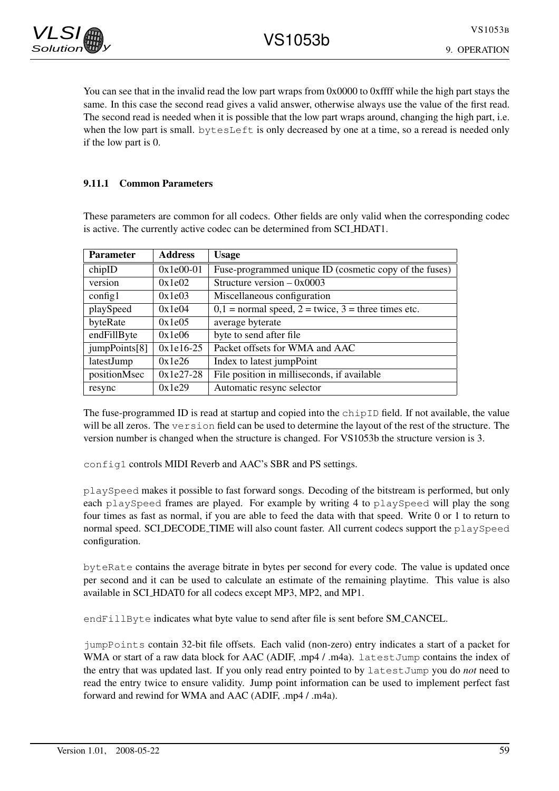You can see that in the invalid read the low part wraps from 0x0000 to 0xffff while the high part stays the same. In this case the second read gives a valid answer, otherwise always use the value of the first read. The second read is needed when it is possible that the low part wraps around, changing the high part, i.e. when the low part is small. bytesLeft is only decreased by one at a time, so a reread is needed only if the low part is 0.

### 9.11.1 Common Parameters

These parameters are common for all codecs. Other fields are only valid when the corresponding codec is active. The currently active codec can be determined from SCI HDAT1.

| <b>Parameter</b> | <b>Address</b> | <b>Usage</b>                                           |
|------------------|----------------|--------------------------------------------------------|
| chipID           | $0x1e00-01$    | Fuse-programmed unique ID (cosmetic copy of the fuses) |
| version          | 0x1e02         | Structure version $- 0x0003$                           |
| config1          | 0x1e03         | Miscellaneous configuration                            |
| playSpeed        | 0x1e04         | $0,1$ = normal speed, 2 = twice, 3 = three times etc.  |
| byteRate         | 0x1e05         | average byterate                                       |
| endFillByte      | 0x1e06         | byte to send after file                                |
| jumpPoints[8]    | $0x1e16-25$    | Packet offsets for WMA and AAC                         |
| latestJump       | 0x1e26         | Index to latest jumpPoint                              |
| positionMsec     | $0x1e27-28$    | File position in milliseconds, if available            |
| resync           | 0x1e29         | Automatic resync selector                              |

The fuse-programmed ID is read at startup and copied into the chipID field. If not available, the value will be all zeros. The version field can be used to determine the layout of the rest of the structure. The version number is changed when the structure is changed. For VS1053b the structure version is 3.

config1 controls MIDI Reverb and AAC's SBR and PS settings.

playSpeed makes it possible to fast forward songs. Decoding of the bitstream is performed, but only each playSpeed frames are played. For example by writing 4 to playSpeed will play the song four times as fast as normal, if you are able to feed the data with that speed. Write 0 or 1 to return to normal speed. SCI\_DECODE\_TIME will also count faster. All current codecs support the playSpeed configuration.

byteRate contains the average bitrate in bytes per second for every code. The value is updated once per second and it can be used to calculate an estimate of the remaining playtime. This value is also available in SCI HDAT0 for all codecs except MP3, MP2, and MP1.

endFillByte indicates what byte value to send after file is sent before SM\_CANCEL.

jumpPoints contain 32-bit file offsets. Each valid (non-zero) entry indicates a start of a packet for WMA or start of a raw data block for AAC (ADIF, .mp4 / .m4a). Latest Jump contains the index of the entry that was updated last. If you only read entry pointed to by latestJump you do *not* need to read the entry twice to ensure validity. Jump point information can be used to implement perfect fast forward and rewind for WMA and AAC (ADIF, .mp4 / .m4a).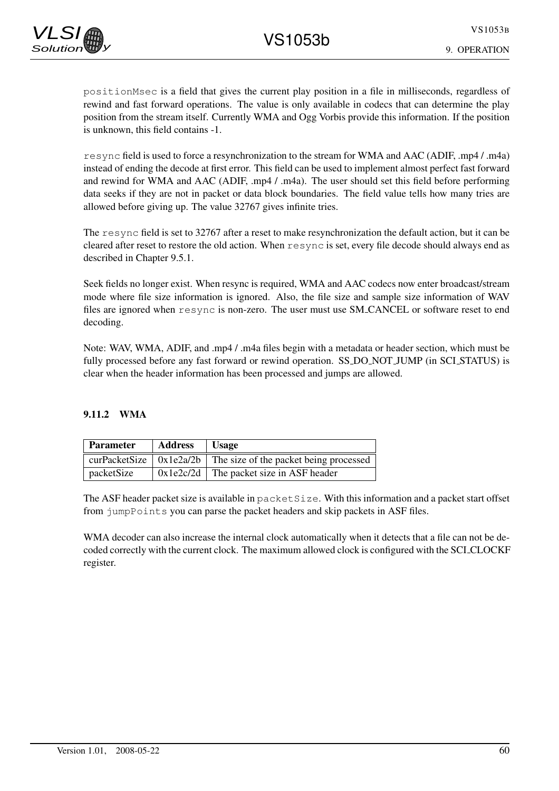positionMsec is a field that gives the current play position in a file in milliseconds, regardless of rewind and fast forward operations. The value is only available in codecs that can determine the play position from the stream itself. Currently WMA and Ogg Vorbis provide this information. If the position is unknown, this field contains -1.

resync field is used to force a resynchronization to the stream for WMA and AAC (ADIF, .mp4 / .m4a) instead of ending the decode at first error. This field can be used to implement almost perfect fast forward and rewind for WMA and AAC (ADIF, .mp4 / .m4a). The user should set this field before performing data seeks if they are not in packet or data block boundaries. The field value tells how many tries are allowed before giving up. The value 32767 gives infinite tries.

The resync field is set to 32767 after a reset to make resynchronization the default action, but it can be cleared after reset to restore the old action. When resync is set, every file decode should always end as described in Chapter 9.5.1.

Seek fields no longer exist. When resync is required, WMA and AAC codecs now enter broadcast/stream mode where file size information is ignored. Also, the file size and sample size information of WAV files are ignored when resync is non-zero. The user must use SM CANCEL or software reset to end decoding.

Note: WAV, WMA, ADIF, and .mp4 / .m4a files begin with a metadata or header section, which must be fully processed before any fast forward or rewind operation. SS\_DO\_NOT\_JUMP (in SCL\_STATUS) is clear when the header information has been processed and jumps are allowed.

### 9.11.2 WMA

| Parameter  | <b>Address</b> | <b>Usage</b>                                                                   |
|------------|----------------|--------------------------------------------------------------------------------|
|            |                | curPacketSize $\vert$ 0x1e2a/2b $\vert$ The size of the packet being processed |
| packetSize |                | $0x1e2c/2d$ The packet size in ASF header                                      |

The ASF header packet size is available in  $package$  is  $exists z$  e. With this information and a packet start offset from jumpPoints you can parse the packet headers and skip packets in ASF files.

WMA decoder can also increase the internal clock automatically when it detects that a file can not be decoded correctly with the current clock. The maximum allowed clock is configured with the SCI CLOCKF register.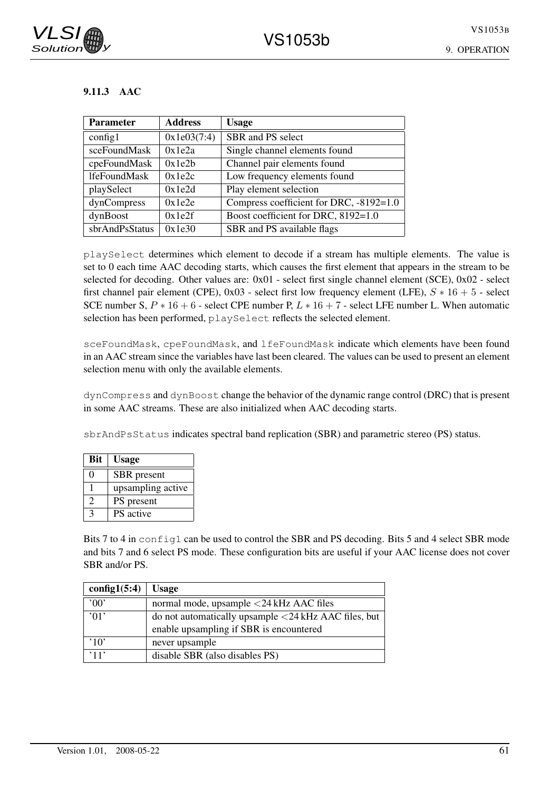## 9.11.3 AAC

| Parameter           | <b>Address</b> | <b>Usage</b>                            |
|---------------------|----------------|-----------------------------------------|
| config1             | 0x1e03(7:4)    | SBR and PS select                       |
| sceFoundMask        | 0x1e2a         | Single channel elements found           |
| cpeFoundMask        | 0x1e2h         | Channel pair elements found             |
| <b>lfeFoundMask</b> | 0x1e2c         | Low frequency elements found            |
| playSelect          | 0x1e2d         | Play element selection                  |
| dynCompress         | 0x1e2e         | Compress coefficient for DRC, -8192=1.0 |
| dynBoost            | 0x1e2f         | Boost coefficient for DRC, 8192=1.0     |
| sbrAndPsStatus      | 0x1e30         | SBR and PS available flags              |

playSelect determines which element to decode if a stream has multiple elements. The value is set to 0 each time AAC decoding starts, which causes the first element that appears in the stream to be selected for decoding. Other values are: 0x01 - select first single channel element (SCE), 0x02 - select first channel pair element (CPE),  $0x03$  - select first low frequency element (LFE),  $S * 16 + 5$  - select SCE number S,  $P * 16 + 6$  - select CPE number P,  $L * 16 + 7$  - select LFE number L. When automatic selection has been performed, playSelect reflects the selected element.

sceFoundMask, cpeFoundMask, and lfeFoundMask indicate which elements have been found in an AAC stream since the variables have last been cleared. The values can be used to present an element selection menu with only the available elements.

dynCompress and dynBoost change the behavior of the dynamic range control (DRC) that is present in some AAC streams. These are also initialized when AAC decoding starts.

sbrAndPsStatus indicates spectral band replication (SBR) and parametric stereo (PS) status.

| <b>Bit</b>     | <b>Usage</b>      |
|----------------|-------------------|
| 0              | SBR present       |
|                | upsampling active |
| $\overline{2}$ | PS present        |
| $\mathbf{c}$   | <b>PS</b> active  |

Bits 7 to 4 in config1 can be used to control the SBR and PS decoding. Bits 5 and 4 select SBR mode and bits 7 and 6 select PS mode. These configuration bits are useful if your AAC license does not cover SBR and/or PS.

| config1(5:4)           | <b>Usage</b>                                                           |
|------------------------|------------------------------------------------------------------------|
| 00                     | normal mode, upsample <24 kHz AAC files                                |
| $^{\prime}$ 01'        | do not automatically upsample $\langle 24 \text{ kHz }$ AAC files, but |
|                        | enable upsampling if SBR is encountered                                |
| $^{\prime}10^{\prime}$ | never upsample                                                         |
| ,11,                   | disable SBR (also disables PS)                                         |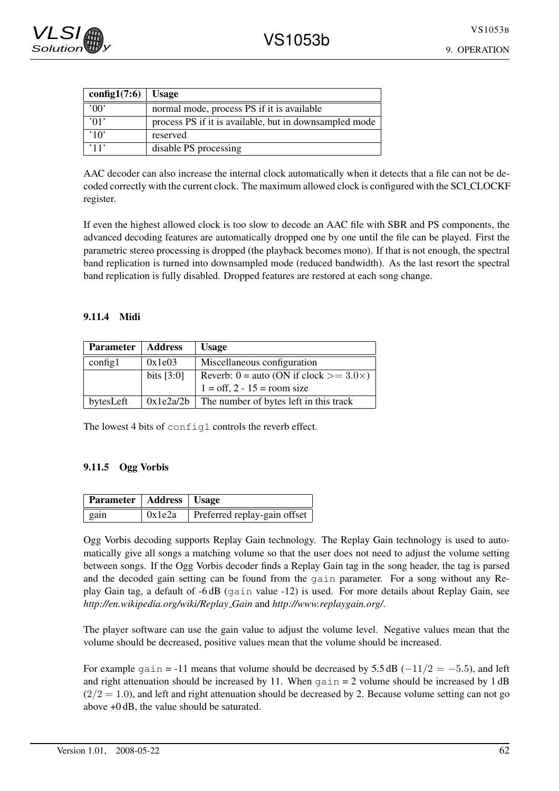| config1 $(7:6)$ Usage  |                                                        |
|------------------------|--------------------------------------------------------|
| $^{\prime}00'$         | normal mode, process PS if it is available             |
| ,01,                   | process PS if it is available, but in downsampled mode |
| $^{\prime}10^{\prime}$ | reserved                                               |
| , 11,                  | disable PS processing                                  |

AAC decoder can also increase the internal clock automatically when it detects that a file can not be decoded correctly with the current clock. The maximum allowed clock is configured with the SCI CLOCKF register.

If even the highest allowed clock is too slow to decode an AAC file with SBR and PS components, the advanced decoding features are automatically dropped one by one until the file can be played. First the parametric stereo processing is dropped (the playback becomes mono). If that is not enough, the spectral band replication is turned into downsampled mode (reduced bandwidth). As the last resort the spectral band replication is fully disabled. Dropped features are restored at each song change.

#### 9.11.4 Midi

| <b>Parameter</b> | <b>Address</b> | <b>Usage</b>                                       |
|------------------|----------------|----------------------------------------------------|
| config1          | 0x1e03         | Miscellaneous configuration                        |
|                  | bits $[3:0]$   | Reverb: $0 =$ auto (ON if clock $> = 3.0 \times$ ) |
|                  |                | $1 = \text{off}, 2 - 15 = \text{room size}$        |
| bytesLeft        |                | $0x1e2a/2b$ The number of bytes left in this track |

The lowest 4 bits of config1 controls the reverb effect.

## 9.11.5 Ogg Vorbis

| Parameter   Address   Usage |        |                              |
|-----------------------------|--------|------------------------------|
| $\vert$ gain                | 0x1e2a | Preferred replay-gain offset |

Ogg Vorbis decoding supports Replay Gain technology. The Replay Gain technology is used to automatically give all songs a matching volume so that the user does not need to adjust the volume setting between songs. If the Ogg Vorbis decoder finds a Replay Gain tag in the song header, the tag is parsed and the decoded gain setting can be found from the gain parameter. For a song without any Replay Gain tag, a default of -6 dB (gain value -12) is used. For more details about Replay Gain, see *http://en.wikipedia.org/wiki/Replay Gain* and *http://www.replaygain.org/*.

The player software can use the gain value to adjust the volume level. Negative values mean that the volume should be decreased, positive values mean that the volume should be increased.

For example gain = -11 means that volume should be decreased by 5.5 dB  $(-11/2 = -5.5)$ , and left and right attenuation should be increased by 11. When  $gain = 2$  volume should be increased by 1 dB  $(2/2 = 1.0)$ , and left and right attenuation should be decreased by 2. Because volume setting can not go above +0 dB, the value should be saturated.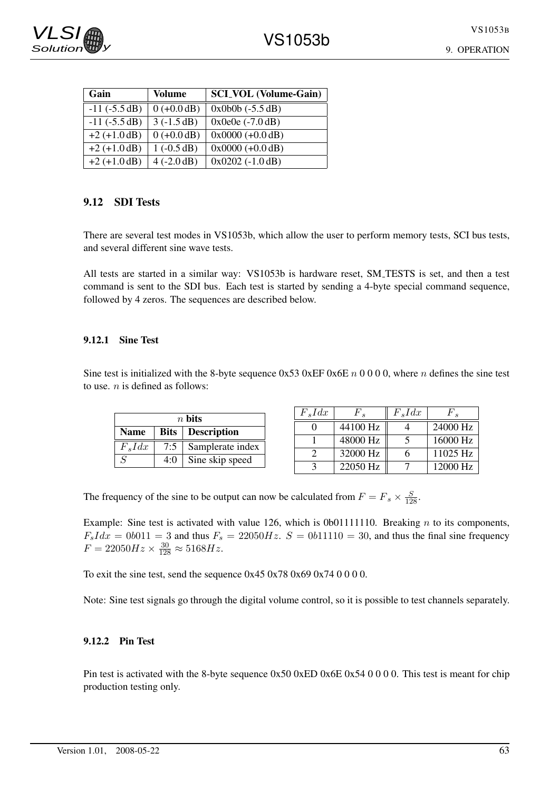| Gain              | <b>Volume</b> | <b>SCLVOL</b> (Volume-Gain) |
|-------------------|---------------|-----------------------------|
| $-11$ $(-5.5 dB)$ | $0 (+0.0 dB)$ | $0x0b0b (-5.5 dB)$          |
| $-11$ $(-5.5 dB)$ | $3(-1.5dB)$   | $0x0e0e(-7.0dB)$            |
| $+2 (+1.0 dB)$    | $0 (+0.0 dB)$ | $0x0000 (+0.0 dB)$          |
| $+2 (+1.0 dB)$    | $1(-0.5 dB)$  | $0x0000 (+0.0 dB)$          |
| $+2 (+1.0 dB)$    | $4(-2.0 dB)$  | $0x0202$ (-1.0 dB)          |

## 9.12 SDI Tests

There are several test modes in VS1053b, which allow the user to perform memory tests, SCI bus tests, and several different sine wave tests.

All tests are started in a similar way: VS1053b is hardware reset, SM TESTS is set, and then a test command is sent to the SDI bus. Each test is started by sending a 4-byte special command sequence, followed by 4 zeros. The sequences are described below.

#### 9.12.1 Sine Test

Sine test is initialized with the 8-byte sequence  $0x53$   $0xEF$   $0x6E n 0000$ , where n defines the sine test to use.  $n$  is defined as follows:

| $n$ bits                  |       |                  |  |  |
|---------------------------|-------|------------------|--|--|
| Name   Bits   Description |       |                  |  |  |
| $F_s I dx$                | $7:5$ | Samplerate index |  |  |
| $\mathcal{S}$             | 4:0   | Sine skip speed  |  |  |

| $F_s I dx$ | $F_{\bullet}$ | $F_s I dx$ | $F$ .    |
|------------|---------------|------------|----------|
|            | 44100 Hz      |            | 24000 Hz |
|            | 48000 Hz      |            | 16000 Hz |
|            | 32000 Hz      | 6          | 11025 Hz |
|            | 22050 Hz      |            | 12000 Hz |

The frequency of the sine to be output can now be calculated from  $F = F_s \times \frac{S}{128}$ .

Example: Sine test is activated with value 126, which is 0b01111110. Breaking  $n$  to its components,  $F_s I dx = 0b011 = 3$  and thus  $F_s = 22050Hz$ .  $S = 0b11110 = 30$ , and thus the final sine frequency  $F = 22050Hz \times \frac{30}{128} \approx 5168Hz.$ 

To exit the sine test, send the sequence  $0x450x780x690x740000$ .

Note: Sine test signals go through the digital volume control, so it is possible to test channels separately.

#### 9.12.2 Pin Test

Pin test is activated with the 8-byte sequence  $0x50$   $0xED$   $0x6E$   $0x54$  0 0 0 0. This test is meant for chip production testing only.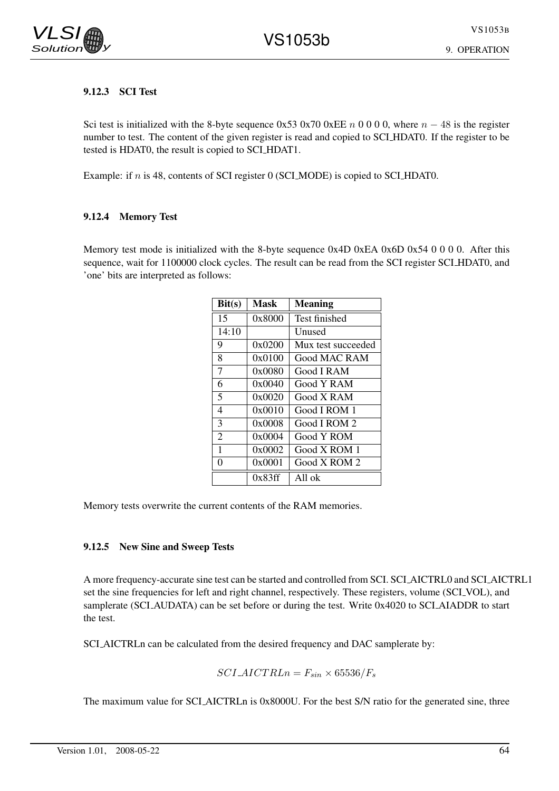## 9.12.3 SCI Test

Sci test is initialized with the 8-byte sequence 0x53 0x70 0xEE n 0 0 0 0, where  $n - 48$  is the register number to test. The content of the given register is read and copied to SCI HDAT0. If the register to be tested is HDAT0, the result is copied to SCI HDAT1.

Example: if n is 48, contents of SCI register 0 (SCI MODE) is copied to SCI HDAT0.

#### 9.12.4 Memory Test

Memory test mode is initialized with the 8-byte sequence 0x4D 0xEA 0x6D 0x54 0 0 0 0. After this sequence, wait for 1100000 clock cycles. The result can be read from the SCI register SCI HDAT0, and 'one' bits are interpreted as follows:

| Bit(s)         | Mask   | <b>Meaning</b>     |
|----------------|--------|--------------------|
| 15             | 0x8000 | Test finished      |
| 14:10          |        | Unused             |
| 9              | 0x0200 | Mux test succeeded |
| 8              | 0x0100 | Good MAC RAM       |
| 7              | 0x0080 | Good I RAM         |
| 6              | 0x0040 | Good Y RAM         |
| 5              | 0x0020 | Good X RAM         |
| 4              | 0x0010 | Good I ROM 1       |
| 3              | 0x0008 | Good I ROM 2       |
| $\overline{2}$ | 0x0004 | Good Y ROM         |
| 1              | 0x0002 | Good X ROM 1       |
| 0              | 0x0001 | Good X ROM 2       |
|                | 0x83ff | All ok             |

Memory tests overwrite the current contents of the RAM memories.

#### 9.12.5 New Sine and Sweep Tests

A more frequency-accurate sine test can be started and controlled from SCI. SCI AICTRL0 and SCI AICTRL1 set the sine frequencies for left and right channel, respectively. These registers, volume (SCI\_VOL), and samplerate (SCI AUDATA) can be set before or during the test. Write 0x4020 to SCI AIADDR to start the test.

SCI AICTRLn can be calculated from the desired frequency and DAC samplerate by:

 $SCI\_AICTRLn = F_{sin} \times 65536/F_s$ 

The maximum value for SCI AICTRLn is 0x8000U. For the best S/N ratio for the generated sine, three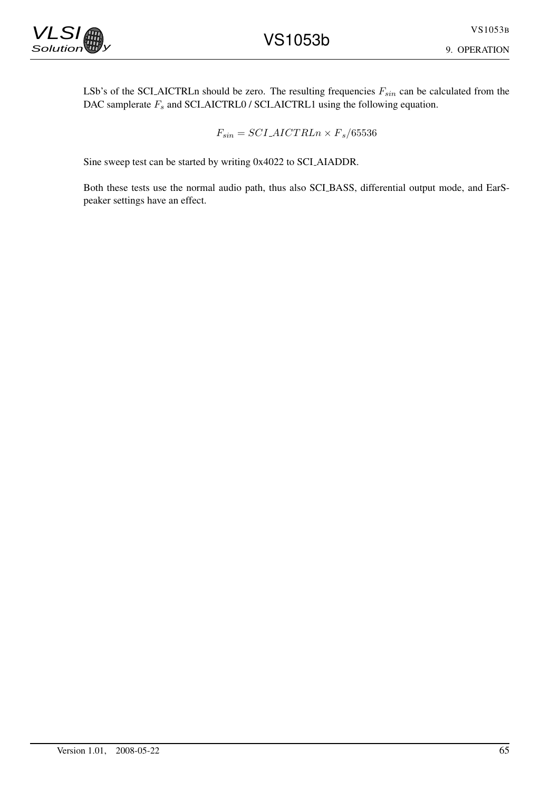LSb's of the SCLAICTRLn should be zero. The resulting frequencies  $F_{sin}$  can be calculated from the DAC samplerate  $F_s$  and SCI AICTRL0 / SCI AICTRL1 using the following equation.

$$
F_{sin} = SCI \_\text{AICTRLn} \times F_s / 65536
$$

Sine sweep test can be started by writing 0x4022 to SCI AIADDR.

Both these tests use the normal audio path, thus also SCI BASS, differential output mode, and EarSpeaker settings have an effect.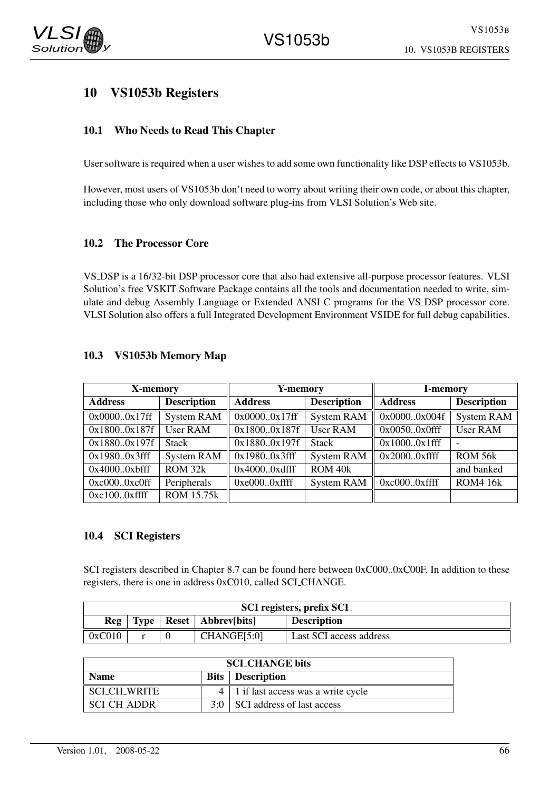

# 10 VS1053b Registers

## 10.1 Who Needs to Read This Chapter

User software is required when a user wishes to add some own functionality like DSP effects to VS1053b.

However, most users of VS1053b don't need to worry about writing their own code, or about this chapter, including those who only download software plug-ins from VLSI Solution's Web site.

#### 10.2 The Processor Core

VS DSP is a 16/32-bit DSP processor core that also had extensive all-purpose processor features. VLSI Solution's free VSKIT Software Package contains all the tools and documentation needed to write, simulate and debug Assembly Language or Extended ANSI C programs for the VS DSP processor core. VLSI Solution also offers a full Integrated Development Environment VSIDE for full debug capabilities.

| X-memory         |                    | Y-memory                  |                    | <b>I-memory</b> |                    |
|------------------|--------------------|---------------------------|--------------------|-----------------|--------------------|
| <b>Address</b>   | <b>Description</b> | <b>Address</b>            | <b>Description</b> |                 | <b>Description</b> |
| 0x00000x17ff     | <b>System RAM</b>  | 0x00000x17ff              | System RAM         | 0x00000x004f    | System RAM         |
| 0x18000x187f     | <b>User RAM</b>    | $\overline{0x18000x187f}$ | <b>User RAM</b>    | $0x00500x0$ fff | <b>User RAM</b>    |
| 0x18800x197f     | <b>Stack</b>       | 0x18800x197f              | <b>Stack</b>       | $0x10000x1$ fff |                    |
| $0x19800x3$ fff  | <b>System RAM</b>  | 0x19800x3fff              | <b>System RAM</b>  | $0x20000x$ ffff | ROM 56k            |
| $0x40000xb$ fff  | ROM 32k            | $0x40000x$ dfff           | ROM 40k            |                 | and banked         |
| 0xc0000xc0ff     | Peripherals        | $0xe0000x$ ffff           | <b>System RAM</b>  | $0xc0000x$ ffff | <b>ROM4 16k</b>    |
| $0xc100.0x$ ffff | <b>ROM 15.75k</b>  |                           |                    |                 |                    |

#### 10.3 VS1053b Memory Map

### 10.4 SCI Registers

SCI registers described in Chapter 8.7 can be found here between 0xC000..0xC00F. In addition to these registers, there is one in address 0xC010, called SCI CHANGE.

| SCI registers, prefix SCI |                                                   |  |             |                         |  |
|---------------------------|---------------------------------------------------|--|-------------|-------------------------|--|
| Reg                       | Type   Reset   Abbrev[bits]<br><b>Description</b> |  |             |                         |  |
| 0xC010                    |                                                   |  | CHANGE[5:0] | Last SCI access address |  |

| <b>SCLCHANGE</b> bits                  |     |                                             |  |  |
|----------------------------------------|-----|---------------------------------------------|--|--|
| <b>Bits</b> Description<br><b>Name</b> |     |                                             |  |  |
| <b>SCLCH_WRITE</b>                     |     | $4 \mid 1$ if last access was a write cycle |  |  |
| SCI CH ADDR                            | 3.0 | SCI address of last access                  |  |  |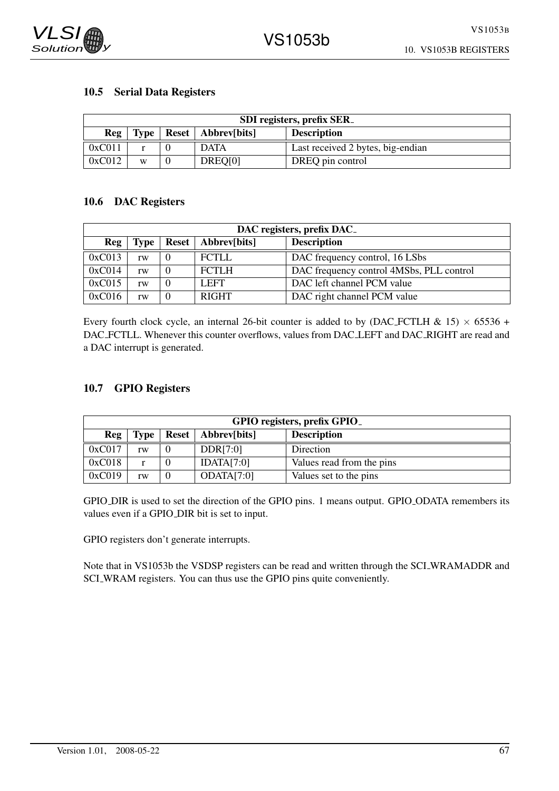

#### 10.5 Serial Data Registers

| SDI registers, prefix SER                                 |                                                  |  |         |                  |  |
|-----------------------------------------------------------|--------------------------------------------------|--|---------|------------------|--|
| <b>Description</b><br>Reg<br>Type<br>Reset   Abbrev[bits] |                                                  |  |         |                  |  |
| 0xC011                                                    | Last received 2 bytes, big-endian<br><b>DATA</b> |  |         |                  |  |
| 0xC012                                                    | W                                                |  | DREQ[0] | DREQ pin control |  |

### 10.6 DAC Registers

| DAC registers, prefix DAC_ |      |              |              |                                          |  |
|----------------------------|------|--------------|--------------|------------------------------------------|--|
| Reg                        | Type | <b>Reset</b> | Abbrev[bits] | <b>Description</b>                       |  |
| 0xC013                     | rw   |              | <b>FCTLL</b> | DAC frequency control, 16 LSbs           |  |
| 0xC014                     | rw   |              | <b>FCTLH</b> | DAC frequency control 4MSbs, PLL control |  |
| 0xC015                     | rw   |              | <b>LEFT</b>  | DAC left channel PCM value               |  |
| 0xC016                     | rw   |              | <b>RIGHT</b> | DAC right channel PCM value              |  |

Every fourth clock cycle, an internal 26-bit counter is added to by (DAC FCTLH & 15)  $\times$  65536 + DAC FCTLL. Whenever this counter overflows, values from DAC LEFT and DAC RIGHT are read and a DAC interrupt is generated.

## 10.7 GPIO Registers

| GPIO registers, prefix GPIO_ |      |  |                      |                           |  |  |
|------------------------------|------|--|----------------------|---------------------------|--|--|
| Reg                          | Type |  | Reset   Abbrev[bits] | <b>Description</b>        |  |  |
| 0xC017                       | rw   |  | DDR[7:0]             | Direction                 |  |  |
| 0xC018                       |      |  | IDATA[7:0]           | Values read from the pins |  |  |
| 0xC019                       | rw   |  | ODATA[7:0]           | Values set to the pins    |  |  |

GPIO DIR is used to set the direction of the GPIO pins. 1 means output. GPIO ODATA remembers its values even if a GPIO DIR bit is set to input.

GPIO registers don't generate interrupts.

Note that in VS1053b the VSDSP registers can be read and written through the SCI WRAMADDR and SCI WRAM registers. You can thus use the GPIO pins quite conveniently.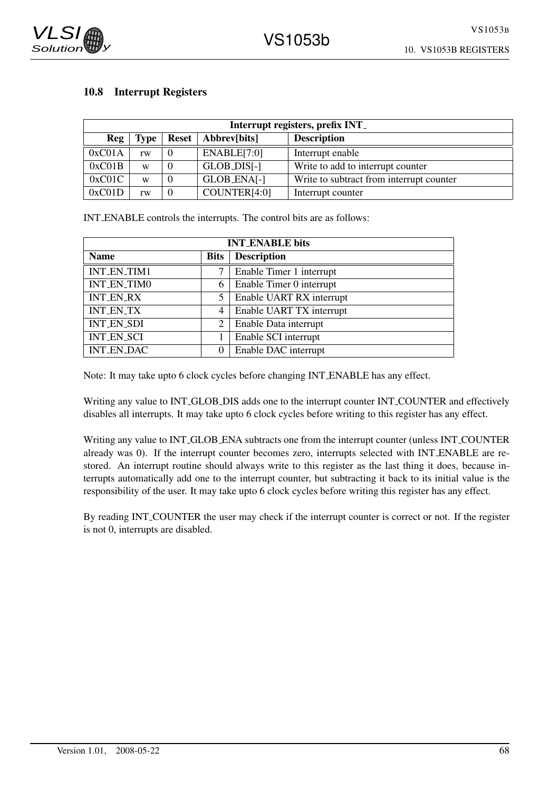

## 10.8 Interrupt Registers

| Interrupt registers, prefix INT_ |             |       |              |                                          |  |
|----------------------------------|-------------|-------|--------------|------------------------------------------|--|
| Reg                              | <b>Type</b> | Reset | Abbrev[bits] | <b>Description</b>                       |  |
| 0xC01A                           | rw          |       | ENABLE[7:0]  | Interrupt enable                         |  |
| 0xC01B                           | W           |       | GLOB_DIS[-]  | Write to add to interrupt counter        |  |
| 0xC01C                           | W           |       | GLOB_ENA[-]  | Write to subtract from interrupt counter |  |
| 0xC01D                           | rw          |       | COUNTER[4:0] | Interrupt counter                        |  |

INT ENABLE controls the interrupts. The control bits are as follows:

| <b>INT_ENABLE</b> bits |             |                          |  |
|------------------------|-------------|--------------------------|--|
| <b>Name</b>            | <b>Bits</b> | <b>Description</b>       |  |
| INT_EN_TIM1            |             | Enable Timer 1 interrupt |  |
| <b>INT_EN_TIM0</b>     | 6           | Enable Timer 0 interrupt |  |
| <b>INT_EN_RX</b>       | 5           | Enable UART RX interrupt |  |
| <b>INT_EN_TX</b>       | 4           | Enable UART TX interrupt |  |
| <b>INT_EN_SDI</b>      | 2           | Enable Data interrupt    |  |
| <b>INT_EN_SCI</b>      |             | Enable SCI interrupt     |  |
| <b>INT_EN_DAC</b>      | $\Omega$    | Enable DAC interrupt     |  |

Note: It may take upto 6 clock cycles before changing INT ENABLE has any effect.

Writing any value to INT GLOB DIS adds one to the interrupt counter INT COUNTER and effectively disables all interrupts. It may take upto 6 clock cycles before writing to this register has any effect.

Writing any value to INT GLOB ENA subtracts one from the interrupt counter (unless INT COUNTER already was 0). If the interrupt counter becomes zero, interrupts selected with INT ENABLE are restored. An interrupt routine should always write to this register as the last thing it does, because interrupts automatically add one to the interrupt counter, but subtracting it back to its initial value is the responsibility of the user. It may take upto 6 clock cycles before writing this register has any effect.

By reading INT COUNTER the user may check if the interrupt counter is correct or not. If the register is not 0, interrupts are disabled.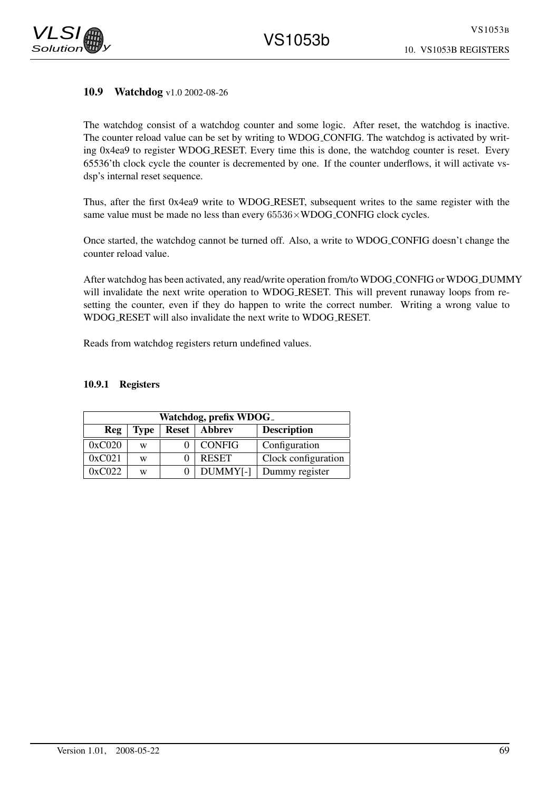### 10.9 Watchdog v1.0 2002-08-26

The watchdog consist of a watchdog counter and some logic. After reset, the watchdog is inactive. The counter reload value can be set by writing to WDOG CONFIG. The watchdog is activated by writing 0x4ea9 to register WDOG RESET. Every time this is done, the watchdog counter is reset. Every 65536'th clock cycle the counter is decremented by one. If the counter underflows, it will activate vsdsp's internal reset sequence.

Thus, after the first 0x4ea9 write to WDOG RESET, subsequent writes to the same register with the same value must be made no less than every  $65536\times WDOG_CONFIG$  clock cycles.

Once started, the watchdog cannot be turned off. Also, a write to WDOG CONFIG doesn't change the counter reload value.

After watchdog has been activated, any read/write operation from/to WDOG CONFIG or WDOG DUMMY will invalidate the next write operation to WDOG RESET. This will prevent runaway loops from resetting the counter, even if they do happen to write the correct number. Writing a wrong value to WDOG RESET will also invalidate the next write to WDOG RESET.

Reads from watchdog registers return undefined values.

#### 10.9.1 Registers

| Watchdog, prefix WDOG_                                            |   |  |                      |                     |  |
|-------------------------------------------------------------------|---|--|----------------------|---------------------|--|
| <b>Description</b><br><b>Reset</b>   Abbrev<br>Reg<br><b>Type</b> |   |  |                      |                     |  |
| 0xC020                                                            | W |  | <b>CONFIG</b>        | Configuration       |  |
| 0xC021                                                            | W |  | <b>RESET</b>         | Clock configuration |  |
| 0xC022                                                            | W |  | DUMMY <sup>[-]</sup> | Dummy register      |  |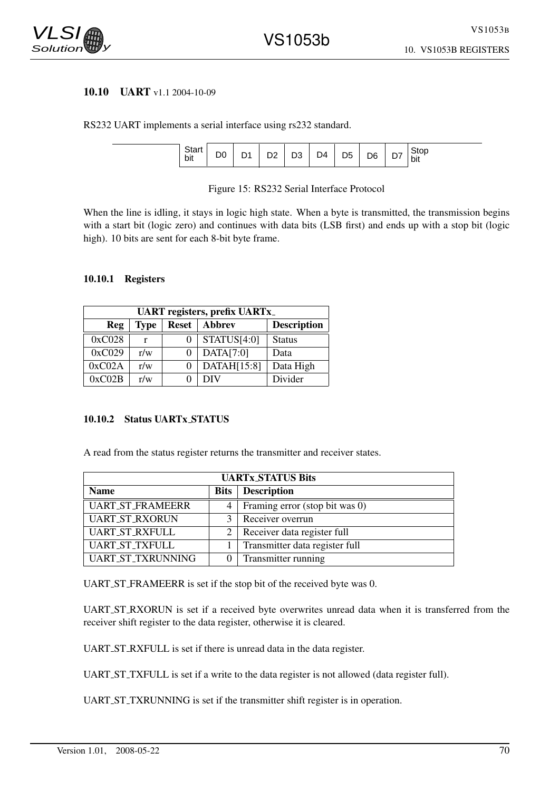

#### 10.10 UART v1.1 2004-10-09

RS232 UART implements a serial interface using rs232 standard.



#### Figure 15: RS232 Serial Interface Protocol

When the line is idling, it stays in logic high state. When a byte is transmitted, the transmission begins with a start bit (logic zero) and continues with data bits (LSB first) and ends up with a stop bit (logic high). 10 bits are sent for each 8-bit byte frame.

#### 10.10.1 Registers

| <b>UART</b> registers, prefix UART <sub>x</sub> _ |             |              |               |                    |  |
|---------------------------------------------------|-------------|--------------|---------------|--------------------|--|
| Reg                                               | <b>Type</b> | <b>Reset</b> | <b>Abbrev</b> | <b>Description</b> |  |
| 0xC028                                            | r           |              | STATUS[4:0]   | <b>Status</b>      |  |
| 0xC029                                            | r/w         |              | DATA[7:0]     | Data               |  |
| 0xC02A                                            | r/w         |              | DATAH[15:8]   | Data High          |  |
| 0xC02B                                            | r/w         |              | DIV           | Divider            |  |

#### 10.10.2 Status UARTx STATUS

A read from the status register returns the transmitter and receiver states.

| <b>UARTx_STATUS Bits</b> |             |                                |  |  |
|--------------------------|-------------|--------------------------------|--|--|
| <b>Name</b>              | <b>Bits</b> | <b>Description</b>             |  |  |
| <b>UART_ST_FRAMEERR</b>  | 4           | Framing error (stop bit was 0) |  |  |
| <b>UART_ST_RXORUN</b>    |             | Receiver overrun               |  |  |
| <b>UART_ST_RXFULL</b>    | 2           | Receiver data register full    |  |  |
| <b>UART_ST_TXFULL</b>    |             | Transmitter data register full |  |  |
| UART_ST_TXRUNNING        |             | Transmitter running            |  |  |

UART ST FRAMEERR is set if the stop bit of the received byte was 0.

UART ST RXORUN is set if a received byte overwrites unread data when it is transferred from the receiver shift register to the data register, otherwise it is cleared.

UART ST RXFULL is set if there is unread data in the data register.

UART ST TXFULL is set if a write to the data register is not allowed (data register full).

UART ST TXRUNNING is set if the transmitter shift register is in operation.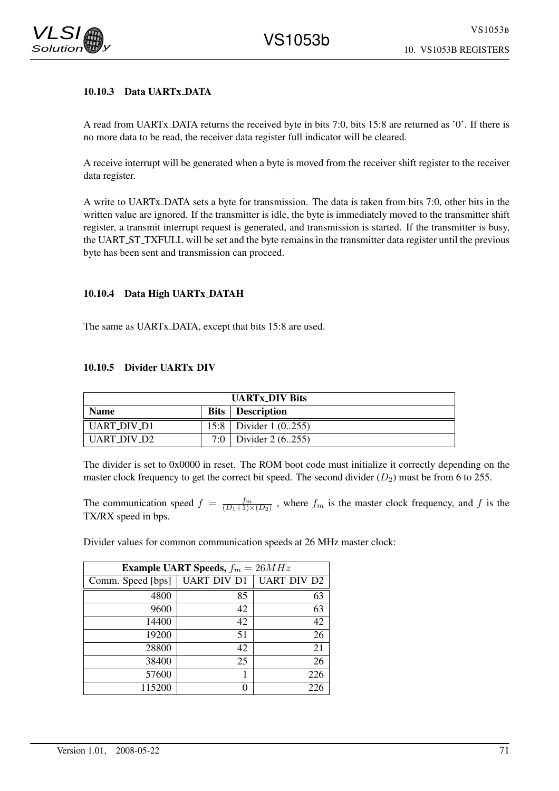## 10.10.3 Data UARTx DATA

A read from UARTx DATA returns the received byte in bits 7:0, bits 15:8 are returned as '0'. If there is no more data to be read, the receiver data register full indicator will be cleared.

A receive interrupt will be generated when a byte is moved from the receiver shift register to the receiver data register.

A write to UARTx DATA sets a byte for transmission. The data is taken from bits 7:0, other bits in the written value are ignored. If the transmitter is idle, the byte is immediately moved to the transmitter shift register, a transmit interrupt request is generated, and transmission is started. If the transmitter is busy, the UART ST TXFULL will be set and the byte remains in the transmitter data register until the previous byte has been sent and transmission can proceed.

### 10.10.4 Data High UARTx DATAH

The same as UARTx DATA, except that bits 15:8 are used.

#### 10.10.5 Divider UARTx DIV

| <b>UARTX DIV Bits</b> |  |                           |  |
|-----------------------|--|---------------------------|--|
| <b>Name</b>           |  | <b>Bits</b> Description   |  |
| <b>UART DIV D1</b>    |  | 15:8   Divider 1 $(0255)$ |  |
| LIART DIV D2          |  | 7:0   Divider 2 $(6255)$  |  |

The divider is set to 0x0000 in reset. The ROM boot code must initialize it correctly depending on the master clock frequency to get the correct bit speed. The second divider  $(D_2)$  must be from 6 to 255.

The communication speed  $f = \frac{f_m}{(D_1+1)\times(D_2)}$ , where  $f_m$  is the master clock frequency, and f is the TX/RX speed in bps.

Divider values for common communication speeds at 26 MHz master clock:

| <b>Example UART Speeds,</b> $f_m = 26MHz$ |             |                    |  |  |  |
|-------------------------------------------|-------------|--------------------|--|--|--|
| Comm. Speed [bps]                         | UART_DIV_D1 | <b>UART_DIV_D2</b> |  |  |  |
| 4800                                      | 85          | 63                 |  |  |  |
| 9600                                      | 42          | 63                 |  |  |  |
| 14400                                     | 42          | 42                 |  |  |  |
| 19200                                     | 51          | 26                 |  |  |  |
| 28800                                     | 42          | 21                 |  |  |  |
| 38400                                     | 25          | 26                 |  |  |  |
| 57600                                     |             | 226                |  |  |  |
| 115200                                    |             | 226                |  |  |  |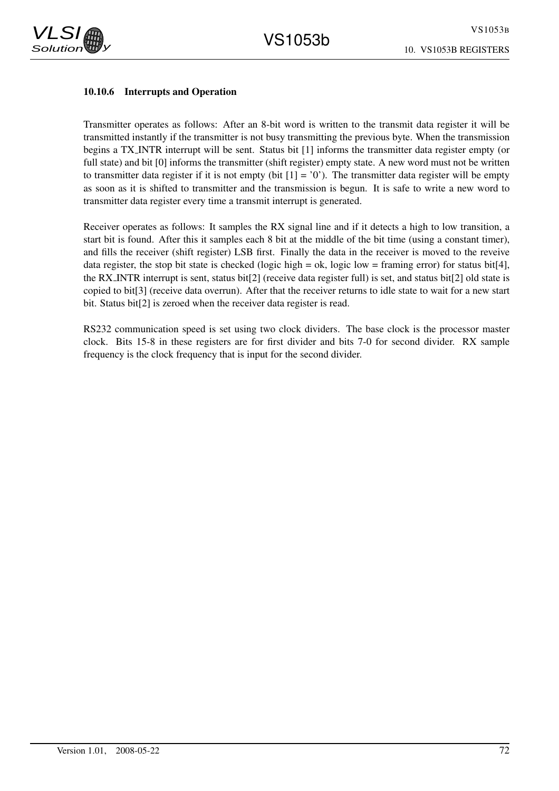



### 10.10.6 Interrupts and Operation

Transmitter operates as follows: After an 8-bit word is written to the transmit data register it will be transmitted instantly if the transmitter is not busy transmitting the previous byte. When the transmission begins a TX INTR interrupt will be sent. Status bit [1] informs the transmitter data register empty (or full state) and bit [0] informs the transmitter (shift register) empty state. A new word must not be written to transmitter data register if it is not empty (bit  $[1] = '0'$ ). The transmitter data register will be empty as soon as it is shifted to transmitter and the transmission is begun. It is safe to write a new word to transmitter data register every time a transmit interrupt is generated.

Receiver operates as follows: It samples the RX signal line and if it detects a high to low transition, a start bit is found. After this it samples each 8 bit at the middle of the bit time (using a constant timer), and fills the receiver (shift register) LSB first. Finally the data in the receiver is moved to the reveive data register, the stop bit state is checked (logic high = ok, logic low = framing error) for status bit[4], the RX INTR interrupt is sent, status bit[2] (receive data register full) is set, and status bit[2] old state is copied to bit[3] (receive data overrun). After that the receiver returns to idle state to wait for a new start bit. Status bit[2] is zeroed when the receiver data register is read.

RS232 communication speed is set using two clock dividers. The base clock is the processor master clock. Bits 15-8 in these registers are for first divider and bits 7-0 for second divider. RX sample frequency is the clock frequency that is input for the second divider.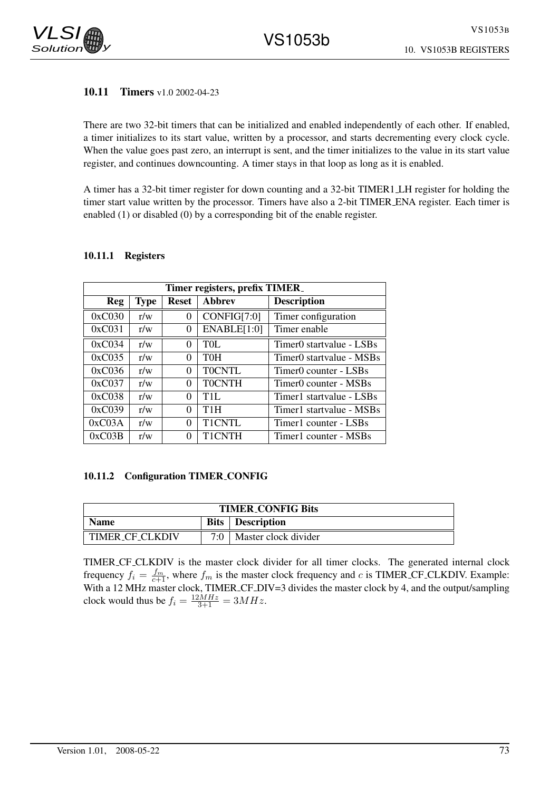

# 10.11 Timers v1.0 2002-04-23

There are two 32-bit timers that can be initialized and enabled independently of each other. If enabled, a timer initializes to its start value, written by a processor, and starts decrementing every clock cycle. When the value goes past zero, an interrupt is sent, and the timer initializes to the value in its start value register, and continues downcounting. A timer stays in that loop as long as it is enabled.

A timer has a 32-bit timer register for down counting and a 32-bit TIMER1 LH register for holding the timer start value written by the processor. Timers have also a 2-bit TIMER ENA register. Each timer is enabled (1) or disabled (0) by a corresponding bit of the enable register.

| Timer registers, prefix TIMER_ |             |              |                  |                                      |
|--------------------------------|-------------|--------------|------------------|--------------------------------------|
| <b>Reg</b>                     | <b>Type</b> | <b>Reset</b> | <b>Abbrev</b>    | <b>Description</b>                   |
| 0xC030                         | r/w         | 0            | CONFIG[7:0]      | Timer configuration                  |
| 0xC031                         | r/w         | 0            | ENABLE[1:0]      | Timer enable                         |
| 0xC034                         | r/w         | 0            | <b>TOL</b>       | Timer <sub>0</sub> startvalue - LSBs |
| 0xC035                         | r/w         | 0            | <b>TOH</b>       | Timer0 startvalue - MSBs             |
| 0xC036                         | r/w         | 0            | <b>TOCNTL</b>    | Timer <sub>0</sub> counter - LSBs    |
| 0xC037                         | r/w         | 0            | <b>TOCNTH</b>    | Timer0 counter - MSBs                |
| 0xC038                         | r/w         | 0            | T1L              | Timer1 startvalue - LSBs             |
| 0xC039                         | r/w         | 0            | T <sub>1</sub> H | Timer1 startvalue - MSBs             |
| 0xC03A                         | r/w         | 0            | T1CNTL           | Timer1 counter - LSBs                |
| 0xC03B                         | r/w         | 0            | <b>T1CNTH</b>    | Timer1 counter - MSBs                |

## 10.11.1 Registers

## 10.11.2 Configuration TIMER CONFIG

| <b>TIMER_CONFIG Bits</b> |             |                      |  |
|--------------------------|-------------|----------------------|--|
| <b>Name</b>              | <b>Bits</b> | <b>Description</b>   |  |
| TIMER_CF_CLKDIV          | 7·0         | Master clock divider |  |

TIMER CF CLKDIV is the master clock divider for all timer clocks. The generated internal clock frequency  $f_i = \frac{f_m}{c+1}$ , where  $f_m$  is the master clock frequency and c is TIMER CF CLKDIV. Example: With a 12 MHz master clock, TIMER CF DIV=3 divides the master clock by 4, and the output/sampling clock would thus be  $f_i = \frac{12MHz}{3+1} = 3MHz$ .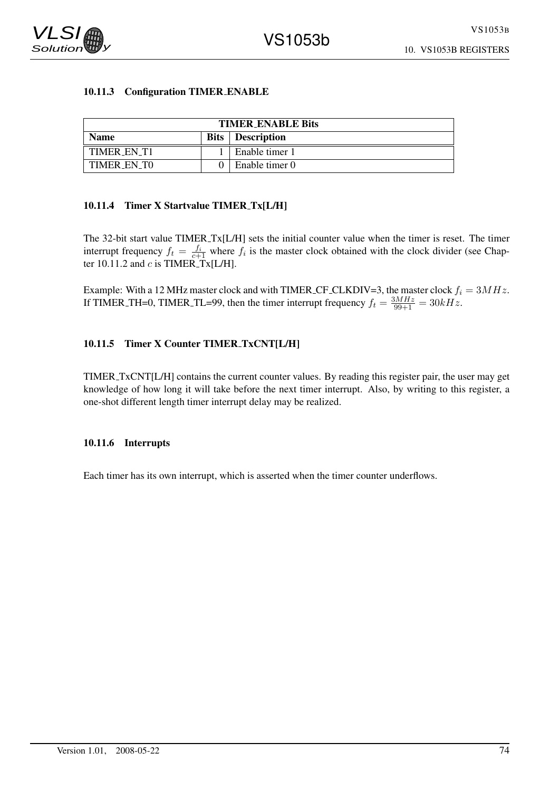

# 10.11.3 Configuration TIMER ENABLE

| <b>TIMER_ENABLE Bits</b> |  |                           |  |  |
|--------------------------|--|---------------------------|--|--|
| <b>Name</b>              |  | <b>Bits</b>   Description |  |  |
| TIMER EN T1              |  | Enable timer 1            |  |  |
| TIMER EN TO              |  | Enable timer 0            |  |  |

# 10.11.4 Timer X Startvalue TIMER Tx[L/H]

The 32-bit start value TIMER Tx[L/H] sets the initial counter value when the timer is reset. The timer interrupt frequency  $f_t = \frac{f_i}{c+1}$  where  $f_i$  is the master clock obtained with the clock divider (see Chapter 10.11.2 and  $c$  is TIMER\_Tx[L/H].

Example: With a 12 MHz master clock and with TIMER CF CLKDIV=3, the master clock  $f_i = 3MHz$ . If TIMER\_TH=0, TIMER\_TL=99, then the timer interrupt frequency  $f_t = \frac{3MHz}{99+1} = 30kHz$ .

# 10.11.5 Timer X Counter TIMER TxCNT[L/H]

TIMER TxCNT[L/H] contains the current counter values. By reading this register pair, the user may get knowledge of how long it will take before the next timer interrupt. Also, by writing to this register, a one-shot different length timer interrupt delay may be realized.

## 10.11.6 Interrupts

Each timer has its own interrupt, which is asserted when the timer counter underflows.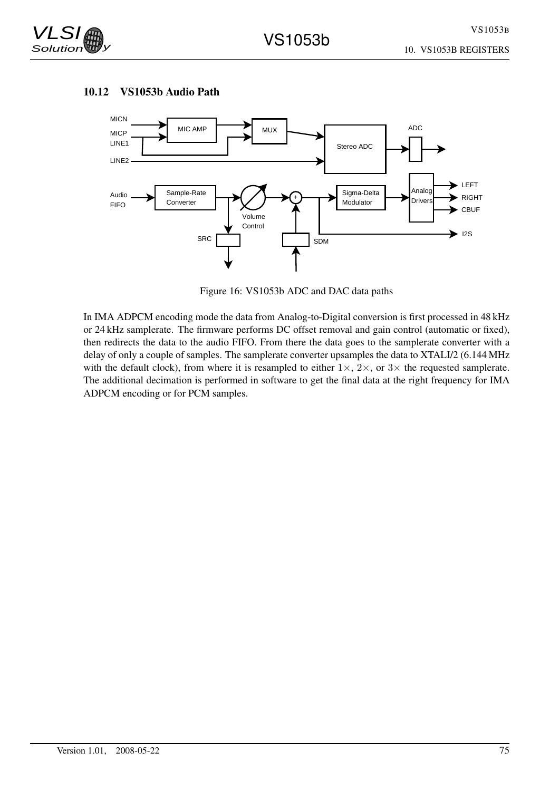





Figure 16: VS1053b ADC and DAC data paths

In IMA ADPCM encoding mode the data from Analog-to-Digital conversion is first processed in 48 kHz or 24 kHz samplerate. The firmware performs DC offset removal and gain control (automatic or fixed), then redirects the data to the audio FIFO. From there the data goes to the samplerate converter with a delay of only a couple of samples. The samplerate converter upsamples the data to XTALI/2 (6.144 MHz with the default clock), from where it is resampled to either  $1\times$ ,  $2\times$ , or  $3\times$  the requested samplerate. The additional decimation is performed in software to get the final data at the right frequency for IMA ADPCM encoding or for PCM samples.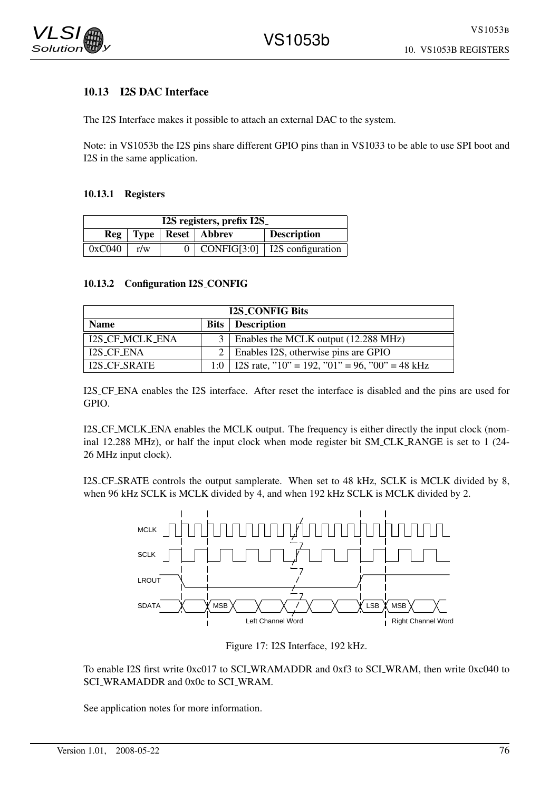

# 10.13 I2S DAC Interface

The I2S Interface makes it possible to attach an external DAC to the system.

Note: in VS1053b the I2S pins share different GPIO pins than in VS1033 to be able to use SPI boot and I2S in the same application.

# 10.13.1 Registers

| I2S registers, prefix I2S |     |  |                       |                    |
|---------------------------|-----|--|-----------------------|--------------------|
| Reg                       |     |  | Type   Reset   Abbrev | <b>Description</b> |
| 0xC040                    | r/w |  | CONFIG[3:0]           | I2S configuration  |

## 10.13.2 Configuration I2S CONFIG

| <b>I2S_CONFIG Bits</b> |                |                                                      |  |  |
|------------------------|----------------|------------------------------------------------------|--|--|
| <b>Name</b>            |                | <b>Bits</b>   Description                            |  |  |
| <b>I2S_CF_MCLK_ENA</b> |                | Enables the MCLK output (12.288 MHz)                 |  |  |
| <b>I2S_CF_ENA</b>      | 2 <sup>1</sup> | Enables I2S, otherwise pins are GPIO                 |  |  |
| I2S_CF_SRATE           |                | 1:0   I2S rate, "10" = 192, "01" = 96, "00" = 48 kHz |  |  |

I2S CF ENA enables the I2S interface. After reset the interface is disabled and the pins are used for GPIO.

I2S CF MCLK ENA enables the MCLK output. The frequency is either directly the input clock (nominal 12.288 MHz), or half the input clock when mode register bit SM CLK RANGE is set to 1 (24- 26 MHz input clock).

I2S CF SRATE controls the output samplerate. When set to 48 kHz, SCLK is MCLK divided by 8, when 96 kHz SCLK is MCLK divided by 4, and when 192 kHz SCLK is MCLK divided by 2.





To enable I2S first write 0xc017 to SCI WRAMADDR and 0xf3 to SCI WRAM, then write 0xc040 to SCI\_WRAMADDR and 0x0c to SCI\_WRAM.

See application notes for more information.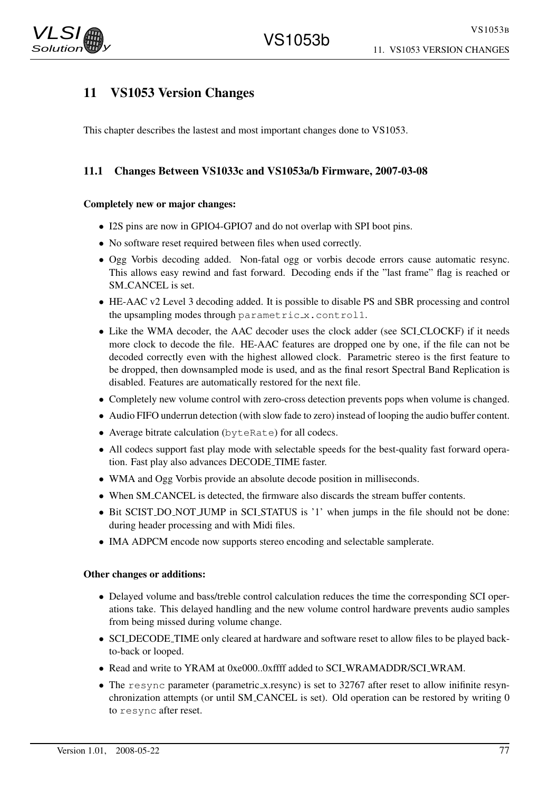

# 11 VS1053 Version Changes

This chapter describes the lastest and most important changes done to VS1053.

# 11.1 Changes Between VS1033c and VS1053a/b Firmware, 2007-03-08

# Completely new or major changes:

- I2S pins are now in GPIO4-GPIO7 and do not overlap with SPI boot pins.
- No software reset required between files when used correctly.
- Ogg Vorbis decoding added. Non-fatal ogg or vorbis decode errors cause automatic resync. This allows easy rewind and fast forward. Decoding ends if the "last frame" flag is reached or SM CANCEL is set.
- HE-AAC v2 Level 3 decoding added. It is possible to disable PS and SBR processing and control the upsampling modes through parametric<sub>x</sub>.control1.
- Like the WMA decoder, the AAC decoder uses the clock adder (see SCLCLOCKF) if it needs more clock to decode the file. HE-AAC features are dropped one by one, if the file can not be decoded correctly even with the highest allowed clock. Parametric stereo is the first feature to be dropped, then downsampled mode is used, and as the final resort Spectral Band Replication is disabled. Features are automatically restored for the next file.
- Completely new volume control with zero-cross detection prevents pops when volume is changed.
- Audio FIFO underrun detection (with slow fade to zero) instead of looping the audio buffer content.
- Average bitrate calculation (byteRate) for all codecs.
- All codecs support fast play mode with selectable speeds for the best-quality fast forward operation. Fast play also advances DECODE TIME faster.
- WMA and Ogg Vorbis provide an absolute decode position in milliseconds.
- When SM CANCEL is detected, the firmware also discards the stream buffer contents.
- Bit SCIST DO NOT JUMP in SCL STATUS is '1' when jumps in the file should not be done: during header processing and with Midi files.
- IMA ADPCM encode now supports stereo encoding and selectable samplerate.

## Other changes or additions:

- Delayed volume and bass/treble control calculation reduces the time the corresponding SCI operations take. This delayed handling and the new volume control hardware prevents audio samples from being missed during volume change.
- SCI DECODE TIME only cleared at hardware and software reset to allow files to be played backto-back or looped.
- Read and write to YRAM at 0xe000..0xffff added to SCI WRAMADDR/SCI WRAM.
- The resync parameter (parametric x resync) is set to 32767 after reset to allow inifinite resynchronization attempts (or until SM CANCEL is set). Old operation can be restored by writing 0 to resync after reset.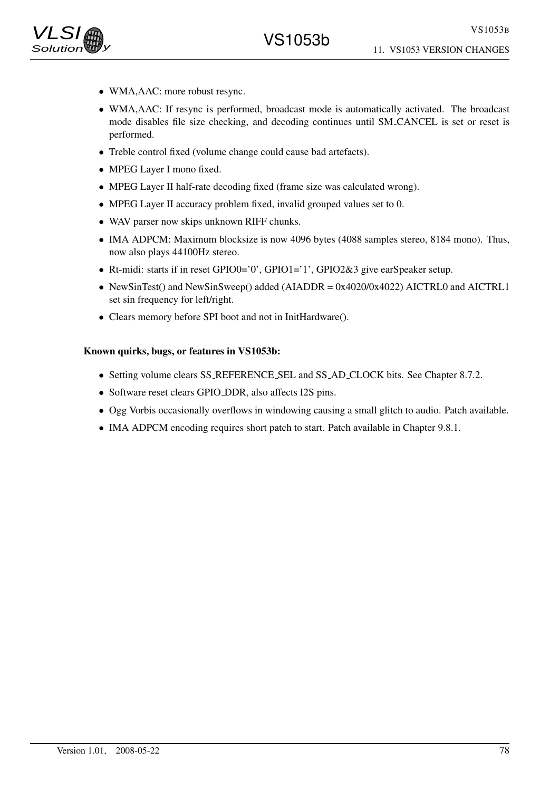

- WMA, AAC: more robust resync.
- WMA,AAC: If resync is performed, broadcast mode is automatically activated. The broadcast mode disables file size checking, and decoding continues until SM CANCEL is set or reset is performed.
- Treble control fixed (volume change could cause bad artefacts).
- MPEG Layer I mono fixed.
- MPEG Layer II half-rate decoding fixed (frame size was calculated wrong).
- MPEG Layer II accuracy problem fixed, invalid grouped values set to 0.
- WAV parser now skips unknown RIFF chunks.
- IMA ADPCM: Maximum blocksize is now 4096 bytes (4088 samples stereo, 8184 mono). Thus, now also plays 44100Hz stereo.
- Rt-midi: starts if in reset GPIO0='0', GPIO1='1', GPIO2&3 give earSpeaker setup.
- NewSinTest() and NewSinSweep() added (AIADDR = 0x4020/0x4022) AICTRL0 and AICTRL1 set sin frequency for left/right.
- Clears memory before SPI boot and not in InitHardware().

# Known quirks, bugs, or features in VS1053b:

- Setting volume clears SS\_REFERENCE\_SEL and SS\_AD\_CLOCK bits. See Chapter 8.7.2.
- Software reset clears GPIO DDR, also affects I2S pins.
- Ogg Vorbis occasionally overflows in windowing causing a small glitch to audio. Patch available.
- IMA ADPCM encoding requires short patch to start. Patch available in Chapter 9.8.1.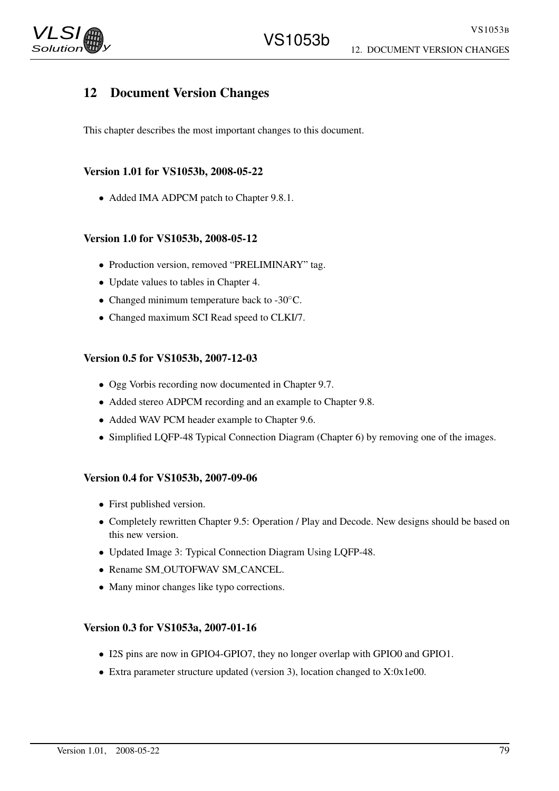# 12 Document Version Changes

This chapter describes the most important changes to this document.

# Version 1.01 for VS1053b, 2008-05-22

• Added IMA ADPCM patch to Chapter 9.8.1.

# Version 1.0 for VS1053b, 2008-05-12

- Production version, removed "PRELIMINARY" tag.
- Update values to tables in Chapter 4.
- Changed minimum temperature back to -30°C.
- Changed maximum SCI Read speed to CLKI/7.

# Version 0.5 for VS1053b, 2007-12-03

- Ogg Vorbis recording now documented in Chapter 9.7.
- Added stereo ADPCM recording and an example to Chapter 9.8.
- Added WAV PCM header example to Chapter 9.6.
- Simplified LQFP-48 Typical Connection Diagram (Chapter 6) by removing one of the images.

## Version 0.4 for VS1053b, 2007-09-06

- First published version.
- Completely rewritten Chapter 9.5: Operation / Play and Decode. New designs should be based on this new version.
- Updated Image 3: Typical Connection Diagram Using LQFP-48.
- Rename SM\_OUTOFWAV SM\_CANCEL.
- Many minor changes like typo corrections.

## Version 0.3 for VS1053a, 2007-01-16

- I2S pins are now in GPIO4-GPIO7, they no longer overlap with GPIO0 and GPIO1.
- Extra parameter structure updated (version 3), location changed to X:0x1e00.